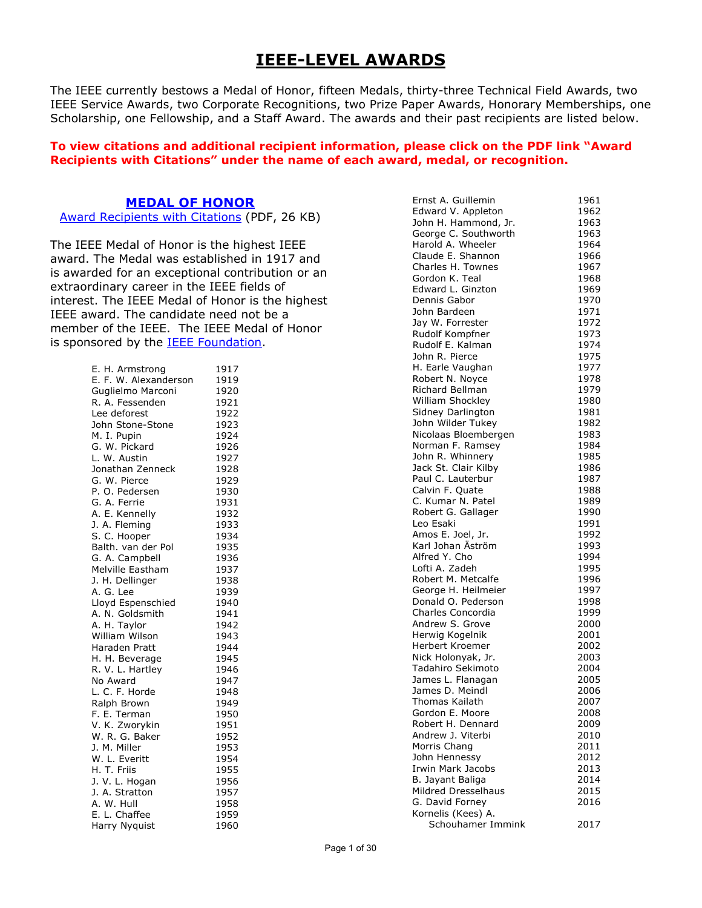# **IEEE-LEVEL AWARDS**

The IEEE currently bestows a Medal of Honor, fifteen Medals, thirty-three Technical Field Awards, two IEEE Service Awards, two Corporate Recognitions, two Prize Paper Awards, Honorary Memberships, one Scholarship, one Fellowship, and a Staff Award. The awards and their past recipients are listed below.

#### **To view citations and additional recipient information, please click on the PDF link "Award Recipients with Citations" under the name of each award, medal, or recognition.**

### **[MEDAL OF HONOR](https://corporate-awards.ieee.org/corporate-awards/#medals)**

[Award Recipients with Citations](https://www.ieee.org/content/dam/ieee-org/ieee/web/org/about/awards/recipients/moh-rl.pdf) (PDF, 26 KB)

The IEEE Medal of Honor is the highest IEEE award. The Medal was established in 1917 and is awarded for an exceptional contribution or an extraordinary career in the IEEE fields of interest. The IEEE Medal of Honor is the highest IEEE award. The candidate need not be a member of the IEEE. The IEEE Medal of Honor is sponsored by the [IEEE Foundation.](https://www.ieeefoundation.org/)

| E. H. Armstrong                    | 1917 |
|------------------------------------|------|
| E. F. W. Alexanderson              | 1919 |
| Guglielmo Marconi                  | 1920 |
| R. A. Fessenden                    | 1921 |
| Lee deforest                       | 1922 |
| John Stone-Stone                   | 1923 |
| M. I. Pupin                        | 1924 |
| G. W. Pickard                      | 1926 |
| L. W. Austin                       | 1927 |
| Jonathan Zenneck                   | 1928 |
| G. W. Pierce                       | 1929 |
| P. O. Pedersen                     | 1930 |
| G. A. Ferrie                       | 1931 |
| A. E. Kennelly                     | 1932 |
| J. A. Fleming                      | 1933 |
| S. C. Hooper                       | 1934 |
| Balth. van der Pol                 | 1935 |
| G. A. Campbell                     | 1936 |
| Melville Eastham                   | 1937 |
| J. H. Dellinger                    | 1938 |
| A. G. Lee                          | 1939 |
| Lloyd Espenschied                  | 1940 |
| A. N. Goldsmith                    | 1941 |
| A. H. Taylor                       | 1942 |
| William Wilson                     | 1943 |
| Haraden Pratt                      | 1944 |
| H. H. Beverage<br>R. V. L. Hartley | 1945 |
|                                    | 1946 |
| No Award                           | 1947 |
| L. C. F. Horde                     | 1948 |
| Ralph Brown                        | 1949 |
| F. E. Terman                       | 1950 |
| V. K. Zworykin                     | 1951 |
| W. R. G. Baker                     | 1952 |
| J. M. Miller                       | 1953 |
| W. L. Everitt<br>H. T. Friis       | 1954 |
|                                    | 1955 |
| J. V. L. Hogan                     | 1956 |
| J. A. Stratton                     | 1957 |
| A. W. Hull                         | 1958 |
| E. L. Chaffee                      | 1959 |
| Harry Nyquist                      | 1960 |

| Ernst A. Guillemin       | 1961 |
|--------------------------|------|
| Edward V. Appleton       | 1962 |
| John H. Hammond, Jr.     | 1963 |
| George C. Southworth     | 1963 |
|                          |      |
| Harold A. Wheeler        | 1964 |
| Claude E. Shannon        | 1966 |
| Charles H. Townes        | 1967 |
| Gordon K. Teal           | 1968 |
| Edward L. Ginzton        | 1969 |
| Dennis Gabor             |      |
|                          | 1970 |
| John Bardeen             | 1971 |
| Jay W. Forrester         | 1972 |
| Rudolf Kompfner          | 1973 |
| Rudolf E. Kalman         | 1974 |
| John R. Pierce           | 1975 |
|                          |      |
| H. Earle Vaughan         | 1977 |
| Robert N. Noyce          | 1978 |
| Richard Bellman          | 1979 |
| William Shockley         | 1980 |
| Sidney Darlington        | 1981 |
| John Wilder Tukey        | 1982 |
|                          |      |
| Nicolaas Bloembergen     | 1983 |
| Norman F. Ramsey         | 1984 |
| John R. Whinnery         | 1985 |
| Jack St. Clair Kilby     | 1986 |
| Paul C. Lauterbur        | 1987 |
| Calvin F. Quate          | 1988 |
|                          |      |
| C. Kumar N. Patel        | 1989 |
| Robert G. Gallager       | 1990 |
| Leo Esaki                | 1991 |
| Amos E. Joel, Jr.        | 1992 |
| Karl Johan Äström        | 1993 |
| Alfred Y. Cho            | 1994 |
| Lofti A. Zadeh           | 1995 |
|                          |      |
| Robert M. Metcalfe       | 1996 |
| George H. Heilmeier      | 1997 |
| Donald O. Pederson       | 1998 |
| Charles Concordia        | 1999 |
| Andrew S. Grove          | 2000 |
| Herwig Kogelnik          | 2001 |
| Herbert Kroemer          |      |
|                          | 2002 |
| Nick Holonyak, Jr.       | 2003 |
| Tadahiro Sekimoto        | 2004 |
| James L. Flanagan        | 2005 |
| James D. Meindl          | 2006 |
| Thomas Kailath           | 2007 |
| Gordon E. Moore          | 2008 |
| Robert H. Dennard        |      |
|                          | 2009 |
| Andrew J. Viterbi        | 2010 |
| Morris Chang             | 2011 |
| John Hennessy            | 2012 |
| <b>Irwin Mark Jacobs</b> | 2013 |
| B. Jayant Baliga         | 2014 |
| Mildred Dresselhaus      |      |
|                          | 2015 |
| G. David Forney          | 2016 |
| Kornelis (Kees) A.       |      |
| Schouhamer Immink        | 2017 |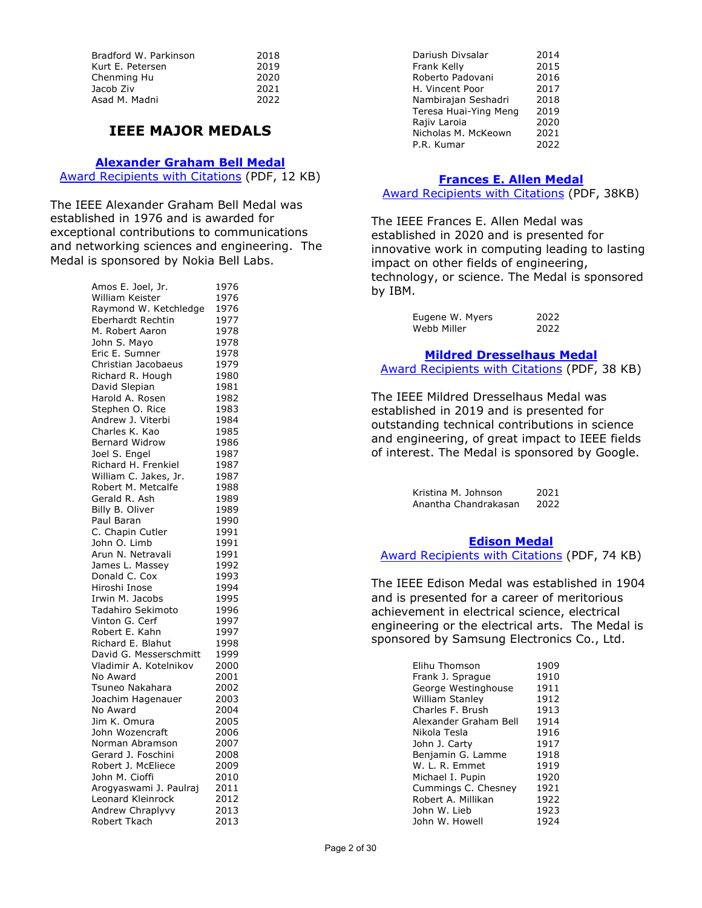| 2018 |
|------|
| 2019 |
| 2020 |
| 2021 |
| 2022 |
|      |

# **IEEE MAJOR MEDALS**

#### **[Alexander Graham Bell Medal](https://corporate-awards.ieee.org/corporate-awards/#medals)**

[Award Recipients with Citations](https://www.ieee.org/content/dam/ieee-org/ieee/web/org/about/awards/recipients/bell-rl.pdf) (PDF, 12 KB)

The IEEE Alexander Graham Bell Medal was established in 1976 and is awarded for exceptional contributions to communications and networking sciences and engineering. The Medal is sponsored by Nokia Bell Labs.

| Amos E. Joel, Jr.                            | 1976 |
|----------------------------------------------|------|
| William Keister                              | 1976 |
| Raymond W. Ketchledge                        | 1976 |
| Eberhardt Rechtin                            | 1977 |
| M. Robert Aaron                              | 1978 |
| John S. Mayo                                 | 1978 |
| Eric E. Sumner                               | 1978 |
| Christian Jacobaeus                          | 1979 |
| Richard R. Hough                             | 1980 |
| David Slepian                                | 1981 |
| Harold A. Rosen                              | 1982 |
| Stephen O. Rice                              | 1983 |
| Andrew J. Viterbi                            | 1984 |
| Charles K. Kao                               | 1985 |
| <b>Bernard Widrow</b>                        | 1986 |
| Joel S. Engel                                | 1987 |
|                                              | 1987 |
| Richard H. Frenkiel<br>William C. Jakes, Jr. | 1987 |
| Robert M. Metcalfe                           | 1988 |
| Gerald R. Ash                                | 1989 |
| Billy B. Oliver                              | 1989 |
| Paul Baran                                   | 1990 |
| C. Chapin Cutler                             | 1991 |
| John O. Limb                                 | 1991 |
| Arun N. Netravali                            | 1991 |
| James L. Massey                              | 1992 |
| Donald C. Cox                                | 1993 |
| Hiroshi Inose                                | 1994 |
| Irwin M. Jacobs                              | 1995 |
| Tadahiro Sekimoto                            | 1996 |
| Vinton G. Cerf                               | 1997 |
| Robert E. Kahn                               | 1997 |
| Richard E. Blahut                            | 1998 |
| David G. Messerschmitt                       | 1999 |
| Vladimir A. Kotelnikov                       | 2000 |
| No Award                                     | 2001 |
| Tsuneo Nakahara                              | 2002 |
| Joachim Hagenauer                            | 2003 |
| No Award                                     | 2004 |
| Jim K. Omura                                 | 2005 |
| John Wozencraft                              | 2006 |
| Norman Abramson                              | 2007 |
| Gerard J. Foschini                           | 2008 |
| Robert J. McEliece                           | 2009 |
| John M. Cioffi                               | 2010 |
| Arogyaswami J. Paulraj                       | 2011 |
| Leonard Kleinrock                            | 2012 |
| Andrew Chraplyvy                             | 2013 |
| Robert Tkach                                 | 2013 |
|                                              |      |

| Dariush Divsalar      | 2014 |
|-----------------------|------|
| Frank Kelly           | 2015 |
| Roberto Padovani      | 2016 |
| H. Vincent Poor       | 2017 |
| Nambirajan Seshadri   | 2018 |
| Teresa Huai-Ying Meng | 2019 |
| Rajiv Laroia          | 2020 |
| Nicholas M. McKeown   | 2021 |
| P.R. Kumar            | 2022 |

# **[Frances E. Allen Medal](https://corporate-awards.ieee.org/corporate-awards/#medals)**

[Award Recipients with Citations](https://www.ieee.org/content/dam/ieee-org/ieee/web/org/about/awards/recipients/allen-rl.pdf) (PDF, 38KB)

The IEEE Frances E. Allen Medal was established in 2020 and is presented for innovative work in computing leading to lasting impact on other fields of engineering, technology, or science. The Medal is sponsored by IBM.

| Eugene W. Myers | 2022 |
|-----------------|------|
| Webb Miller     | 2022 |

### **[Mildred Dresselhaus Medal](https://corporate-awards.ieee.org/corporate-awards/#medals)**

[Award Recipients with Citations](https://www.ieee.org/content/dam/ieee-org/ieee/web/org/about/awards/recipients/dresselhaus-rl.pdf) (PDF, 38 KB)

The IEEE Mildred Dresselhaus Medal was established in 2019 and is presented for outstanding technical contributions in science and engineering, of great impact to IEEE fields of interest. The Medal is sponsored by Google.

> Kristina M. Johnson 2021<br>Anantha Chandrakasan 2022 Anantha Chandrakasan

#### **[Edison Medal](https://corporate-awards.ieee.org/corporate-awards/#medals)**

[Award Recipients with Citations](https://www.ieee.org/content/dam/ieee-org/ieee/web/org/about/awards/recipients/edison-rl.pdf) (PDF, 74 KB)

The IEEE Edison Medal was established in 1904 and is presented for a career of meritorious achievement in electrical science, electrical engineering or the electrical arts. The Medal is sponsored by Samsung Electronics Co., Ltd.

| Elihu Thomson          | 1909 |
|------------------------|------|
| Frank J. Sprague       | 1910 |
| George Westinghouse    | 1911 |
| <b>William Stanley</b> | 1912 |
| Charles F. Brush       | 1913 |
| Alexander Graham Bell  | 1914 |
| Nikola Tesla           | 1916 |
| John J. Carty          | 1917 |
| Benjamin G. Lamme      | 1918 |
| W. L. R. Emmet         | 1919 |
| Michael I. Pupin       | 1920 |
| Cummings C. Chesney    | 1921 |
| Robert A. Millikan     | 1922 |
| John W. Lieb           | 1923 |
| John W. Howell         | 1924 |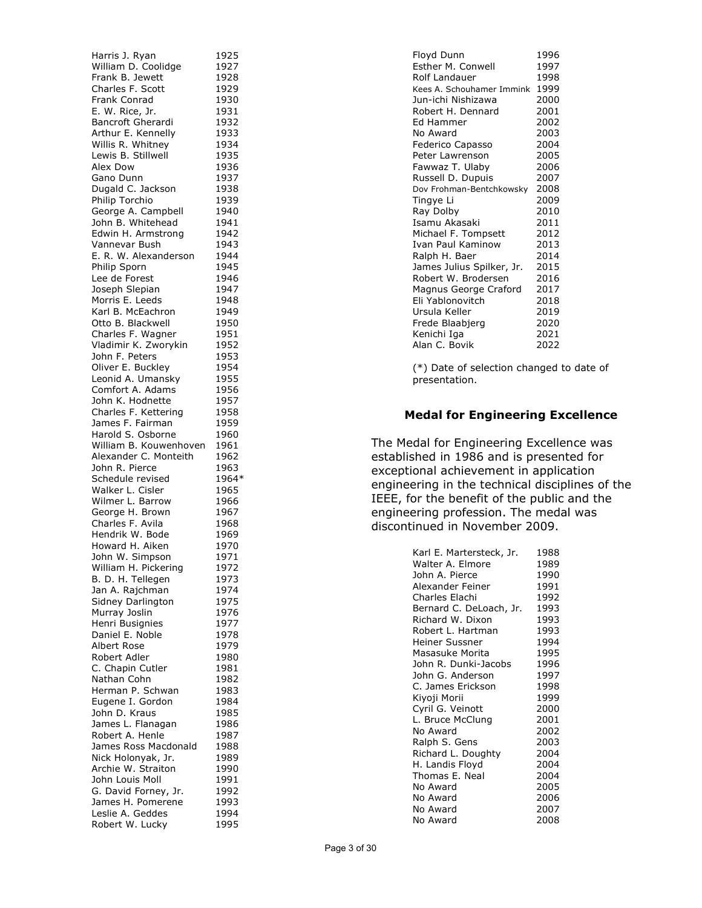Harris J. Ryan 1925 William D. Coolidge 1927 Frank B. Jewett 1928<br>Charles F. Scott 1929 Charles F. Scott 1929<br>Frank Conrad 1930 Frank Conrad E. W. Rice, Jr. 1931<br>Bancroft Gherardi 1932 Bancroft Gherardi 1932<br>Arthur E. Kennelly 1933 Arthur E. Kennelly Willis R. Whitney 1934 Lewis B. Stillwell 1935 Alex Dow 1936 Gano Dunn 1937 Dugald C. Jackson 1938<br>Philip Torchio 1939 Philip Torchio George A. Campbell 1940 John B. Whitehead 1941<br>Edwin H. Armstrong 1942 Edwin H. Armstrong 1942<br>Vannevar Bush 1943 Vannevar Bush E. R. W. Alexanderson 1944 Philip Sporn 1945 Lee de Forest 1946<br>Joseph Slepian 1947 Joseph Slepian Morris E. Leeds 1948 Karl B. McEachron 1949 Otto B. Blackwell 1950<br>Charles F. Wagner 1951 Charles F. Wagner Vladimir K. Zworykin 1952 John F. Peters 1953<br>Oliver E. Bucklev 1954 Oliver E. Buckley 1954<br>Leonid A. Umansky 1955 Leonid A. Umansky Comfort A. Adams 1956 John K. Hodnette 1957 Charles F. Kettering 1958 James F. Fairman 1959<br>Harold S. Osborne 1960 Harold S. Osborne William B. Kouwenhoven 1961 Alexander C. Monteith 1962 John R. Pierce 1963<br>Schedule revised 1964\* Schedule revised 1964<br>Walker L. Cisler 1965 Walker L. Cisler Wilmer L. Barrow 1966 George H. Brown 1967<br>Charles F. Avila 1968 Charles F. Avila Hendrik W. Bode 1969 Howard H. Aiken 1970 John W. Simpson 1971 William H. Pickering 1972<br>B. D. H. Tellegen 1973 B. D. H. Tellegen Jan A. Rajchman 1974 Sidney Darlington 1975<br>Murray Joslin 1976 Murray Joslin 1976<br>
Henri Busignies 1977 Henri Busignies Daniel E. Noble 1978 Albert Rose 1979 Robert Adler 1980 C. Chapin Cutler 1981<br>Nathan Cohn 1982 Nathan Cohn Herman P. Schwan 1983 Eugene I. Gordon 1984 John D. Kraus 1985<br>James L. Flanagan 1986 James L. Flanagan Robert A. Henle 1987 James Ross Macdonald 1988<br>Nick Holonyak, Jr. 1989 Nick Holonyak, Jr. 1989<br>Archie W. Straiton 1990 Archie W. Straiton John Louis Moll 1991 G. David Forney, Jr. 1992<br>James H. Pomerene 1993 James H. Pomerene Leslie A. Geddes 1994<br>Robert W. Lucky 1995 Robert W. Lucky

| 1996<br>1997<br>1998              |
|-----------------------------------|
| 1999<br>Kees A. Schouhamer Immink |
| 2000                              |
| 2001                              |
| 2002                              |
| 2003                              |
| 2004                              |
| 2005                              |
| 2006                              |
| 2007                              |
| 2008                              |
| 2009                              |
| 2010                              |
| 2011                              |
| 2012                              |
| 2013                              |
| 2014                              |
| 2015                              |
| 2016                              |
| 2017                              |
| 2018                              |
| 2019                              |
| 2020                              |
| 2021                              |
| 2022                              |
|                                   |

(\*) Date of selection changed to date of presentation.

## **Medal for Engineering Excellence**

The Medal for Engineering Excellence was established in 1986 and is presented for exceptional achievement in application engineering in the technical disciplines of the IEEE, for the benefit of the public and the engineering profession. The medal was discontinued in November 2009.

| Karl E. Martersteck, Jr. | 1988 |
|--------------------------|------|
| Walter A. Elmore         | 1989 |
| John A. Pierce           | 1990 |
| Alexander Feiner         | 1991 |
| Charles Elachi           | 1992 |
| Bernard C. DeLoach, Jr.  | 1993 |
| Richard W. Dixon         | 1993 |
| Robert L. Hartman        | 1993 |
| Heiner Sussner           | 1994 |
| Masasuke Morita          | 1995 |
| John R. Dunki-Jacobs     | 1996 |
| John G. Anderson         | 1997 |
| C. James Erickson        | 1998 |
| Kiyoji Morii             | 1999 |
| Cyril G. Veinott         | 2000 |
| L. Bruce McClung         | 2001 |
| No Award                 | 2002 |
| Ralph S. Gens            | 2003 |
| Richard L. Doughty       | 2004 |
| H. Landis Floyd          | 2004 |
| Thomas E. Neal           | 2004 |
| No Award                 | 2005 |
| No Award                 | 2006 |
| No Award                 | 2007 |
| No Award                 | 2008 |
|                          |      |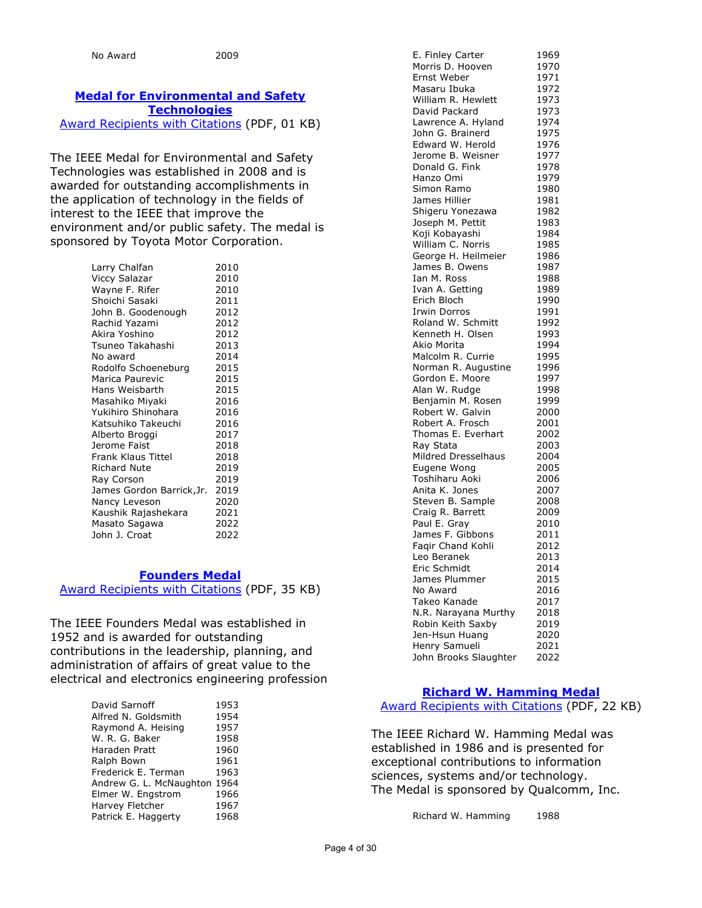# **[Medal for Environmental and](https://corporate-awards.ieee.org/corporate-awards/#medals) Safety [Technologies](https://corporate-awards.ieee.org/corporate-awards/#medals)**

[Award Recipients with Citations](https://www.ieee.org/content/dam/ieee-org/ieee/web/org/about/awards/recipients/env-safety-rl.pdf) (PDF, 01 KB)

The IEEE Medal for Environmental and Safety Technologies was established in 2008 and is awarded for outstanding accomplishments in the application of technology in the fields of interest to the IEEE that improve the environment and/or public safety. The medal is sponsored by Toyota Motor Corporation.

| Larry Chalfan             | 2010 |
|---------------------------|------|
| Viccy Salazar             | 2010 |
| Wayne F. Rifer            | 2010 |
| Shoichi Sasaki            | 2011 |
| John B. Goodenough        | 2012 |
| Rachid Yazami             | 2012 |
| Akira Yoshino             | 2012 |
| Tsuneo Takahashi          | 2013 |
| No award                  | 2014 |
| Rodolfo Schoeneburg       | 2015 |
| Marica Paurevic           | 2015 |
| Hans Weisbarth            | 2015 |
| Masahiko Miyaki           | 2016 |
| Yukihiro Shinohara        | 2016 |
| Katsuhiko Takeuchi        | 2016 |
| Alberto Broggi            | 2017 |
| Jerome Faist              | 2018 |
| Frank Klaus Tittel        | 2018 |
| <b>Richard Nute</b>       | 2019 |
| Ray Corson                | 2019 |
| James Gordon Barrick, Jr. | 2019 |
| Nancy Leveson             | 2020 |
| Kaushik Rajashekara       | 2021 |
| Masato Sagawa             | 2022 |
| John J. Croat             | 2022 |

#### **[Founders Medal](https://corporate-awards.ieee.org/corporate-awards/#medals)**

[Award Recipients with Citations](https://www.ieee.org/content/dam/ieee-org/ieee/web/org/about/awards/recipients/founders-rl.pdf) (PDF, 35 KB)

The IEEE Founders Medal was established in 1952 and is awarded for outstanding contributions in the leadership, planning, and administration of affairs of great value to the electrical and electronics engineering profession

| David Sarnoff                | 1953 |
|------------------------------|------|
| Alfred N. Goldsmith          | 1954 |
| Raymond A. Heising           | 1957 |
| W. R. G. Baker               | 1958 |
| Haraden Pratt                | 1960 |
| Ralph Bown                   | 1961 |
| Frederick E. Terman          | 1963 |
| Andrew G. L. McNaughton 1964 |      |
| Elmer W. Engstrom            | 1966 |
| Harvey Fletcher              | 1967 |
| Patrick E. Haggerty          | 1968 |
|                              |      |

| E. Finley Carter      | 1969 |
|-----------------------|------|
| Morris D. Hooven      |      |
|                       | 1970 |
| Ernst Weber           | 1971 |
| Masaru Ibuka          | 1972 |
|                       |      |
| William R. Hewlett    | 1973 |
| David Packard         | 1973 |
| Lawrence A. Hyland    | 1974 |
|                       |      |
| John G. Brainerd      | 1975 |
| Edward W. Herold      | 1976 |
| Jerome B. Weisner     | 1977 |
|                       |      |
| Donald G. Fink        | 1978 |
| Hanzo Omi             | 1979 |
| Simon Ramo            | 1980 |
|                       |      |
| James Hillier         | 1981 |
| Shigeru Yonezawa      | 1982 |
| Joseph M. Pettit      | 1983 |
|                       |      |
| Koji Kobayashi        | 1984 |
| William C. Norris     | 1985 |
| George H. Heilmeier   | 1986 |
|                       |      |
| James B. Owens        | 1987 |
| Ian M. Ross           | 1988 |
| Ivan A. Getting       | 1989 |
| Erich Bloch           |      |
|                       | 1990 |
| <b>Irwin Dorros</b>   | 1991 |
| Roland W. Schmitt     | 1992 |
| Kenneth H. Olsen      | 1993 |
|                       |      |
| Akio Morita           | 1994 |
| Malcolm R. Currie     | 1995 |
| Norman R. Augustine   | 1996 |
| Gordon E. Moore       | 1997 |
|                       |      |
| Alan W. Rudge         | 1998 |
| Benjamin M. Rosen     | 1999 |
| Robert W. Galvin      | 2000 |
| Robert A. Frosch      | 2001 |
|                       |      |
| Thomas E. Everhart    | 2002 |
| Ray Stata             | 2003 |
| Mildred Dresselhaus   | 2004 |
|                       |      |
| Eugene Wong           | 2005 |
| Toshiharu Aoki        | 2006 |
| Anita K. Jones        | 2007 |
| Steven B. Sample      | 2008 |
|                       |      |
| Craig R. Barrett      | 2009 |
| Paul E. Gray          | 2010 |
| James F. Gibbons      | 2011 |
| Fagir Chand Kohli     |      |
|                       | 2012 |
| Leo Beranek           | 2013 |
| Eric Schmidt          | 2014 |
| James Plummer         | 2015 |
|                       |      |
| No Award              | 2016 |
| Takeo Kanade          | 2017 |
| N.R. Narayana Murthy  | 2018 |
|                       |      |
| Robin Keith Saxby     | 2019 |
| Jen-Hsun Huang        | 2020 |
| Henry Samueli         | 2021 |
| John Brooks Slaughter | 2022 |
|                       |      |

## **[Richard W. Hamming Medal](https://corporate-awards.ieee.org/corporate-awards/#medals)** [Award Recipients with Citations](https://www.ieee.org/content/dam/ieee-org/ieee/web/org/about/awards/recipients/hamming-rl.pdf) (PDF, 22 KB)

The IEEE Richard W. Hamming Medal was established in 1986 and is presented for exceptional contributions to information sciences, systems and/or technology. The Medal is sponsored by Qualcomm, Inc.

Richard W. Hamming 1988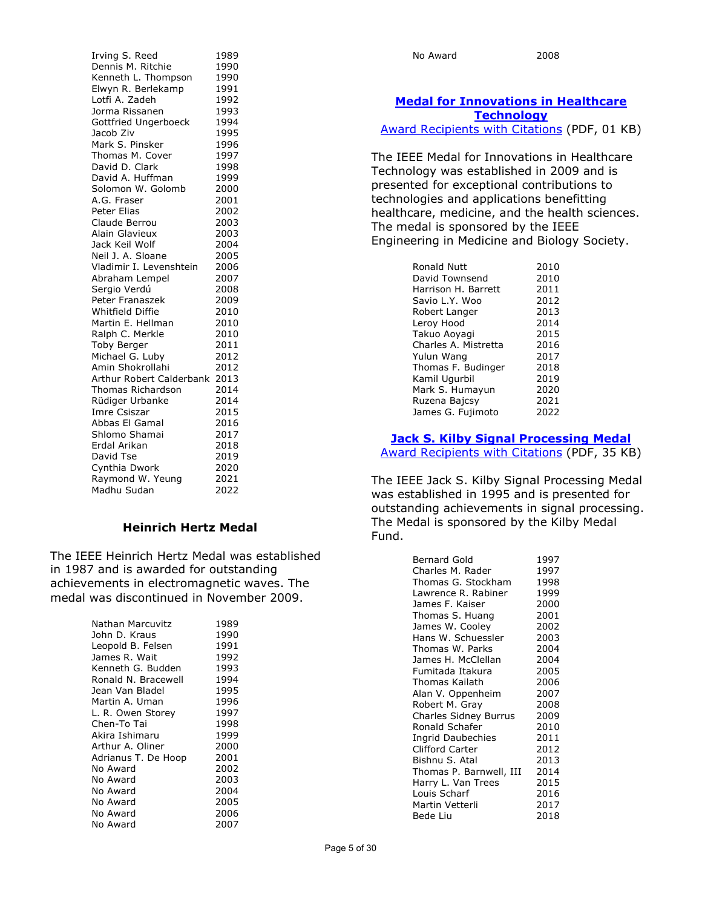| Irving S. Reed           | 1989 |
|--------------------------|------|
| Dennis M. Ritchie        | 1990 |
| Kenneth L. Thompson      | 1990 |
| Elwyn R. Berlekamp       | 1991 |
| Lotfi A. Zadeh           | 1992 |
| Jorma Rissanen           | 1993 |
| Gottfried Ungerboeck     | 1994 |
| Jacob Ziv                | 1995 |
| Mark S. Pinsker          | 1996 |
| Thomas M. Cover          | 1997 |
| David D. Clark           | 1998 |
| David A. Huffman         | 1999 |
| Solomon W. Golomb        | 2000 |
| A.G. Fraser              | 2001 |
| Peter Elias              | 2002 |
| Claude Berrou            | 2003 |
| Alain Glavieux           | 2003 |
| Jack Keil Wolf           | 2004 |
| Neil J. A. Sloane        | 2005 |
| Vladimir I. Levenshtein  | 2006 |
| Abraham Lempel           | 2007 |
| Sergio Verdú             | 2008 |
| <b>Peter Franaszek</b>   | 2009 |
| Whitfield Diffie         | 2010 |
| Martin E. Hellman        | 2010 |
| Ralph C. Merkle          | 2010 |
| <b>Toby Berger</b>       | 2011 |
| Michael G. Luby          | 2012 |
| Amin Shokrollahi         | 2012 |
| Arthur Robert Calderbank | 2013 |
| <b>Thomas Richardson</b> | 2014 |
| Rüdiger Urbanke          | 2014 |
| Imre Csiszar             | 2015 |
| Abbas El Gamal           | 2016 |
| Shlomo Shamai            | 2017 |
| Erdal Arikan             | 2018 |
| David Tse                | 2019 |
| Cynthia Dwork            | 2020 |
| Raymond W. Yeung         | 2021 |
| Madhu Sudan              | 2022 |

## **Heinrich Hertz Medal**

The IEEE Heinrich Hertz Medal was established in 1987 and is awarded for outstanding achievements in electromagnetic waves. The medal was discontinued in November 2009.

| Nathan Marcuvitz    | 1989 |
|---------------------|------|
| John D. Kraus       | 1990 |
| Leopold B. Felsen   | 1991 |
| James R. Wait       | 1992 |
| Kenneth G. Budden   | 1993 |
| Ronald N. Bracewell | 1994 |
| Jean Van Bladel     | 1995 |
| Martin A. Uman      | 1996 |
| L. R. Owen Storey   | 1997 |
| Chen-To Tai         | 1998 |
| Akira Ishimaru      | 1999 |
| Arthur A. Oliner    | 2000 |
| Adrianus T. De Hoop | 2001 |
| No Award            | 2002 |
| No Award            | 2003 |
| No Award            | 2004 |
| No Award            | 2005 |
| No Award            | 2006 |
| No Award            | 2007 |

| No Award |  |
|----------|--|
|----------|--|

2008

# **[Medal for Innovations in Healthcare](https://corporate-awards.ieee.org/corporate-awards/#medals)  [Technology](https://corporate-awards.ieee.org/corporate-awards/#medals)**

[Award Recipients with Citations](https://www.ieee.org/content/dam/ieee-org/ieee/web/org/about/awards/recipients/healthcare-rl.pdf) (PDF, 01 KB)

The IEEE Medal for Innovations in Healthcare Technology was established in 2009 and is presented for exceptional contributions to technologies and applications benefitting healthcare, medicine, and the health sciences. The medal is sponsored by the IEEE Engineering in Medicine and Biology Society.

| Ronald Nutt          | 2010 |
|----------------------|------|
| David Townsend       | 2010 |
| Harrison H. Barrett  | 2011 |
| Savio L.Y. Woo       | 2012 |
| Robert Langer        | 2013 |
| Leroy Hood           | 2014 |
| Takuo Aoyagi         | 2015 |
| Charles A. Mistretta | 2016 |
| Yulun Wang           | 2017 |
| Thomas F. Budinger   | 2018 |
| Kamil Uqurbil        | 2019 |
| Mark S. Humayun      | 2020 |
| Ruzena Bajcsy        | 2021 |
| James G. Fujimoto    | 2022 |

#### **[Jack S. Kilby Signal Processing Medal](https://corporate-awards.ieee.org/corporate-awards/#medals)**

[Award Recipients with Citations](https://www.ieee.org/content/dam/ieee-org/ieee/web/org/about/awards/recipients/kilby-rl.pdf) (PDF, 35 KB)

The IEEE Jack S. Kilby Signal Processing Medal was established in 1995 and is presented for outstanding achievements in signal processing. The Medal is sponsored by the Kilby Medal Fund.

| <b>Bernard Gold</b>     | 1997 |
|-------------------------|------|
| Charles M. Rader        | 1997 |
| Thomas G. Stockham      | 1998 |
| Lawrence R. Rabiner     | 1999 |
| James F. Kaiser         | 2000 |
| Thomas S. Huang         | 2001 |
| James W. Cooley         | 2002 |
| Hans W. Schuessler      | 2003 |
| Thomas W. Parks         | 2004 |
| James H. McClellan      | 2004 |
| Fumitada Itakura        | 2005 |
| Thomas Kailath          | 2006 |
| Alan V. Oppenheim       | 2007 |
| Robert M. Gray          | 2008 |
| Charles Sidney Burrus   | 2009 |
| Ronald Schafer          | 2010 |
| Ingrid Daubechies       | 2011 |
| <b>Clifford Carter</b>  | 2012 |
| Bishnu S. Atal          | 2013 |
| Thomas P. Barnwell, III | 2014 |
| Harry L. Van Trees      | 2015 |
| Louis Scharf            | 2016 |
| Martin Vetterli         | 2017 |
| Bede Liu                | 2018 |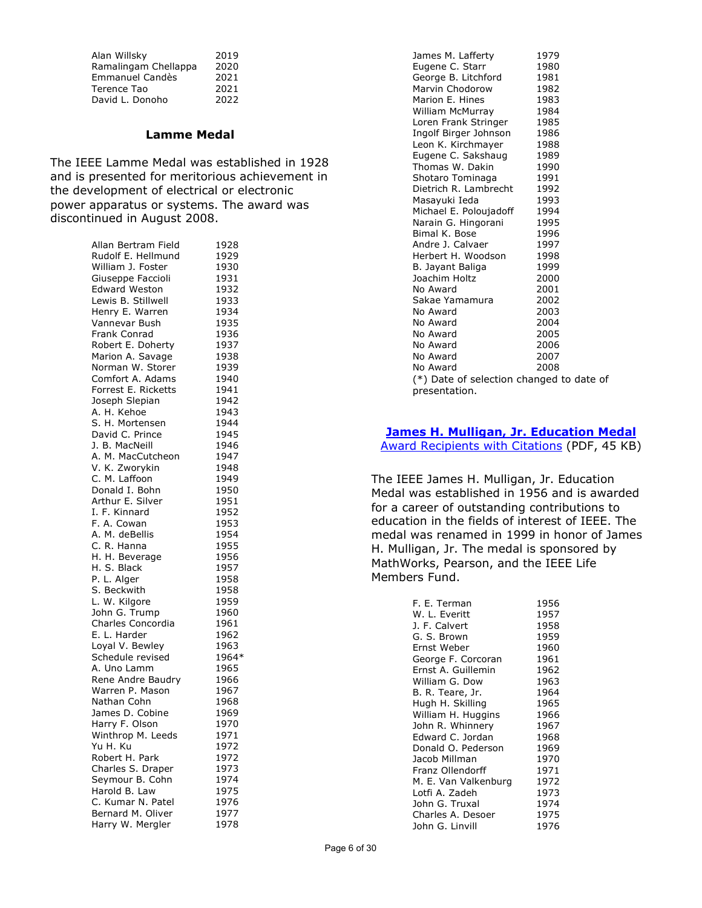| Alan Willsky         | 2019 |
|----------------------|------|
| Ramalingam Chellappa | 2020 |
| Emmanuel Candès      | 2021 |
| Terence Tao          | 2021 |
| David L. Donoho      | 2022 |

#### **Lamme Medal**

The IEEE Lamme Medal was established in 1928 and is presented for meritorious achievement in the development of electrical or electronic power apparatus or systems. The award was discontinued in August 2008.

| Allan Bertram Field  | 1928  |
|----------------------|-------|
| Rudolf E. Hellmund   | 1929  |
| William J. Foster    |       |
|                      | 1930  |
| Giuseppe Faccioli    | 1931  |
| <b>Edward Weston</b> | 1932  |
| Lewis B. Stillwell   | 1933  |
| Henry E. Warren      | 1934  |
| Vannevar Bush        | 1935  |
| Frank Conrad         | 1936  |
| Robert E. Doherty    | 1937  |
|                      |       |
| Marion A. Savage     | 1938  |
| Norman W. Storer     | 1939  |
| Comfort A. Adams     | 1940  |
| Forrest E. Ricketts  | 1941  |
| Joseph Slepian       | 1942  |
| A. H. Kehoe          | 1943  |
| S. H. Mortensen      | 1944  |
| David C. Prince      | 1945  |
|                      |       |
| J. B. MacNeill       | 1946  |
| A. M. MacCutcheon    | 1947  |
| V. K. Zworykin       | 1948  |
| C. M. Laffoon        | 1949  |
| Donald I. Bohn       | 1950  |
| Arthur E. Silver     | 1951  |
| I. F. Kinnard        | 1952  |
| F. A. Cowan          | 1953  |
| A. M. deBellis       | 1954  |
| C. R. Hanna          | 1955  |
|                      |       |
| H. H. Beverage       | 1956  |
| H. S. Black          | 1957  |
| P. L. Alger          | 1958  |
| S. Beckwith          | 1958  |
| L. W. Kilgore        | 1959  |
| John G. Trump        | 1960  |
| Charles Concordia    | 1961  |
| E. L. Harder         | 1962  |
| Loyal V. Bewley      | 1963  |
| Schedule revised     | 1964* |
| A. Uno Lamm          |       |
|                      | 1965  |
| Rene Andre Baudry    | 1966  |
| Warren P. Mason      | 1967  |
| Nathan Cohn          | 1968  |
| James D. Cobine      | 1969  |
| Harry F. Olson       | 1970  |
| Winthrop M. Leeds    | 1971  |
| Yu H. Ku             | 1972  |
| Robert H. Park       | 1972  |
| Charles S. Draper    | 1973  |
| Seymour B. Cohn      | 1974  |
|                      |       |
| Harold B. Law        | 1975  |
| C. Kumar N. Patel    | 1976  |
| Bernard M. Oliver    | 1977  |
| Harry W. Mergler     | 1978  |

| James M. Lafferty                        | 1979 |
|------------------------------------------|------|
| Eugene C. Starr                          | 1980 |
| George B. Litchford                      | 1981 |
| Marvin Chodorow                          | 1982 |
| Marion E. Hines                          | 1983 |
| William McMurray                         | 1984 |
| Loren Frank Stringer                     | 1985 |
| Ingolf Birger Johnson                    | 1986 |
| Leon K. Kirchmayer                       | 1988 |
| Eugene C. Sakshaug                       | 1989 |
| Thomas W. Dakin                          | 1990 |
| Shotaro Tominaga                         | 1991 |
| Dietrich R. Lambrecht                    | 1992 |
| Masayuki Ieda                            | 1993 |
| Michael E. Poloujadoff                   | 1994 |
| Narain G. Hingorani                      | 1995 |
| Bimal K. Bose                            | 1996 |
| Andre J. Calvaer                         | 1997 |
| Herbert H. Woodson                       | 1998 |
| B. Jayant Baliga                         | 1999 |
| Joachim Holtz                            | 2000 |
| No Award                                 | 2001 |
| Sakae Yamamura                           | 2002 |
| No Award                                 | 2003 |
| No Award                                 | 2004 |
| No Award                                 | 2005 |
| No Award                                 | 2006 |
| No Award                                 | 2007 |
| No Award                                 | 2008 |
| (*) Date of selection changed to date of |      |
| presentation.                            |      |

# **[James H. Mulligan, Jr. Education Medal](https://corporate-awards.ieee.org/corporate-awards/#medals)**

[Award Recipients](https://www.ieee.org/content/dam/ieee-org/ieee/web/org/about/awards/recipients/education-rl.pdf) with Citations (PDF, 45 KB)

The IEEE James H. Mulligan, Jr. Education Medal was established in 1956 and is awarded for a career of outstanding contributions to education in the fields of interest of IEEE. The medal was renamed in 1999 in honor of James H. Mulligan, Jr. The medal is sponsored by MathWorks, Pearson, and the IEEE Life Members Fund.

| F. E. Terman         | 1956 |
|----------------------|------|
| W. L. Everitt        | 1957 |
| J. F. Calvert        | 1958 |
| G. S. Brown          | 1959 |
| Ernst Weber          | 1960 |
| George F. Corcoran   | 1961 |
| Ernst A. Guillemin   | 1962 |
| William G. Dow       | 1963 |
| B. R. Teare, Jr.     | 1964 |
| Hugh H. Skilling     | 1965 |
| William H. Huggins   | 1966 |
| John R. Whinnery     | 1967 |
| Edward C. Jordan     | 1968 |
| Donald O. Pederson   | 1969 |
| Jacob Millman        | 1970 |
| Franz Ollendorff     | 1971 |
| M. E. Van Valkenburg | 1972 |
| Lotfi A. Zadeh       | 1973 |
| John G. Truxal       | 1974 |
| Charles A. Desoer    | 1975 |
| John G. Linvill      | 1976 |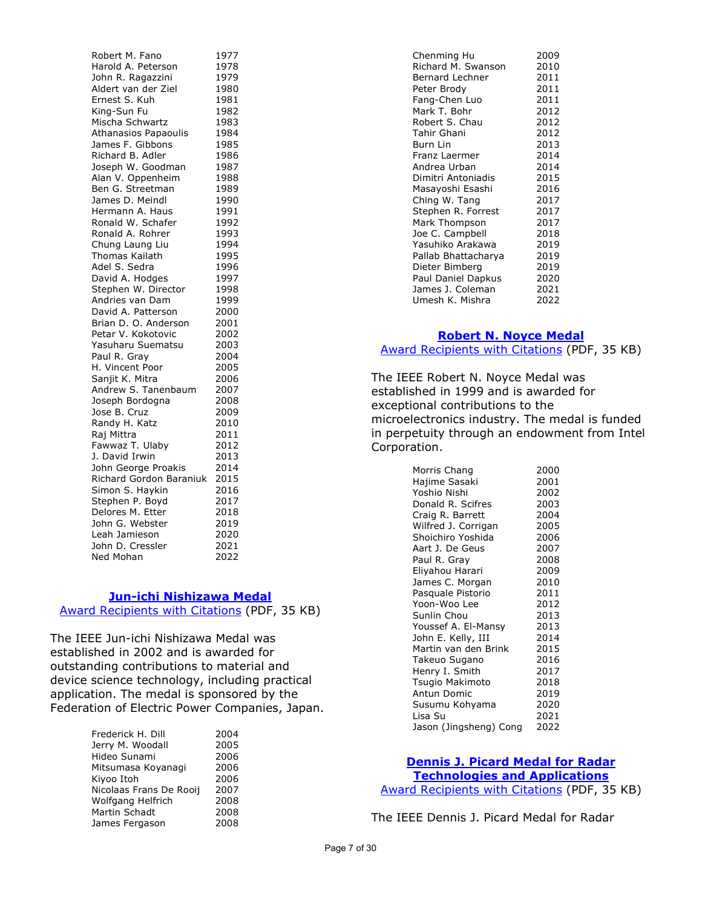Robert M. Fano 1977 Harold A. Peterson 1978 John R. Ragazzini 1979 Aldert van der Ziel 1980<br>Ernest S. Kuh 1981 Ernest S. Kuh King-Sun Fu 1982<br>Mischa Schwartz 1983 Mischa Schwartz 1983<br>Athanasios Papaoulis 1984 Athanasios Papaoulis James F. Gibbons 1985 Richard B. Adler 1986 Joseph W. Goodman 1987 Alan V. Oppenheim 1988 Ben G. Streetman 1989<br>James D. Meindl 1990 James D. Meindl Hermann A. Haus 1991 Ronald W. Schafer 1992<br>Ronald A. Rohrer 1993 Ronald A. Rohrer 1993<br>Chung Laung Liu 1994 Chung Laung Liu Thomas Kailath 1995 Adel S. Sedra 1996 David A. Hodges 1997 Stephen W. Director 1998 Andries van Dam 1999 David A. Patterson 2000 Brian D. O. Anderson 2001<br>Petar V. Kokotovic 2002 Petar V. Kokotovic Yasuharu Suematsu 2003 Paul R. Gray 1992 2004<br>
H. Vincent Poor 1990 2005 H. Vincent Poor 2005 Sanjit K. Mitra Andrew S. Tanenbaum 2007 Joseph Bordogna 2008<br>Jose B. Cruz 2009 Jose B. Cruz Randy H. Katz 2010 Raj Mittra 2011 Fawwaz T. Ulaby 2012 J. David Irwin 2013 John George Proakis 2014 Richard Gordon Baraniuk 2015 Simon S. Haykin 2016 Stephen P. Boyd 2017 Delores M. Etter 2018 John G. Webster 2019 Leah Jamieson 2020 John D. Cressler 2021 Ned Mohan 2022

#### **[Jun-ichi Nishizawa Medal](https://corporate-awards.ieee.org/corporate-awards/#medals)**

[Award Recipients with Citations](https://www.ieee.org/content/dam/ieee-org/ieee/web/org/about/awards/recipients/nishizawa-rl.pdf) (PDF, 35 KB)

The IEEE Jun-ichi Nishizawa Medal was established in 2002 and is awarded for outstanding contributions to material and device science technology, including practical application. The medal is sponsored by the Federation of Electric Power Companies, Japan.

| Frederick H. Dill       | 2004 |
|-------------------------|------|
| Jerry M. Woodall        | 2005 |
| Hideo Sunami            | 2006 |
| Mitsumasa Koyanagi      | 2006 |
| Kiyoo Itoh              | 2006 |
| Nicolaas Frans De Rooij | 2007 |
| Wolfgang Helfrich       | 2008 |
| Martin Schadt           | 2008 |
| James Fergason          | 2008 |

| Chenming Hu         | 2009 |
|---------------------|------|
| Richard M. Swanson  | 2010 |
| Bernard Lechner     | 2011 |
| Peter Brody         | 2011 |
| Fang-Chen Luo       | 2011 |
| Mark T. Bohr        | 2012 |
| Robert S. Chau      | 2012 |
| Tahir Ghani         | 2012 |
| Burn Lin            | 2013 |
| Franz Laermer       | 2014 |
| Andrea Urban        | 2014 |
| Dimitri Antoniadis  | 2015 |
| Masayoshi Esashi    | 2016 |
| Ching W. Tang       | 2017 |
| Stephen R. Forrest  | 2017 |
| Mark Thompson       | 2017 |
| Joe C. Campbell     | 2018 |
| Yasuhiko Arakawa    | 2019 |
| Pallab Bhattacharya | 2019 |
| Dieter Bimberg      | 2019 |
| Paul Daniel Dapkus  | 2020 |
| James J. Coleman    | 2021 |
| Umesh K. Mishra     | 2022 |
|                     |      |

# **[Robert N. Noyce Medal](https://corporate-awards.ieee.org/corporate-awards/#medals)** [Award Recipients with Citations](https://www.ieee.org/content/dam/ieee-org/ieee/web/org/about/awards/recipients/noyce-rl.pdf) (PDF, 35 KB)

The IEEE Robert N. Noyce Medal was established in 1999 and is awarded for exceptional contributions to the microelectronics industry. The medal is funded in perpetuity through an endowment from Intel Corporation.

| Morris Chang           | 2000 |
|------------------------|------|
| Hajime Sasaki          | 2001 |
| Yoshio Nishi           | 2002 |
| Donald R. Scifres      | 2003 |
| Craig R. Barrett       | 2004 |
| Wilfred J. Corrigan    | 2005 |
| Shoichiro Yoshida      | 2006 |
| Aart J. De Geus        | 2007 |
| Paul R. Gray           | 2008 |
| Eliyahou Harari        | 2009 |
| James C. Morgan        | 2010 |
| Pasquale Pistorio      | 2011 |
| Yoon-Woo Lee           | 2012 |
| Sunlin Chou            | 2013 |
| Youssef A. El-Mansy    | 2013 |
| John E. Kelly, III     | 2014 |
| Martin van den Brink   | 2015 |
| Takeuo Sugano          | 2016 |
| Henry I. Smith         | 2017 |
| Tsugio Makimoto        | 2018 |
| Antun Domic            | 2019 |
| Susumu Kohyama         | 2020 |
| Lisa Su                | 2021 |
| Jason (Jingsheng) Cong | 2022 |

## **[Dennis J. Picard Medal for Radar](https://corporate-awards.ieee.org/corporate-awards/#medals)**

**[Technologies and Applications](https://corporate-awards.ieee.org/corporate-awards/#medals)** [Award Recipients with Citations](https://www.ieee.org/content/dam/ieee-org/ieee/web/org/about/awards/recipients/picard-rl.pdf) (PDF, 35 KB)

The IEEE Dennis J. Picard Medal for Radar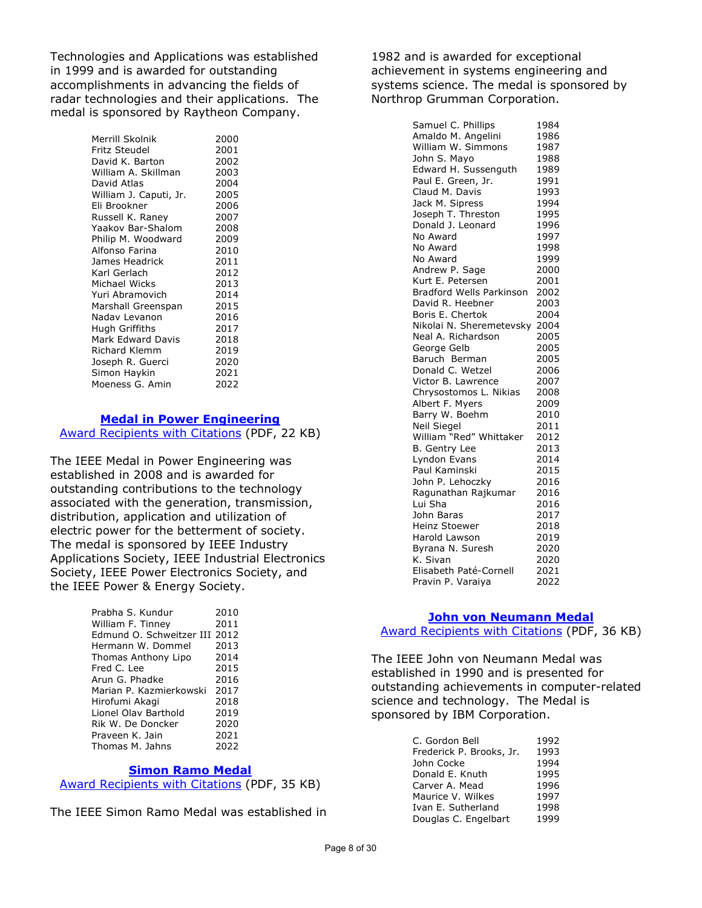Technologies and Applications was established in 1999 and is awarded for outstanding accomplishments in advancing the fields of radar technologies and their applications. The medal is sponsored by Raytheon Company.

> Merrill Skolnik 2000 Fritz Steudel 2001 David K. Barton 2002 William A. Skillman 2003 David Atlas 1988 2004<br>William J. Caputi, Jr. 2005 William J. Caputi, Jr. Eli Brookner 2006 Russell K. Raney 2007<br>Yaakov Bar-Shalom 2008 Yaakov Bar-Shalom 2008<br>Philip M. Woodward 2009 Philip M. Woodward Alfonso Farina 2010 James Headrick 2011 Karl Gerlach 2012 Michael Wicks 2013 Yuri Abramovich 2014 Marshall Greenspan 2015 Nadav Levanon 2016 Hugh Griffiths 2017<br>Mark Edward Davis 2018 Mark Edward Davis Richard Klemm 2019 Joseph R. Guerci 2020 Simon Haykin 2021<br>Moeness G. Amin 2022 Moeness G. Amin

### **[Medal in Power Engineering](https://corporate-awards.ieee.org/corporate-awards/#medals)**

[Award Recipients with Citations](https://www.ieee.org/content/dam/ieee-org/ieee/web/org/about/awards/recipients/pwr-engrg-rl.pdf) (PDF, 22 KB)

The IEEE Medal in Power Engineering was established in 2008 and is awarded for outstanding contributions to the technology associated with the generation, transmission, distribution, application and utilization of electric power for the betterment of society. The medal is sponsored by IEEE Industry Applications Society, IEEE Industrial Electronics Society, IEEE Power Electronics Society, and the IEEE Power & Energy Society.

| Prabha S. Kundur              | 2010 |
|-------------------------------|------|
| William F. Tinney             | 2011 |
| Edmund O. Schweitzer III 2012 |      |
| Hermann W. Dommel             | 2013 |
| Thomas Anthony Lipo           | 2014 |
| Fred C. Lee                   | 2015 |
| Arun G. Phadke                | 2016 |
| Marian P. Kazmierkowski       | 2017 |
| Hirofumi Akagi                | 2018 |
| Lionel Olav Barthold          | 2019 |
| Rik W. De Doncker             | 2020 |
| Praveen K. Jain               | 2021 |
| Thomas M. Jahns               | 2022 |
|                               |      |

#### **[Simon Ramo Medal](https://corporate-awards.ieee.org/corporate-awards/#medals)**

[Award Recipients with Citations](https://www.ieee.org/content/dam/ieee-org/ieee/web/org/about/awards/recipients/ramo-rl.pdf) (PDF, 35 KB)

The IEEE Simon Ramo Medal was established in

1982 and is awarded for exceptional achievement in systems engineering and systems science. The medal is sponsored by Northrop Grumman Corporation.

> Samuel C. Phillips 1984 Amaldo M. Angelini 1986<br>William W. Simmons 1987 William W. Simmons 1987<br>John S. Mavo 1988 John S. Mayo 1988<br>Edward H. Sussenguth 1989 Edward H. Sussenguth Paul E. Green, Jr. 1991<br>Claud M. Davis 1993 Claud M. Davis 1993<br>Jack M. Sipress 1994 Jack M. Sipress Joseph T. Threston 1995<br>Donald Lleonard 1996 Donald J. Leonard No Award 1997 No Award 1998 No Award 1999<br>Andrew P. Sage 2000 Andrew P. Sage Kurt E. Petersen 2001 Bradford Wells Parkinson 2002 David R. Heebner 2003<br>Boris E. Chertok 2004 Boris E. Chertok Nikolai N. Sheremetevsky 2004 Neal A. Richardson George Gelb 2005 Baruch Berman 2005 Donald C. Wetzel 2006 Victor B. Lawrence 2007 Chrysostomos L. Nikias 2008 Albert F. Myers 2009<br>Barry W. Boehm 2010 Barry W. Boehm Neil Siegel 2011<br>William "Red" Whittaker 2012 William "Red" Whittaker 2012<br>B. Gentry Lee 2013 B. Gentry Lee Lyndon Evans 2014 Paul Kaminski 2015 John P. Lehoczky 2016 Ragunathan Rajkumar 2016 Lui Sha 2016 John Baras 2017 Heinz Stoewer 2018 Harold Lawson 2019<br>Byrana N. Suresh 2020 Byrana N. Suresh 2020<br>K. Sivan 2020 K. Sivan Elisabeth Paté-Cornell 2021 Pravin P. Varaiya 2022

#### **[John von Neumann Medal](https://corporate-awards.ieee.org/corporate-awards/#medals)**

[Award Recipients with Citations](https://www.ieee.org/content/dam/ieee-org/ieee/web/org/about/awards/recipients/von-neumann_rl.pdf) (PDF, 36 KB)

The IEEE John von Neumann Medal was established in 1990 and is presented for outstanding achievements in computer-related science and technology. The Medal is sponsored by IBM Corporation.

| C. Gordon Bell           | 1992 |
|--------------------------|------|
| Frederick P. Brooks, Jr. | 1993 |
| John Cocke               | 1994 |
| Donald E. Knuth          | 1995 |
| Carver A. Mead           | 1996 |
| Maurice V. Wilkes        | 1997 |
| Ivan E. Sutherland       | 1998 |
| Douglas C. Engelbart     | 1999 |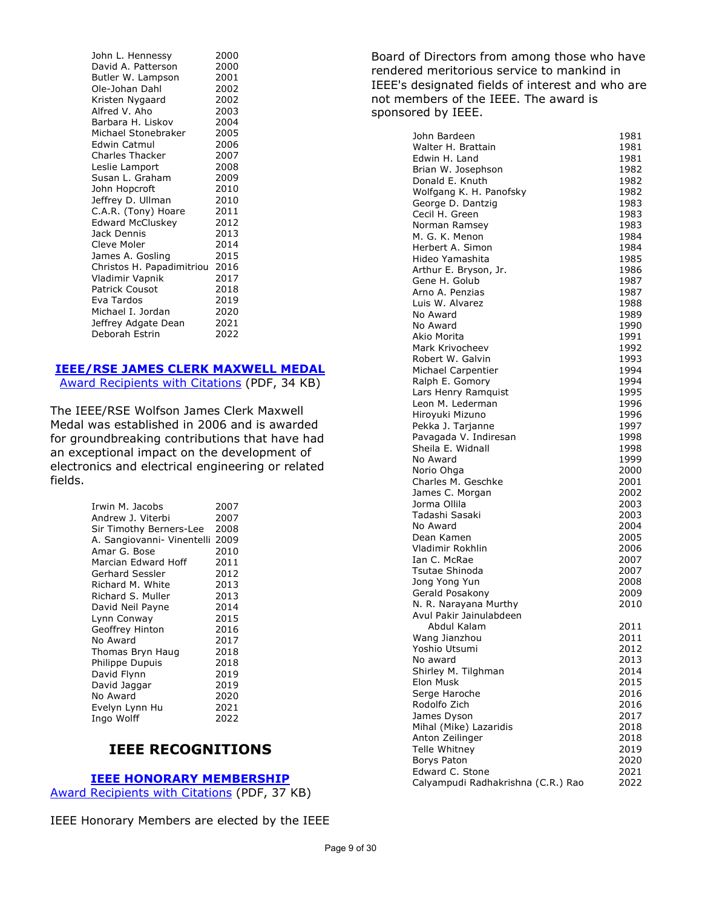| John L. Hennessy          | 2000 |
|---------------------------|------|
| David A. Patterson        | 2000 |
| Butler W. Lampson         | 2001 |
| Ole-Johan Dahl            | 2002 |
| Kristen Nygaard           | 2002 |
| Alfred V. Aho             | 2003 |
| Barbara H. Liskov         | 2004 |
| Michael Stonebraker       | 2005 |
| Edwin Catmul              | 2006 |
| <b>Charles Thacker</b>    | 2007 |
| Leslie Lamport            | 2008 |
| Susan L. Graham           | 2009 |
| John Hopcroft             | 2010 |
| Jeffrey D. Ullman         | 2010 |
| C.A.R. (Tony) Hoare       | 2011 |
| <b>Edward McCluskey</b>   | 2012 |
| Jack Dennis               | 2013 |
| Cleve Moler               | 2014 |
| James A. Gosling          | 2015 |
| Christos H. Papadimitriou | 2016 |
| Vladimir Vapnik           | 2017 |
| <b>Patrick Cousot</b>     | 2018 |
| Eva Tardos                | 2019 |
| Michael I. Jordan         | 2020 |
| Jeffrey Adgate Dean       | 2021 |
| Deborah Estrin            | 2022 |

# **[IEEE/RSE JAMES CLERK MAXWELL MEDAL](https://corporate-awards.ieee.org/corporate-awards/#medals)**

[Award Recipients with Citations](https://www.ieee.org/content/dam/ieee-org/ieee/web/org/about/awards/recipients/maxwell-rl.pdf) (PDF, 34 KB)

The IEEE/RSE Wolfson James Clerk Maxwell Medal was established in 2006 and is awarded for groundbreaking contributions that have had an exceptional impact on the development of electronics and electrical engineering or related fields.

| Irwin M. Jacobs<br>Andrew J. Viterbi | 2007<br>2007 |
|--------------------------------------|--------------|
| Sir Timothy Berners-Lee              | 2008         |
| A. Sangiovanni- Vinentelli           | 2009         |
| Amar G. Bose                         | 2010         |
| Marcian Edward Hoff                  | 2011         |
| Gerhard Sessler                      | 2012         |
| Richard M. White                     | 2013         |
| Richard S. Muller                    | 2013         |
| David Neil Payne                     | 2014         |
| Lynn Conway                          | 2015         |
| Geoffrey Hinton                      | 2016         |
| No Award                             | 2017         |
| Thomas Bryn Haug                     | 2018         |
| <b>Philippe Dupuis</b>               | 2018         |
| David Flynn                          | 2019         |
| David Jaggar                         | 2019         |
| No Award                             | 2020         |
| Evelyn Lynn Hu                       | 2021         |
| Ingo Wolff                           | 2022         |

# **IEEE RECOGNITIONS**

## **[IEEE HONORARY MEMBERSHIP](https://corporate-awards.ieee.org/corporate-awards/#recognitions)**

[Award Recipients with Citations](https://www.ieee.org/content/dam/ieee-org/ieee/web/org/about/awards/recipients/hon-mem-rl.pdf) (PDF, 37 KB)

IEEE Honorary Members are elected by the IEEE

Board of Directors from among those who have rendered meritorious service to mankind in IEEE's designated fields of interest and who are not members of the IEEE. The award is sponsored by IEEE.

| John Bardeen                       | 1981 |
|------------------------------------|------|
| Walter H. Brattain                 | 1981 |
| Edwin H. Land                      | 1981 |
| Brian W. Josephson                 | 1982 |
| Donald E. Knuth                    | 1982 |
| Wolfgang K. H. Panofsky            | 1982 |
| George D. Dantzig                  | 1983 |
| Cecil H. Green                     | 1983 |
| Norman Ramsey                      | 1983 |
| M. G. K. Menon                     | 1984 |
| Herbert A. Simon                   | 1984 |
| Hideo Yamashita                    | 1985 |
| Arthur E. Bryson, Jr.              | 1986 |
| Gene H. Golub                      | 1987 |
| Arno A. Penzias                    | 1987 |
| Luis W. Alvarez                    | 1988 |
| No Award                           | 1989 |
| No Award                           | 1990 |
| Akio Morita                        | 1991 |
| Mark Krivocheev                    | 1992 |
| Robert W. Galvin                   | 1993 |
| Michael Carpentier                 | 1994 |
| Ralph E. Gomory                    | 1994 |
| Lars Henry Ramquist                | 1995 |
| Leon M. Lederman                   | 1996 |
| Hiroyuki Mizuno                    | 1996 |
| Pekka J. Tarjanne                  | 1997 |
| Pavagada V. Indiresan              | 1998 |
| Sheila E. Widnall                  | 1998 |
| No Award                           | 1999 |
| Norio Ohga                         | 2000 |
| Charles M. Geschke                 | 2001 |
| James C. Morgan                    | 2002 |
| Jorma Ollila                       | 2003 |
| Tadashi Sasaki                     | 2003 |
| No Award                           | 2004 |
| Dean Kamen                         | 2005 |
| Vladimir Rokhlin                   | 2006 |
| Ian C. McRae                       | 2007 |
| Tsutae Shinoda                     | 2007 |
| Jong Yong Yun                      | 2008 |
| Gerald Posakony                    | 2009 |
| N. R. Narayana Murthy              | 2010 |
| Avul Pakir Jainulabdeen            |      |
| Abdul Kalam                        | 2011 |
| Wang Jianzhou                      | 2011 |
| Yoshio Utsumi                      | 2012 |
| No award                           | 2013 |
| Shirley M. Tilghman                | 2014 |
| Elon Musk                          | 2015 |
| Serge Haroche                      | 2016 |
| Rodolfo Zich                       | 2016 |
| James Dyson                        | 2017 |
| Mihal (Mike) Lazaridis             | 2018 |
| Anton Zeilinger                    | 2018 |
| <b>Telle Whitney</b>               | 2019 |
| <b>Borys Paton</b>                 | 2020 |
| Edward C. Stone                    | 2021 |
| Calyampudi Radhakrishna (C.R.) Rao | 2022 |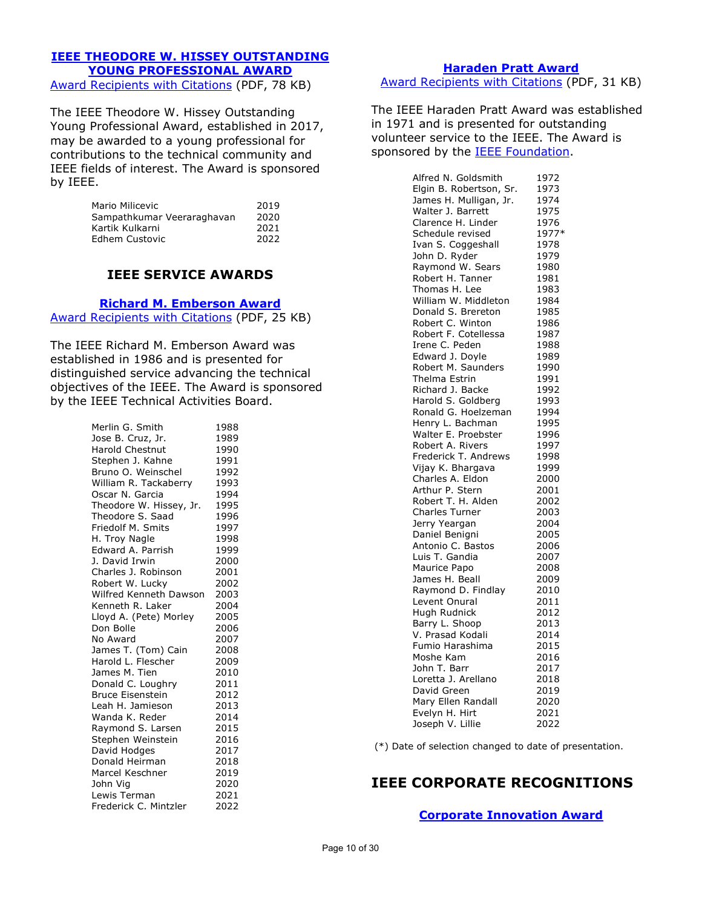# **[IEEE THEODORE W. HISSEY OUTSTANDING](https://corporate-awards.ieee.org/corporate-awards/#recognitions)  [YOUNG PROFESSIONAL AWARD](https://corporate-awards.ieee.org/corporate-awards/#recognitions)**

[Award Recipients with Citations](https://www.ieee.org/content/dam/ieee-org/ieee/web/org/about/awards/recipients/hissey-rl.pdf) (PDF, 78 KB)

The IEEE Theodore W. Hissey Outstanding Young Professional Award, established in 2017, may be awarded to a young professional for contributions to the technical community and IEEE fields of interest. The Award is sponsored by IEEE.

| Mario Milicevic            | 2019 |
|----------------------------|------|
| Sampathkumar Veeraraghavan | 2020 |
| Kartik Kulkarni            | 2021 |
| Edhem Custovic             | 2022 |

# **IEEE SERVICE AWARDS**

**[Richard M. Emberson Award](https://corporate-awards.ieee.org/corporate-awards/#recognitions)**

[Award Recipients with Citations](https://www.ieee.org/content/dam/ieee-org/ieee/web/org/about/awards/recipients/emberson-rl.pdf) (PDF, 25 KB)

The IEEE Richard M. Emberson Award was established in 1986 and is presented for distinguished service advancing the technical objectives of the IEEE. The Award is sponsored by the IEEE Technical Activities Board.

| Merlin G. Smith         | 1988 |
|-------------------------|------|
| Jose B. Cruz, Jr.       | 1989 |
| <b>Harold Chestnut</b>  | 1990 |
| Stephen J. Kahne        | 1991 |
| Bruno O. Weinschel      | 1992 |
| William R. Tackaberry   | 1993 |
| Oscar N. Garcia         | 1994 |
| Theodore W. Hissey, Jr. | 1995 |
| Theodore S. Saad        | 1996 |
| Friedolf M. Smits       | 1997 |
| H. Troy Nagle           | 1998 |
| Edward A. Parrish       | 1999 |
| J. David Irwin          | 2000 |
| Charles J. Robinson     | 2001 |
| Robert W. Lucky         | 2002 |
| Wilfred Kenneth Dawson  | 2003 |
| Kenneth R. Laker        | 2004 |
| Lloyd A. (Pete) Morley  | 2005 |
| Don Bolle               | 2006 |
| No Award                | 2007 |
| James T. (Tom) Cain     | 2008 |
| Harold L. Flescher      | 2009 |
| James M. Tien           | 2010 |
| Donald C. Loughry       | 2011 |
| <b>Bruce Eisenstein</b> | 2012 |
| Leah H. Jamieson        | 2013 |
| Wanda K. Reder          | 2014 |
| Raymond S. Larsen       | 2015 |
| Stephen Weinstein       | 2016 |
| David Hodges            | 2017 |
| Donald Heirman          | 2018 |
| Marcel Keschner         | 2019 |
| John Vig                | 2020 |
| Lewis Terman            | 2021 |
| Frederick C. Mintzler   | 2022 |

**[Haraden Pratt Award](https://corporate-awards.ieee.org/corporate-awards/#recognitions)** [Award Recipients with Citations](https://www.ieee.org/content/dam/ieee-org/ieee/web/org/about/awards/recipients/pratt-rl.pdf) (PDF, 31 KB)

The IEEE Haraden Pratt Award was established in 1971 and is presented for outstanding volunteer service to the IEEE. The Award is sponsored by the **IEEE Foundation**.

| Alfred N. Goldsmith     | 1972  |
|-------------------------|-------|
| Elgin B. Robertson, Sr. | 1973  |
| James H. Mulligan, Jr.  | 1974  |
| Walter J. Barrett       | 1975  |
| Clarence H. Linder      | 1976  |
| Schedule revised        | 1977* |
| Ivan S. Coggeshall      | 1978  |
| John D. Ryder           | 1979  |
| Raymond W. Sears        | 1980  |
| Robert H. Tanner        | 1981  |
| Thomas H. Lee           | 1983  |
| William W. Middleton    | 1984  |
| Donald S. Brereton      | 1985  |
| Robert C. Winton        | 1986  |
| Robert F. Cotellessa    | 1987  |
| Irene C. Peden          | 1988  |
| Edward J. Doyle         | 1989  |
| Robert M. Saunders      | 1990  |
| Thelma Estrin           | 1991  |
| Richard J. Backe        | 1992  |
| Harold S. Goldberg      | 1993  |
| Ronald G. Hoelzeman     | 1994  |
| Henry L. Bachman        | 1995  |
| Walter E. Proebster     | 1996  |
| Robert A. Rivers        | 1997  |
| Frederick T. Andrews    | 1998  |
| Vijay K. Bhargava       | 1999  |
| Charles A. Eldon        | 2000  |
| Arthur P. Stern         | 2001  |
| Robert T. H. Alden      | 2002  |
| Charles Turner          | 2003  |
| Jerry Yeargan           | 2004  |
| Daniel Benigni          | 2005  |
| Antonio C. Bastos       | 2006  |
| Luis T. Gandia          | 2007  |
| Maurice Papo            | 2008  |
| James H. Beall          | 2009  |
| Raymond D. Findlay      | 2010  |
| Levent Onural           | 2011  |
| Hugh Rudnick            | 2012  |
| Barry L. Shoop          | 2013  |
| V. Prasad Kodali        | 2014  |
| Fumio Harashima         | 2015  |
| Moshe Kam               | 2016  |
| John T. Barr            | 2017  |
| Loretta J. Arellano     | 2018  |
| David Green             | 2019  |
| Mary Ellen Randall      | 2020  |
| Evelyn H. Hirt          | 2021  |
| Joseph V. Lillie        | 2022  |
|                         |       |

(\*) Date of selection changed to date of presentation.

# **IEEE CORPORATE RECOGNITIONS**

**[Corporate Innovation Award](https://corporate-awards.ieee.org/corporate-awards/#recognitions)**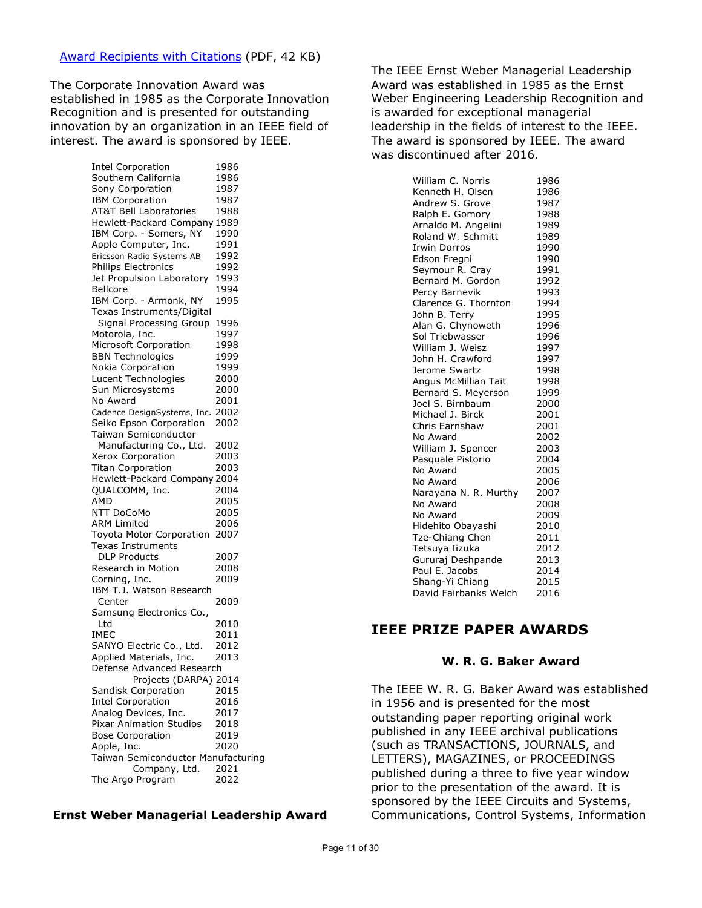The Corporate Innovation Award was established in 1985 as the Corporate Innovation Recognition and is presented for outstanding innovation by an organization in an IEEE field of interest. The award is sponsored by IEEE.

> Intel Corporation 1986 Southern California 1986<br>Sony Cornoration 1987 Sony Corporation 1987<br>
> IBM Corporation 1987 IBM Corporation AT&T Bell Laboratories 1988 Hewlett-Packard Company 1989 IBM Corp. - Somers, NY 1990 Apple Computer, Inc. 1991 Ericsson Radio Systems AB 1992 Philips Electronics 1992 Jet Propulsion Laboratory 1993 Bellcore 1994 IBM Corp. - Armonk, NY 1995 Texas Instruments/Digital Signal Processing Group 1996 Motorola, Inc. Microsoft Corporation 1998 BBN Technologies 1999 Nokia Corporation 1999 Lucent Technologies 2000 Sun Microsystems 2000 No Award 2001 Cadence DesignSystems, Inc. 2002 Seiko Epson Corporation 2002 Taiwan Semiconductor Manufacturing Co., Ltd. 2002 Xerox Corporation 2003 Titan Corporation 2003 Hewlett-Packard Company 2004 QUALCOMM, Inc. 2004 AMD 2005 NTT DoCoMo 2005 ARM Limited 2006 Toyota Motor Corporation 2007 Texas Instruments DLP Products 2007 Research in Motion 2008 Corning, Inc. 2009 IBM T.J. Watson Research Center 2009 Samsung Electronics Co., Ltd 2010 IMEC 2011 SANYO Electric Co., Ltd. 2012 Applied Materials, Inc. 2013 Defense Advanced Research Projects (DARPA) 2014 Sandisk Corporation 2015 Intel Corporation 2016 Analog Devices, Inc. 2017<br>Pixar Animation Studios 2018 Pixar Animation Studios Bose Corporation 2019 Apple, Inc. 2020 Taiwan Semiconductor Manufacturing Company, Ltd. 2021 The Argo Program 2022

#### **Ernst Weber Managerial Leadership Award**

The IEEE Ernst Weber Managerial Leadership Award was established in 1985 as the Ernst Weber Engineering Leadership Recognition and is awarded for exceptional managerial leadership in the fields of interest to the IEEE. The award is sponsored by IEEE. The award was discontinued after 2016.

| William C. Norris     | 1986 |
|-----------------------|------|
| Kenneth H. Olsen      | 1986 |
| Andrew S. Grove       | 1987 |
| Ralph E. Gomory       | 1988 |
| Arnaldo M. Angelini   | 1989 |
| Roland W. Schmitt     | 1989 |
| <b>Irwin Dorros</b>   | 1990 |
| Edson Fregni          | 1990 |
| Seymour R. Cray       | 1991 |
| Bernard M. Gordon     | 1992 |
| Percy Barnevik        | 1993 |
| Clarence G. Thornton  | 1994 |
| John B. Terry         | 1995 |
| Alan G. Chynoweth     | 1996 |
| Sol Triebwasser       | 1996 |
| William J. Weisz      | 1997 |
| John H. Crawford      | 1997 |
| Jerome Swartz         | 1998 |
| Angus McMillian Tait  | 1998 |
| Bernard S. Meyerson   | 1999 |
| Joel S. Birnbaum      | 2000 |
| Michael J. Birck      | 2001 |
| Chris Earnshaw        | 2001 |
| No Award              | 2002 |
| William J. Spencer    | 2003 |
| Pasquale Pistorio     | 2004 |
| No Award              | 2005 |
| No Award              | 2006 |
| Narayana N. R. Murthy | 2007 |
| No Award              | 2008 |
| No Award              | 2009 |
| Hidehito Obayashi     | 2010 |
| Tze-Chiang Chen       | 2011 |
| Tetsuya Iizuka        | 2012 |
| Gururaj Deshpande     | 2013 |
| Paul E. Jacobs        | 2014 |
| Shang-Yi Chiang       | 2015 |
| David Fairbanks Welch | 2016 |

# **IEEE PRIZE PAPER AWARDS**

### **W. R. G. Baker Award**

The IEEE W. R. G. Baker Award was established in 1956 and is presented for the most outstanding paper reporting original work published in any IEEE archival publications (such as TRANSACTIONS, JOURNALS, and LETTERS), MAGAZINES, or PROCEEDINGS published during a three to five year window prior to the presentation of the award. It is sponsored by the IEEE Circuits and Systems, Communications, Control Systems, Information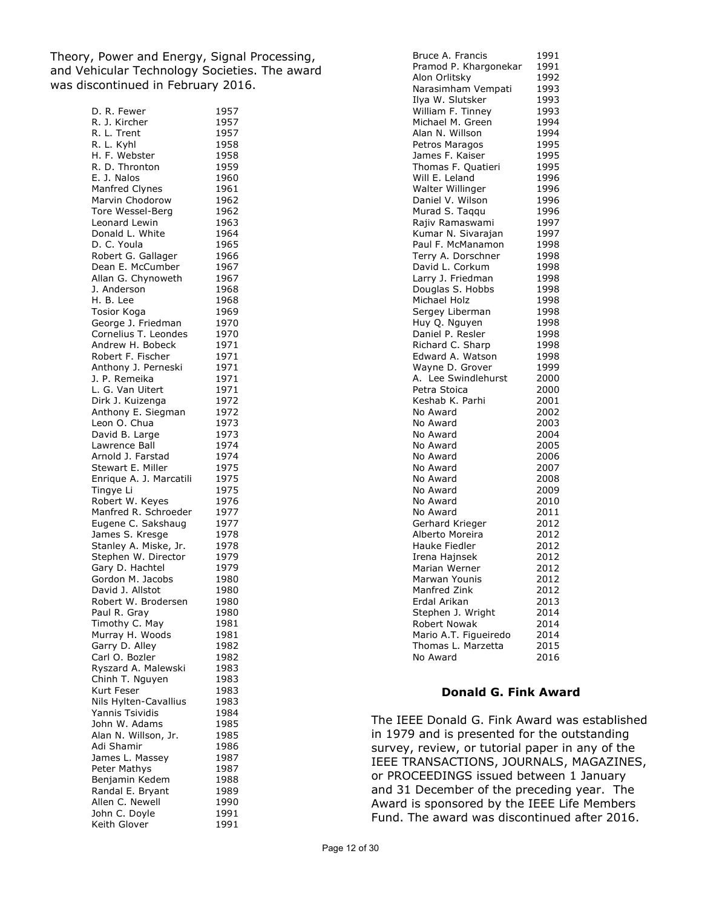Theory, Power and Energy, Signal Processing, and Vehicular Technology Societies. The award was discontinued in February 2016.

| D. R. Fewer                            | 1957         |
|----------------------------------------|--------------|
| R. J. Kircher                          | 1957         |
| R. L. Trent                            | 1957         |
| R. L. Kyhl                             | 1958         |
| H. F. Webster                          | 1958         |
| R. D. Thronton                         | 1959         |
| E. J. Nalos                            | 1960         |
| Manfred Clynes                         | 1961         |
| Marvin Chodorow                        | 1962         |
| Tore Wessel-Berg                       | 1962         |
| Leonard Lewin                          | 1963         |
| Donald L. White                        | 1964         |
| D. C. Youla                            | 1965         |
| Robert G. Gallager                     | 1966         |
| Dean E. McCumber<br>Allan G. Chynoweth | 1967         |
| J. Anderson                            | 1967<br>1968 |
| H. B. Lee                              | 1968         |
| <b>Tosior Koga</b>                     | 1969         |
| George J. Friedman                     | 1970         |
| Cornelius T. Leondes                   | 1970         |
| Andrew H. Bobeck                       | 1971         |
| Robert F. Fischer                      | 1971         |
| Anthony J. Perneski                    | 1971         |
| J. P. Remeika                          | 1971         |
| L. G. Van Uitert                       | 1971         |
| Dirk J. Kuizenga                       | 1972         |
| Anthony E. Siegman                     | 1972         |
| Leon O. Chua                           | 1973         |
| David B. Large                         | 1973         |
| Lawrence Ball                          | 1974         |
| Arnold J. Farstad                      | 1974         |
| Stewart E. Miller                      | 1975         |
| Enrique A. J. Marcatili                | 1975         |
| Tingye Li                              | 1975         |
| Robert W. Keyes                        | 1976         |
| Manfred R. Schroeder                   | 1977         |
| Eugene C. Sakshaug                     | 1977         |
| James S. Kresge                        | 1978         |
| Stanley A. Miske, Jr.                  | 1978         |
| Stephen W. Director                    | 1979         |
| Gary D. Hachtel                        | 1979         |
| Gordon M. Jacobs                       | 1980         |
| David J. Allstot                       | 1980         |
| Robert W. Brodersen                    | 1980         |
| Paul R. Gray                           | 1980         |
| Timothy C. May<br>Murray H. Woods      | 1981<br>1981 |
| Garry D. Alley                         | 1982         |
| Carl O. Bozler                         | 1982         |
| Ryszard A. Malewski                    | 1983         |
| Chinh T. Nguyen                        | 1983         |
| Kurt Feser                             | 1983         |
| Nils Hylten-Cavallius                  | 1983         |
| Yannis Tsividis                        | 1984         |
| John W. Adams                          | 1985         |
| Alan N. Willson, Jr.                   | 1985         |
| Adi Shamir                             | 1986         |
| James L. Massey                        | 1987         |
| Peter Mathys                           | 1987         |
| Benjamin Kedem                         | 1988         |
| Randal E. Bryant                       | 1989         |
| Allen C. Newell                        | 1990         |
| John C. Doyle                          | 1991         |
| Keith Glover                           | 1991         |

| Bruce A. Francis      | 1991 |
|-----------------------|------|
| Pramod P. Khargonekar | 1991 |
| Alon Orlitsky         | 1992 |
| Narasimham Vempati    | 1993 |
| Ilya W. Slutsker      | 1993 |
| William F. Tinney     | 1993 |
| Michael M. Green      | 1994 |
| Alan N. Willson       | 1994 |
| Petros Maragos        | 1995 |
| James F. Kaiser       | 1995 |
| Thomas F. Quatieri    | 1995 |
| Will E. Leland        | 1996 |
| Walter Willinger      | 1996 |
| Daniel V. Wilson      | 1996 |
|                       |      |
| Murad S. Taqqu        | 1996 |
| Rajiv Ramaswami       | 1997 |
| Kumar N. Sivarajan    | 1997 |
| Paul F. McManamon     | 1998 |
| Terry A. Dorschner    | 1998 |
| David L. Corkum       | 1998 |
| Larry J. Friedman     | 1998 |
| Douglas S. Hobbs      | 1998 |
| Michael Holz          | 1998 |
| Sergey Liberman       | 1998 |
| Huy Q. Nguyen         | 1998 |
| Daniel P. Resler      | 1998 |
| Richard C. Sharp      | 1998 |
| Edward A. Watson      | 1998 |
| Wayne D. Grover       | 1999 |
| A. Lee Swindlehurst   | 2000 |
| Petra Stoica          | 2000 |
| Keshab K. Parhi       | 2001 |
| No Award              | 2002 |
| No Award              | 2003 |
| No Award              | 2004 |
| No Award              | 2005 |
| No Award              | 2006 |
| No Award              | 2007 |
| No Award              | 2008 |
| No Award              | 2009 |
| No Award              | 2010 |
| No Award              | 2011 |
| Gerhard Krieger       | 2012 |
| Alberto Moreira       | 2012 |
| Hauke Fiedler         | 2012 |
| Irena Hajnsek         | 2012 |
| Marian Werner         | 2012 |
| Marwan Younis         | 2012 |
| Manfred Zink          | 2012 |
| Erdal Arikan          | 2013 |
| Stephen J. Wright     | 2014 |
| Robert Nowak          | 2014 |
| Mario A.T. Figueiredo | 2014 |
| Thomas L. Marzetta    | 2015 |
| No Award              | 2016 |

#### **Donald G. Fink Award**

The IEEE Donald G. Fink Award was established in 1979 and is presented for the outstanding survey, review, or tutorial paper in any of the IEEE TRANSACTIONS, JOURNALS, MAGAZINES, or PROCEEDINGS issued between 1 January and 31 December of the preceding year. The Award is sponsored by the IEEE Life Members Fund. The award was discontinued after 2016.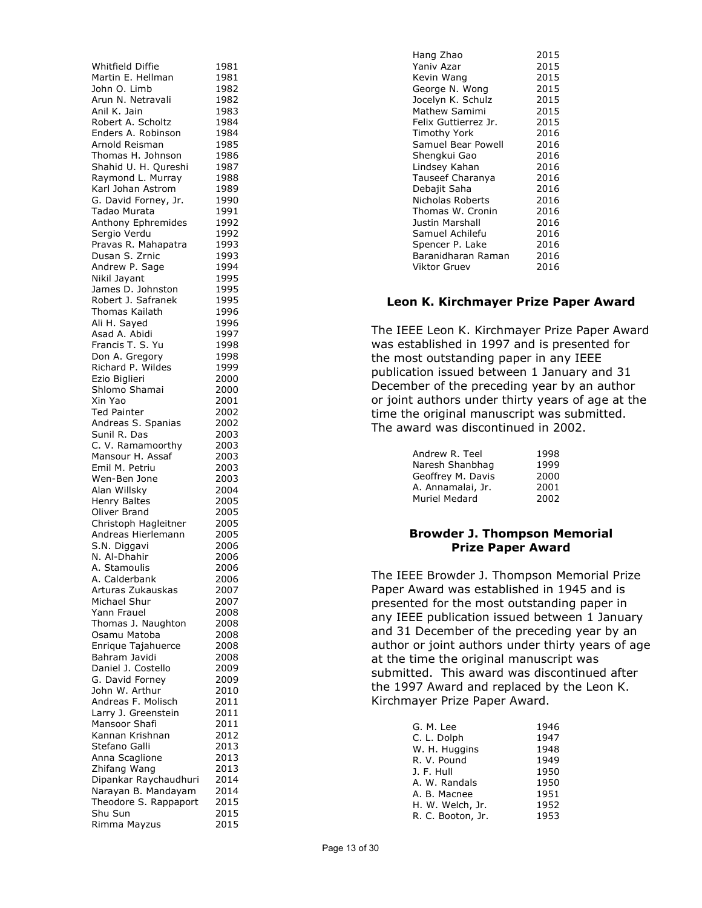| Whitfield Diffie                 | 1981 |
|----------------------------------|------|
| Martin E. Hellman                | 1981 |
| John O. Limb                     | 1982 |
| Arun N. Netravali                | 1982 |
| Anil K. Jain                     | 1983 |
| Robert A. Scholtz                | 1984 |
| Enders A. Robinson               | 1984 |
| Arnold Reisman                   | 1985 |
|                                  |      |
| Thomas H. Johnson                | 1986 |
| Shahid U. H. Qureshi             | 1987 |
| Raymond L. Murray                | 1988 |
| Karl Johan Astrom                | 1989 |
| G. David Forney, Jr.             | 1990 |
| Tadao Murata                     | 1991 |
| Anthony Ephremides               | 1992 |
| Sergio Verdu                     | 1992 |
| Pravas R. Mahapatra              | 1993 |
| Dusan S. Zrnic                   | 1993 |
| Andrew P. Sage                   | 1994 |
|                                  |      |
| Nikil Jayant                     | 1995 |
| James D. Johnston                | 1995 |
| Robert J. Safranek               | 1995 |
| <b>Thomas Kailath</b>            | 1996 |
| Ali H. Sayed                     | 1996 |
| Asad A. Abidi                    | 1997 |
| Francis T. S. Yu                 | 1998 |
| Don A. Gregory                   | 1998 |
| Richard P. Wildes                | 1999 |
| Ezio Biglieri                    | 2000 |
|                                  |      |
| Shlomo Shamai                    | 2000 |
| Xin Yao                          | 2001 |
| <b>Ted Painter</b>               | 2002 |
| Andreas S. Spanias               | 2002 |
| Sunil R. Das                     | 2003 |
| C. V. Ramamoorthy                | 2003 |
| Mansour H. Assaf                 | 2003 |
| Emil M. Petriu                   | 2003 |
| Wen-Ben Jone                     | 2003 |
| Alan Willsky                     | 2004 |
|                                  |      |
| Henry Baltes                     | 2005 |
| Oliver Brand                     | 2005 |
| Christoph Hagleitner             | 2005 |
| Andreas Hierlemann               | 2005 |
| S.N. Diggavi                     | 2006 |
| N. Al-Dhahir                     | 2006 |
| A. Stamoulis                     | 2006 |
| A. Calderbank                    | 2006 |
| Arturas Zukauskas                | 2007 |
| Michael Shur                     | 2007 |
|                                  |      |
| Yann Frauel                      | 2008 |
| Thomas J. Naughton               | 2008 |
| Osamu Matoba                     | 2008 |
| Enrique Tajahuerce               | 2008 |
| Bahram Javidi                    | 2008 |
| Daniel J. Costello               | 2009 |
| G. David Forney                  | 2009 |
| John W. Arthur                   | 2010 |
| Andreas F. Molisch               | 2011 |
| Larry J. Greenstein              | 2011 |
| Mansoor Shafi                    | 2011 |
|                                  |      |
| Kannan Krishnan                  | 2012 |
| Stefano Galli                    |      |
| Anna Scaglione                   | 2013 |
|                                  | 2013 |
| Zhifang Wang                     | 2013 |
| Dipankar Raychaudhuri            | 2014 |
| Narayan B. Mandayam              | 2014 |
|                                  | 2015 |
| Theodore S. Rappaport<br>Shu Sun | 2015 |

| Hang Zhao            | 2015 |
|----------------------|------|
| Yaniv Azar           | 2015 |
| Kevin Wang           | 2015 |
| George N. Wong       | 2015 |
| Jocelyn K. Schulz    | 2015 |
| Mathew Samimi        | 2015 |
| Felix Guttierrez Jr. | 2015 |
| Timothy York         | 2016 |
| Samuel Bear Powell   | 2016 |
| Shengkui Gao         | 2016 |
| Lindsey Kahan        | 2016 |
| Tauseef Charanya     | 2016 |
| Debajit Saha         | 2016 |
| Nicholas Roberts     | 2016 |
| Thomas W. Cronin     | 2016 |
| Justin Marshall      | 2016 |
| Samuel Achilefu      | 2016 |
| Spencer P. Lake      | 2016 |
| Baranidharan Raman   | 2016 |
| Viktor Gruev         | 2016 |

### **Leon K. Kirchmayer Prize Paper Award**

The IEEE Leon K. Kirchmayer Prize Paper Award was established in 1997 and is presented for the most outstanding paper in any IEEE publication issued between 1 January and 31 December of the preceding year by an author or joint authors under thirty years of age at the time the original manuscript was submitted. The award was discontinued in 2002.

| Andrew R. Teel    | 1998 |
|-------------------|------|
| Naresh Shanbhag   | 1999 |
| Geoffrey M. Davis | 2000 |
| A. Annamalai, Jr. | 2001 |
| Muriel Medard     | 2002 |
|                   |      |

## **Browder J. Thompson Memorial Prize Paper Award**

The IEEE Browder J. Thompson Memorial Prize Paper Award was established in 1945 and is presented for the most outstanding paper in any IEEE publication issued between 1 January and 31 December of the preceding year by an author or joint authors under thirty years of age at the time the original manuscript was submitted. This award was discontinued after the 1997 Award and replaced by the Leon K. Kirchmayer Prize Paper Award.

| G. M. Lee         | 1946 |
|-------------------|------|
| C. L. Dolph       | 1947 |
| W. H. Huggins     | 1948 |
| R. V. Pound       | 1949 |
| J. F. Hull        | 1950 |
| A. W. Randals     | 1950 |
| A. B. Macnee      | 1951 |
| H. W. Welch, Jr.  | 1952 |
| R. C. Booton, Jr. | 1953 |
|                   |      |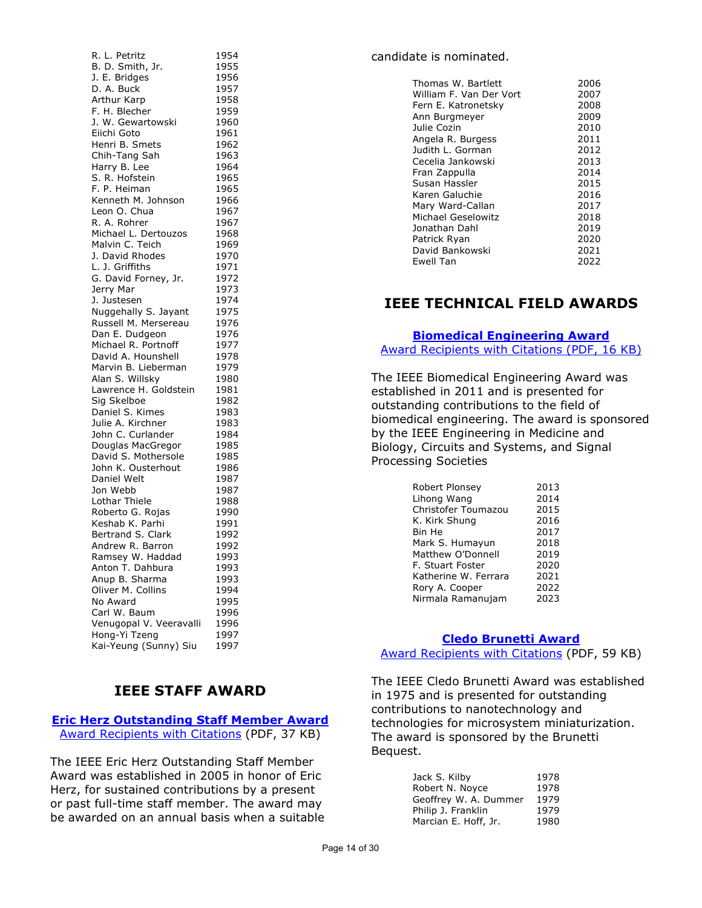| R. L. Petritz           | 1954         |
|-------------------------|--------------|
| B. D. Smith, Jr.        | 1955         |
| J. E. Bridges           | 1956         |
| D. A. Buck              | 1957         |
| Arthur Karp             | 1958         |
| F. H. Blecher           | 1959         |
| J. W. Gewartowski       | 1960         |
| Eiichi Goto             | 1961         |
| Henri B. Smets          | 1962         |
| Chih-Tang Sah           | 1963         |
| Harry B. Lee            | 1964         |
| S. R. Hofstein          | 1965         |
| F. P. Heiman            | 1965         |
| Kenneth M. Johnson      | 1966         |
| Leon O. Chua            | 1967         |
| R. A. Rohrer            | 1967         |
| Michael L. Dertouzos    | 1968         |
| Malvin C. Teich         | 1969         |
| J. David Rhodes         | 1970         |
|                         |              |
| L. J. Griffiths         | 1971<br>1972 |
| G. David Forney, Jr.    |              |
| Jerry Mar               | 1973         |
| J. Justesen             | 1974         |
| Nuggehally S. Jayant    | 1975         |
| Russell M. Mersereau    | 1976         |
| Dan E. Dudgeon          | 1976         |
| Michael R. Portnoff     | 1977         |
| David A. Hounshell      | 1978         |
| Marvin B. Lieberman     | 1979         |
| Alan S. Willsky         | 1980         |
| Lawrence H. Goldstein   | 1981         |
| Sig Skelboe             | 1982         |
| Daniel S. Kimes         | 1983         |
| Julie A. Kirchner       | 1983         |
| John C. Curlander       | 1984         |
| Douglas MacGregor       | 1985         |
| David S. Mothersole     | 1985         |
| John K. Ousterhout      | 1986         |
| Daniel Welt             | 1987         |
| Jon Webb                | 1987         |
| Lothar Thiele           | 1988         |
| Roberto G. Rojas        | 1990         |
| Keshab K. Parhi         | 1991         |
| Bertrand S. Clark       | 1992         |
| Andrew R. Barron        | 1992         |
| Ramsey W. Haddad        | 1993         |
| Anton T. Dahbura        | 1993         |
| Anup B. Sharma          | 1993         |
| Oliver M. Collins       | 1994         |
| No Award                | 1995         |
| Carl W. Baum            | 1996         |
| Venugopal V. Veeravalli | 1996         |
| Hong-Yi Tzeng           | 1997         |
| Kai-Yeung (Sunny) Siu   | 1997         |
|                         |              |

# **IEEE STAFF AWARD**

**[Eric Herz Outstanding Staff Member Award](https://corporate-awards.ieee.org/corporate-awards/#recognitions)**  [Award Recipients with Citations](https://www.ieee.org/content/dam/ieee-org/ieee/web/org/about/awards/recipients/herz-rl.pdf) (PDF, 37 KB)

The IEEE Eric Herz Outstanding Staff Member Award was established in 2005 in honor of Eric Herz, for sustained contributions by a present or past full-time staff member. The award may be awarded on an annual basis when a suitable

## candidate is nominated.

| Thomas W. Bartlett      | 2006 |
|-------------------------|------|
| William F. Van Der Vort | 2007 |
| Fern E. Katronetsky     | 2008 |
| Ann Burgmeyer           | 2009 |
| Julie Cozin             | 2010 |
| Angela R. Burgess       | 2011 |
| Judith L. Gorman        | 2012 |
| Cecelia Jankowski       | 2013 |
| Fran Zappulla           | 2014 |
| Susan Hassler           | 2015 |
| Karen Galuchie          | 2016 |
| Mary Ward-Callan        | 2017 |
| Michael Geselowitz      | 2018 |
| Jonathan Dahl           | 2019 |
| Patrick Ryan            | 2020 |
| David Bankowski         | 2021 |
| Ewell Tan               | 2022 |

# **IEEE TECHNICAL FIELD AWARDS**

## **[Biomedical Engineering Award](https://corporate-awards.ieee.org/corporate-awards/#field-awards)** [Award Recipients with Citations \(PDF, 16 KB\)](https://www.ieee.org/content/dam/ieee-org/ieee/web/org/about/awards/recipients/biomedical-engineering-rl.pdf)

The IEEE Biomedical Engineering Award was established in 2011 and is presented for outstanding contributions to the field of biomedical engineering. The award is sponsored by the IEEE Engineering in Medicine and Biology, Circuits and Systems, and Signal Processing Societies

| Robert Plonsey       | 2013 |
|----------------------|------|
| Lihong Wang          | 2014 |
| Christofer Toumazou  | 2015 |
| K. Kirk Shung        | 2016 |
| Bin He               | 2017 |
| Mark S. Humayun      | 2018 |
| Matthew O'Donnell    | 2019 |
| F. Stuart Foster     | 2020 |
| Katherine W. Ferrara | 2021 |
| Rory A. Cooper       | 2022 |
| Nirmala Ramanujam    | 2023 |

## **[Cledo Brunetti Award](https://corporate-awards.ieee.org/corporate-awards/#field-awards)**

[Award Recipients with Citations](https://www.ieee.org/content/dam/ieee-org/ieee/web/org/about/awards/recipients/brunetti-rl.pdf) (PDF, 59 KB)

The IEEE Cledo Brunetti Award was established in 1975 and is presented for outstanding contributions to nanotechnology and technologies for microsystem miniaturization. The award is sponsored by the Brunetti Bequest.

| Jack S. Kilby         | 1978 |
|-----------------------|------|
| Robert N. Noyce       | 1978 |
| Geoffrey W. A. Dummer | 1979 |
| Philip J. Franklin    | 1979 |
| Marcian E. Hoff, Jr.  | 1980 |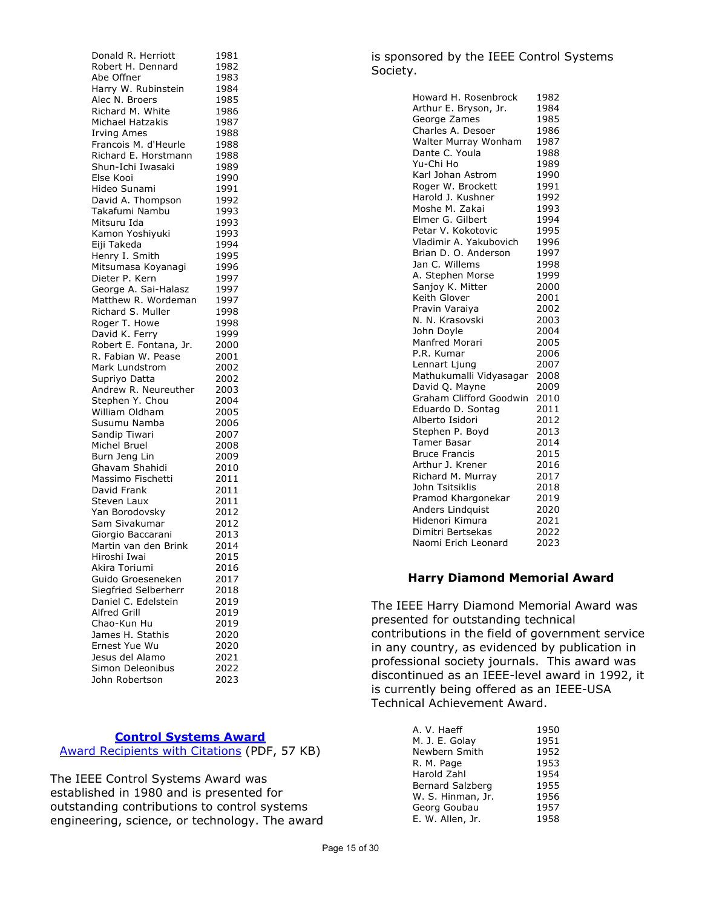| Donald R. Herriott                 | 1981 |
|------------------------------------|------|
| Robert H. Dennard                  | 1982 |
| Abe Offner                         | 1983 |
| Harry W. Rubinstein                | 1984 |
| Alec N. Broers                     | 1985 |
| Richard M. White                   | 1986 |
| Michael Hatzakis                   | 1987 |
| <b>Irving Ames</b>                 | 1988 |
| Francois M. d'Heurle               | 1988 |
| Richard E. Horstmann               |      |
| Shun-Ichi Iwasaki                  | 1988 |
|                                    | 1989 |
| Else Kooi                          | 1990 |
| Hideo Sunami                       | 1991 |
| David A. Thompson                  | 1992 |
| Takafumi Nambu                     | 1993 |
| Mitsuru Ida                        | 1993 |
| Kamon Yoshiyuki                    | 1993 |
| Eiji Takeda                        | 1994 |
| Henry I. Smith                     | 1995 |
| Mitsumasa Koyanagi                 | 1996 |
| Dieter P. Kern                     | 1997 |
| George A. Sai-Halasz               | 1997 |
| Matthew R. Wordeman                | 1997 |
| Richard S. Muller                  | 1998 |
| Roger T. Howe                      | 1998 |
| David K. Ferry                     | 1999 |
| Robert E. Fontana, Jr.             | 2000 |
| R. Fabian W. Pease                 | 2001 |
| Mark Lundstrom                     | 2002 |
| Supriyo Datta                      | 2002 |
| Andrew R. Neureuther               | 2003 |
| Stephen Y. Chou                    | 2004 |
| William Oldham                     | 2005 |
| Susumu Namba                       |      |
|                                    | 2006 |
| Sandip Tiwari                      | 2007 |
| Michel Bruel                       | 2008 |
| Burn Jeng Lin                      | 2009 |
| Ghavam Shahidi                     | 2010 |
| Massimo Fischetti                  | 2011 |
| David Frank                        | 2011 |
| Steven Laux                        | 2011 |
| Yan Borodovsky                     | 2012 |
| Sam Sivakumar                      | 2012 |
| Giorgio Baccarani                  | 2013 |
| Martin van den Brink               | 2014 |
| Hiroshi Iwai                       | 2015 |
| Akira Toriumi                      | 2016 |
| Guido Groeseneken                  | 2017 |
| Siegfried Selberherr               | 2018 |
| Daniel C. Edelstein                | 2019 |
| <b>Alfred Grill</b>                | 2019 |
| Chao-Kun Hu                        | 2019 |
| James H. Stathis                   | 2020 |
| Ernest Yue Wu                      | 2020 |
| Jesus del Alamo                    |      |
|                                    | 2021 |
| Simon Deleonibus<br>John Robertson | 2022 |

## **[Control Systems Award](https://corporate-awards.ieee.org/corporate-awards/#field-awards)**

Award [Recipients with Citations](https://www.ieee.org/content/dam/ieee-org/ieee/web/org/about/awards/recipients/control-sys-rl.pdf) (PDF, 57 KB)

The IEEE Control Systems Award was established in 1980 and is presented for outstanding contributions to control systems engineering, science, or technology. The award

## is sponsored by the IEEE Control Systems Society.

| Howard H. Rosenbrock    | 1982 |
|-------------------------|------|
| Arthur E. Bryson, Jr.   | 1984 |
| George Zames            | 1985 |
| Charles A. Desoer       | 1986 |
| Walter Murray Wonham    | 1987 |
| Dante C. Youla          | 1988 |
| Yu-Chi Ho               | 1989 |
| Karl Johan Astrom       | 1990 |
| Roger W. Brockett       | 1991 |
| Harold J. Kushner       | 1992 |
| Moshe M. Zakai          | 1993 |
| Elmer G. Gilbert        | 1994 |
| Petar V. Kokotovic      | 1995 |
| Vladimir A. Yakubovich  | 1996 |
| Brian D. O. Anderson    | 1997 |
| Jan C. Willems          | 1998 |
| A. Stephen Morse        | 1999 |
| Sanjoy K. Mitter        | 2000 |
| Keith Glover            | 2001 |
| Pravin Varaiya          | 2002 |
| N. N. Krasovski         | 2003 |
| John Doyle              | 2004 |
| <b>Manfred Morari</b>   | 2005 |
| P.R. Kumar              | 2006 |
| Lennart Ljung           | 2007 |
| Mathukumalli Vidyasagar | 2008 |
| David Q. Mayne          | 2009 |
| Graham Clifford Goodwin | 2010 |
| Eduardo D. Sontag       | 2011 |
| Alberto Isidori         | 2012 |
| Stephen P. Boyd         | 2013 |
| Tamer Basar             | 2014 |
| <b>Bruce Francis</b>    | 2015 |
| Arthur J. Krener        | 2016 |
| Richard M. Murray       | 2017 |
| John Tsitsiklis         | 2018 |
| Pramod Khargonekar      | 2019 |
| Anders Lindquist        | 2020 |
| Hidenori Kimura         | 2021 |
| Dimitri Bertsekas       | 2022 |
| Naomi Erich Leonard     | 2023 |
|                         |      |

# **Harry Diamond Memorial Award**

The IEEE Harry Diamond Memorial Award was presented for outstanding technical contributions in the field of government service in any country, as evidenced by publication in professional society journals. This award was discontinued as an IEEE-level award in 1992, it is currently being offered as an IEEE-USA Technical Achievement Award.

| A. V. Haeff       | 1950 |
|-------------------|------|
| M. J. E. Golay    | 1951 |
| Newbern Smith     | 1952 |
| R. M. Page        | 1953 |
| Harold Zahl       | 1954 |
| Bernard Salzberg  | 1955 |
| W. S. Hinman, Jr. | 1956 |
| Georg Goubau      | 1957 |
| E. W. Allen, Jr.  | 1958 |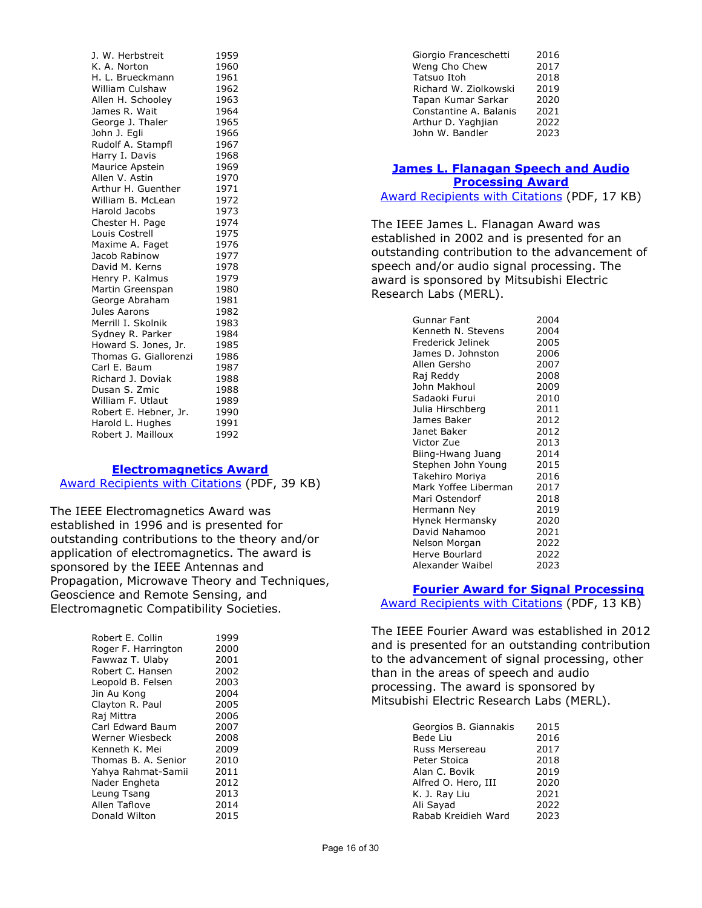| J. W. Herbstreit<br>1959<br>K. A. Norton<br>1960<br>H. L. Brueckmann<br>1961<br><b>William Culshaw</b><br>1962<br>Allen H. Schooley<br>1963<br>James R. Wait<br>1964<br>George J. Thaler<br>1965<br>John J. Egli<br>1966<br>Rudolf A. Stampfl<br>1967<br>Harry I. Davis<br>1968<br>Maurice Apstein<br>1969<br>Allen V. Astin<br>1970<br>Arthur H. Guenther<br>1971<br>William B. McLean<br>1972<br>Harold Jacobs<br>1973 |
|--------------------------------------------------------------------------------------------------------------------------------------------------------------------------------------------------------------------------------------------------------------------------------------------------------------------------------------------------------------------------------------------------------------------------|
|                                                                                                                                                                                                                                                                                                                                                                                                                          |
|                                                                                                                                                                                                                                                                                                                                                                                                                          |
|                                                                                                                                                                                                                                                                                                                                                                                                                          |
|                                                                                                                                                                                                                                                                                                                                                                                                                          |
|                                                                                                                                                                                                                                                                                                                                                                                                                          |
|                                                                                                                                                                                                                                                                                                                                                                                                                          |
|                                                                                                                                                                                                                                                                                                                                                                                                                          |
|                                                                                                                                                                                                                                                                                                                                                                                                                          |
|                                                                                                                                                                                                                                                                                                                                                                                                                          |
|                                                                                                                                                                                                                                                                                                                                                                                                                          |
|                                                                                                                                                                                                                                                                                                                                                                                                                          |
|                                                                                                                                                                                                                                                                                                                                                                                                                          |
|                                                                                                                                                                                                                                                                                                                                                                                                                          |
|                                                                                                                                                                                                                                                                                                                                                                                                                          |
|                                                                                                                                                                                                                                                                                                                                                                                                                          |
| 1974<br>Chester H. Page                                                                                                                                                                                                                                                                                                                                                                                                  |
| 1975<br>Louis Costrell                                                                                                                                                                                                                                                                                                                                                                                                   |
| 1976<br>Maxime A. Faget                                                                                                                                                                                                                                                                                                                                                                                                  |
| 1977<br>Jacob Rabinow                                                                                                                                                                                                                                                                                                                                                                                                    |
| David M. Kerns<br>1978                                                                                                                                                                                                                                                                                                                                                                                                   |
| Henry P. Kalmus<br>1979                                                                                                                                                                                                                                                                                                                                                                                                  |
| Martin Greenspan<br>1980                                                                                                                                                                                                                                                                                                                                                                                                 |
| George Abraham<br>1981                                                                                                                                                                                                                                                                                                                                                                                                   |
| Jules Aarons<br>1982                                                                                                                                                                                                                                                                                                                                                                                                     |
| Merrill I. Skolnik<br>1983                                                                                                                                                                                                                                                                                                                                                                                               |
| Sydney R. Parker<br>1984                                                                                                                                                                                                                                                                                                                                                                                                 |
| Howard S. Jones, Jr.<br>1985                                                                                                                                                                                                                                                                                                                                                                                             |
| Thomas G. Giallorenzi<br>1986                                                                                                                                                                                                                                                                                                                                                                                            |
| Carl E. Baum<br>1987                                                                                                                                                                                                                                                                                                                                                                                                     |
| Richard J. Doviak<br>1988                                                                                                                                                                                                                                                                                                                                                                                                |
| Dusan S. Zmic<br>1988                                                                                                                                                                                                                                                                                                                                                                                                    |
| 1989<br>William F. Utlaut                                                                                                                                                                                                                                                                                                                                                                                                |
| Robert E. Hebner, Jr.<br>1990                                                                                                                                                                                                                                                                                                                                                                                            |
| Harold L. Hughes<br>1991                                                                                                                                                                                                                                                                                                                                                                                                 |
| Robert J. Mailloux<br>1992                                                                                                                                                                                                                                                                                                                                                                                               |

#### **[Electromagnetics Award](https://corporate-awards.ieee.org/corporate-awards/#field-awards)**

[Award Recipients with Citations](https://www.ieee.org/content/dam/ieee-org/ieee/web/org/about/awards/recipients/electromagnetics-rl.pdf) (PDF, 39 KB)

The IEEE Electromagnetics Award was established in 1996 and is presented for outstanding contributions to the theory and/or application of electromagnetics. The award is sponsored by the IEEE Antennas and Propagation, Microwave Theory and Techniques, Geoscience and Remote Sensing, and Electromagnetic Compatibility Societies.

| Robert E. Collin    | 1999 |
|---------------------|------|
| Roger F. Harrington | 2000 |
| Fawwaz T. Ulaby     | 2001 |
| Robert C. Hansen    | 2002 |
| Leopold B. Felsen   | 2003 |
| Jin Au Kong         | 2004 |
| Clayton R. Paul     | 2005 |
| Raj Mittra          | 2006 |
| Carl Edward Baum    | 2007 |
| Werner Wiesbeck     | 2008 |
| Kenneth K. Mei      | 2009 |
| Thomas B. A. Senior | 2010 |
| Yahya Rahmat-Samii  | 2011 |
| Nader Engheta       | 2012 |
| Leung Tsang         | 2013 |
| Allen Taflove       | 2014 |
| Donald Wilton       | 2015 |

| Giorgio Franceschetti  | 2016 |
|------------------------|------|
| Weng Cho Chew          | 2017 |
| Tatsuo Itoh            | 2018 |
| Richard W. Ziolkowski  | 2019 |
| Tapan Kumar Sarkar     | 2020 |
| Constantine A. Balanis | 2021 |
| Arthur D. Yaghjian     | 2022 |
| John W. Bandler        | 2023 |
|                        |      |

# **[James L. Flanagan Speech and Audio](https://corporate-awards.ieee.org/corporate-awards/#field-awards) [Processing Award](https://corporate-awards.ieee.org/corporate-awards/#field-awards)**

[Award Recipients with Citations](https://www.ieee.org/content/dam/ieee-org/ieee/web/org/about/awards/recipients/flanagan-rl.pdf) (PDF, 17 KB)

The IEEE James L. Flanagan Award was established in 2002 and is presented for an outstanding contribution to the advancement of speech and/or audio signal processing. The award is sponsored by Mitsubishi Electric Research Labs (MERL).

| Gunnar Fant          | 2004 |
|----------------------|------|
| Kenneth N. Stevens   | 2004 |
| Frederick Jelinek    | 2005 |
| James D. Johnston    | 2006 |
| Allen Gersho         | 2007 |
| Raj Reddy            | 2008 |
| John Makhoul         | 2009 |
| Sadaoki Furui        | 2010 |
| Julia Hirschberg     | 2011 |
| James Baker          | 2012 |
| Janet Baker          | 2012 |
| Victor Zue           | 2013 |
| Biing-Hwang Juang    | 2014 |
| Stephen John Young   | 2015 |
| Takehiro Moriya      | 2016 |
| Mark Yoffee Liberman | 2017 |
| Mari Ostendorf       | 2018 |
| Hermann Ney          | 2019 |
| Hynek Hermansky      | 2020 |
| David Nahamoo        | 2021 |
| Nelson Morgan        | 2022 |
| Herve Bourlard       | 2022 |
| Alexander Waibel     | 2023 |

#### **[Fourier Award for Signal Processing](https://corporate-awards.ieee.org/corporate-awards/#field-awards)**

[Award Recipients with Citations](https://www.ieee.org/content/dam/ieee-org/ieee/web/org/about/awards/recipients/fourier-recipients.pdf) (PDF, 13 KB)

The IEEE Fourier Award was established in 2012 and is presented for an outstanding contribution to the advancement of signal processing, other than in the areas of speech and audio processing. The award is sponsored by Mitsubishi Electric Research Labs (MERL).

| Georgios B. Giannakis | 2015 |
|-----------------------|------|
| Bede Liu              | 2016 |
| Russ Mersereau        | 2017 |
| Peter Stoica          | 2018 |
| Alan C. Bovik         | 2019 |
| Alfred O. Hero, III   | 2020 |
| K. J. Ray Liu         | 2021 |
| Ali Sayad             | 2022 |
| Rabab Kreidieh Ward   | 2023 |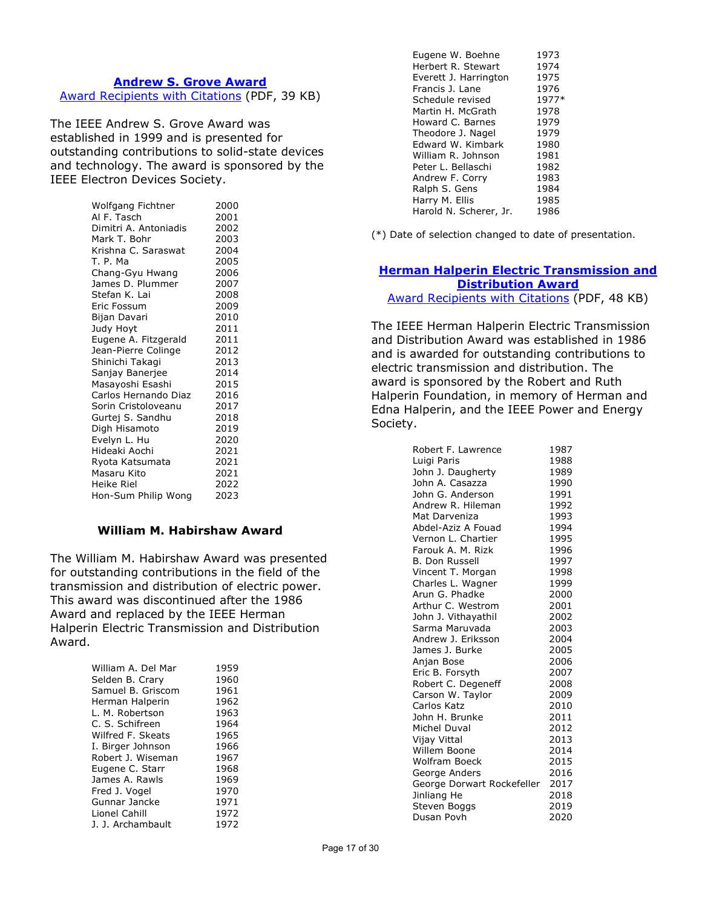## **Andrew S. [Grove Award](https://corporate-awards.ieee.org/corporate-awards/#field-awards)** [Award Recipients with Citations](https://www.ieee.org/content/dam/ieee-org/ieee/web/org/about/awards/recipients/grove-rl.pdf) (PDF, 39 KB)

The IEEE Andrew S. Grove Award was established in 1999 and is presented for outstanding contributions to solid-state devices and technology. The award is sponsored by the IEEE Electron Devices Society.

| Wolfgang Fichtner     | 2000 |
|-----------------------|------|
| Al F. Tasch           | 2001 |
| Dimitri A. Antoniadis | 2002 |
| Mark T. Bohr          | 2003 |
| Krishna C. Saraswat   | 2004 |
| T. P. Ma              | 2005 |
| Chang-Gyu Hwang       | 2006 |
| James D. Plummer      | 2007 |
| Stefan K. Lai         | 2008 |
| Eric Fossum           | 2009 |
| Bijan Davari          | 2010 |
| Judy Hoyt             | 2011 |
| Eugene A. Fitzgerald  | 2011 |
| Jean-Pierre Colinge   | 2012 |
| Shinichi Takagi       | 2013 |
| Sanjay Banerjee       | 2014 |
| Masayoshi Esashi      | 2015 |
| Carlos Hernando Diaz  | 2016 |
| Sorin Cristoloveanu   | 2017 |
| Gurtej S. Sandhu      | 2018 |
| Digh Hisamoto         | 2019 |
| Evelyn L. Hu          | 2020 |
| Hideaki Aochi         | 2021 |
| Ryota Katsumata       | 2021 |
| Masaru Kito           | 2021 |
| Heike Riel            | 2022 |
| Hon-Sum Philip Wong   | 2023 |

## **William M. Habirshaw Award**

The William M. Habirshaw Award was presented for outstanding contributions in the field of the transmission and distribution of electric power. This award was discontinued after the 1986 Award and replaced by the IEEE Herman Halperin Electric Transmission and Distribution Award.

| William A. Del Mar | 1959 |
|--------------------|------|
| Selden B. Crary    | 1960 |
| Samuel B. Griscom  | 1961 |
| Herman Halperin    | 1962 |
| L. M. Robertson    | 1963 |
| C. S. Schifreen    | 1964 |
| Wilfred F. Skeats  | 1965 |
| I. Birger Johnson  | 1966 |
| Robert J. Wiseman  | 1967 |
| Eugene C. Starr    | 1968 |
| James A. Rawls     | 1969 |
| Fred J. Vogel      | 1970 |
| Gunnar Jancke      | 1971 |
| Lionel Cahill      | 1972 |
| J. J. Archambault  | 1972 |

| Eugene W. Boehne       | 1973  |
|------------------------|-------|
| Herbert R. Stewart     | 1974  |
| Everett J. Harrington  | 1975  |
| Francis J. Lane        | 1976  |
| Schedule revised       | 1977* |
| Martin H. McGrath      | 1978  |
| Howard C. Barnes       | 1979  |
| Theodore J. Nagel      | 1979  |
| Edward W. Kimbark      | 1980  |
| William R. Johnson     | 1981  |
| Peter L. Bellaschi     | 1982  |
| Andrew F. Corry        | 1983  |
| Ralph S. Gens          | 1984  |
| Harry M. Ellis         | 1985  |
| Harold N. Scherer, Jr. | 1986  |
|                        |       |

(\*) Date of selection changed to date of presentation.

# **[Herman Halperin Electric Transmission and](https://corporate-awards.ieee.org/corporate-awards/#field-awards)  [Distribution Award](https://corporate-awards.ieee.org/corporate-awards/#field-awards)**

[Award Recipients with Citations](https://www.ieee.org/content/dam/ieee-org/ieee/web/org/about/awards/recipients/halperin-rl.pdf) (PDF, 48 KB)

The IEEE Herman Halperin Electric Transmission and Distribution Award was established in 1986 and is awarded for outstanding contributions to electric transmission and distribution. The award is sponsored by the Robert and Ruth Halperin Foundation, in memory of Herman and Edna Halperin, and the IEEE Power and Energy Society.

| Robert F. Lawrence         | 1987 |
|----------------------------|------|
| Luigi Paris                | 1988 |
| John J. Daugherty          | 1989 |
| John A. Casazza            | 1990 |
| John G. Anderson           | 1991 |
| Andrew R. Hileman          | 1992 |
| Mat Darveniza              | 1993 |
| Abdel-Aziz A Fouad         | 1994 |
| Vernon L. Chartier         | 1995 |
| Farouk A. M. Rizk          | 1996 |
| <b>B. Don Russell</b>      | 1997 |
| Vincent T. Morgan          | 1998 |
| Charles L. Wagner          | 1999 |
| Arun G. Phadke             | 2000 |
| Arthur C. Westrom          | 2001 |
| John J. Vithayathil        | 2002 |
| Sarma Maruvada             | 2003 |
| Andrew J. Eriksson         | 2004 |
| James J. Burke             | 2005 |
| Anjan Bose                 | 2006 |
| Eric B. Forsyth            | 2007 |
| Robert C. Degeneff         | 2008 |
| Carson W. Taylor           | 2009 |
| Carlos Katz                | 2010 |
| John H. Brunke             | 2011 |
| Michel Duval               | 2012 |
| Vijay Vittal               | 2013 |
| Willem Boone               | 2014 |
| <b>Wolfram Boeck</b>       | 2015 |
| George Anders              | 2016 |
| George Dorwart Rockefeller | 2017 |
| Jinliang He                | 2018 |
| Steven Boggs               | 2019 |
| Dusan Povh                 | 2020 |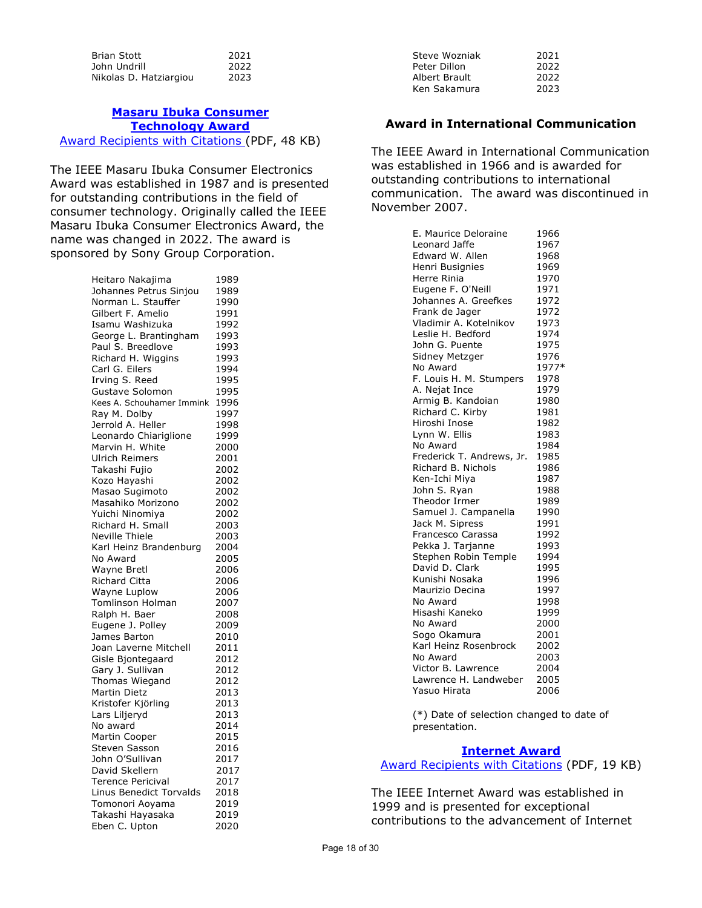| <b>Brian Stott</b>     | 2021 |
|------------------------|------|
| John Undrill           | 2022 |
| Nikolas D. Hatziargiou | 2023 |

#### **[Masaru Ibuka Consumer](https://corporate-awards.ieee.org/corporate-awards/#field-awards)  [Technology](https://corporate-awards.ieee.org/corporate-awards/#field-awards) Award** [Award Recipients with Citations \(](https://www.ieee.org/content/dam/ieee-org/ieee/web/org/about/awards/recipients/ibuka-rl.pdf)PDF, 48 KB)

The IEEE Masaru Ibuka Consumer Electronics Award was established in 1987 and is presented for outstanding contributions in the field of consumer technology. Originally called the IEEE Masaru Ibuka Consumer Electronics Award, the name was changed in 2022. The award is sponsored by Sony Group Corporation.

| Heitaro Nakajima          | 1989 |
|---------------------------|------|
| Johannes Petrus Sinjou    | 1989 |
| Norman L. Stauffer        | 1990 |
| Gilbert F. Amelio         | 1991 |
| Isamu Washizuka           | 1992 |
| George L. Brantingham     | 1993 |
| Paul S. Breedlove         | 1993 |
|                           |      |
| Richard H. Wiggins        | 1993 |
| Carl G. Eilers            | 1994 |
| Irving S. Reed            | 1995 |
| Gustave Solomon           | 1995 |
| Kees A. Schouhamer Immink | 1996 |
| Ray M. Dolby              | 1997 |
| Jerrold A. Heller         | 1998 |
| Leonardo Chiariglione     | 1999 |
| Marvin H. White           | 2000 |
| <b>Ulrich Reimers</b>     | 2001 |
| Takashi Fujio             | 2002 |
| Kozo Hayashi              | 2002 |
| Masao Sugimoto            | 2002 |
| Masahiko Morizono         | 2002 |
| Yuichi Ninomiya           | 2002 |
| Richard H. Small          | 2003 |
| Neville Thiele            | 2003 |
| Karl Heinz Brandenburg    | 2004 |
| No Award                  | 2005 |
| Wayne Bretl               | 2006 |
| Richard Citta             | 2006 |
| Wayne Luplow              | 2006 |
| Tomlinson Holman          | 2007 |
| Ralph H. Baer             | 2008 |
| Eugene J. Polley          | 2009 |
| James Barton              | 2010 |
| Joan Laverne Mitchell     | 2011 |
| Gisle Bjontegaard         | 2012 |
| Gary J. Sullivan          | 2012 |
| Thomas Wiegand            | 2012 |
| Martin Dietz              | 2013 |
| Kristofer Kjörling        | 2013 |
| Lars Liljeryd             | 2013 |
| No award                  | 2014 |
| Martin Cooper             | 2015 |
| Steven Sasson             | 2016 |
| John O'Sullivan           | 2017 |
| David Skellern            | 2017 |
| <b>Terence Pericival</b>  | 2017 |
| Linus Benedict Torvalds   | 2018 |
| Tomonori Aoyama           | 2019 |
| Takashi Hayasaka          | 2019 |
| Eben C. Upton             | 2020 |

| Steve Wozniak | 2021 |
|---------------|------|
| Peter Dillon  | 2022 |
| Albert Brault | 2022 |
| Ken Sakamura  | 2023 |
|               |      |

## **Award in International Communication**

The IEEE Award in International Communication was established in 1966 and is awarded for outstanding contributions to international communication. The award was discontinued in November 2007.

| E. Maurice Deloraine      | 1966  |
|---------------------------|-------|
| Leonard Jaffe             | 1967  |
| Edward W. Allen           | 1968  |
| Henri Busignies           | 1969  |
| Herre Rinia               | 1970  |
| Eugene F. O'Neill         | 1971  |
| Johannes A. Greefkes      | 1972  |
| Frank de Jager            | 1972  |
| Vladimir A. Kotelnikov    | 1973  |
| Leslie H. Bedford         | 1974  |
| John G. Puente            | 1975  |
| Sidney Metzger            | 1976  |
| No Award                  | 1977* |
| F. Louis H. M. Stumpers   | 1978  |
| A. Nejat Ince             | 1979  |
| Armig B. Kandoian         | 1980  |
| Richard C. Kirby          | 1981  |
| Hiroshi Inose             | 1982  |
| Lynn W. Ellis             | 1983  |
| No Award                  | 1984  |
| Frederick T. Andrews, Jr. | 1985  |
| Richard B. Nichols        | 1986  |
| Ken-Ichi Miya             | 1987  |
| John S. Ryan              | 1988  |
| Theodor Irmer             | 1989  |
| Samuel J. Campanella      | 1990  |
| Jack M. Sipress           | 1991  |
| Francesco Carassa         | 1992  |
| Pekka J. Tarjanne         | 1993  |
| Stephen Robin Temple      | 1994  |
| David D. Clark            | 1995  |
| Kunishi Nosaka            | 1996  |
| Maurizio Decina           | 1997  |
| No Award                  | 1998  |
| Hisashi Kaneko            | 1999  |
| No Award                  | 2000  |
| Sogo Okamura              | 2001  |
| Karl Heinz Rosenbrock     | 2002  |
| No Award                  | 2003  |
| Victor B. Lawrence        | 2004  |
| Lawrence H. Landweber     | 2005  |
| Yasuo Hirata              | 2006  |

(\*) Date of selection changed to date of presentation.

#### **[Internet](https://corporate-awards.ieee.org/corporate-awards/#field-awards) Award**

[Award Recipients with Citations](https://www.ieee.org/content/dam/ieee-org/ieee/web/org/about/awards/recipients/internet-rl.pdf) (PDF, 19 KB)

The IEEE Internet Award was established in 1999 and is presented for exceptional contributions to the advancement of Internet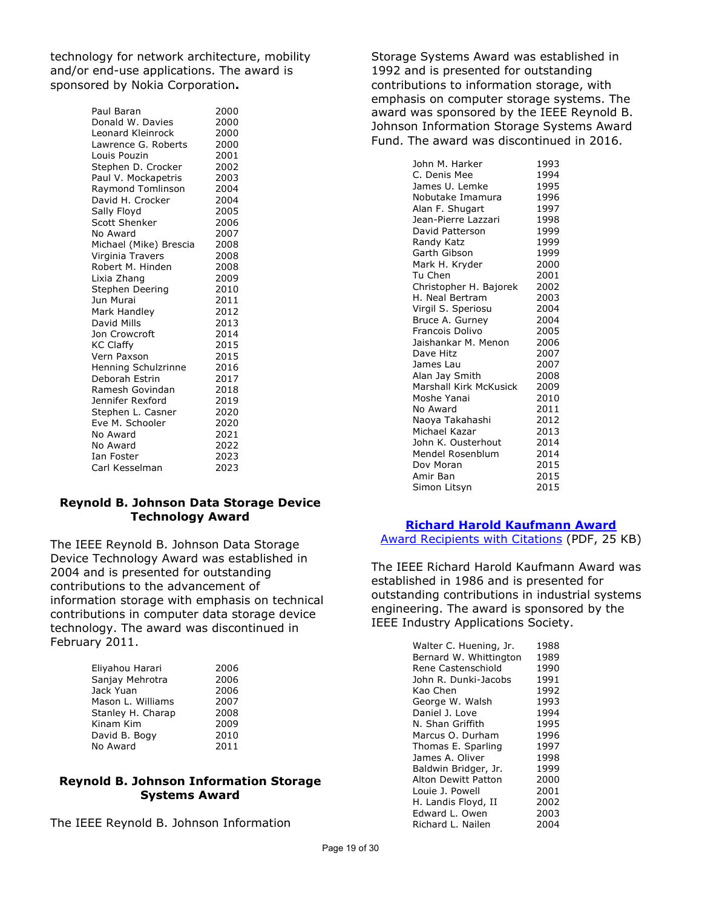technology for network architecture, mobility and/or end-use applications. The award is sponsored by Nokia Corporation**.** 

| Paul Baran             | 2000 |
|------------------------|------|
| Donald W. Davies       | 2000 |
| Leonard Kleinrock      | 2000 |
| Lawrence G. Roberts    | 2000 |
| Louis Pouzin           | 2001 |
| Stephen D. Crocker     | 2002 |
| Paul V. Mockapetris    | 2003 |
| Raymond Tomlinson      | 2004 |
| David H. Crocker       | 2004 |
| Sally Floyd            | 2005 |
| <b>Scott Shenker</b>   | 2006 |
| No Award               | 2007 |
| Michael (Mike) Brescia | 2008 |
| Virginia Travers       | 2008 |
| Robert M. Hinden       | 2008 |
| Lixia Zhang            | 2009 |
| Stephen Deering        | 2010 |
| Jun Murai              | 2011 |
| Mark Handley           | 2012 |
| David Mills            | 2013 |
| Jon Crowcroft          | 2014 |
| <b>KC Claffy</b>       | 2015 |
| Vern Paxson            | 2015 |
| Henning Schulzrinne    | 2016 |
| Deborah Estrin         | 2017 |
| Ramesh Govindan        | 2018 |
| Jennifer Rexford       | 2019 |
| Stephen L. Casner      | 2020 |
| Eve M. Schooler        | 2020 |
| No Award               | 2021 |
| No Award               | 2022 |
| Ian Foster             | 2023 |
| Carl Kesselman         | 2023 |

### **Reynold B. Johnson Data Storage Device Technology Award**

The IEEE Reynold B. Johnson Data Storage Device Technology Award was established in 2004 and is presented for outstanding contributions to the advancement of information storage with emphasis on technical contributions in computer data storage device technology. The award was discontinued in February 2011.

| Eliyahou Harari   | 2006 |
|-------------------|------|
| Sanjay Mehrotra   | 2006 |
| Jack Yuan         | 2006 |
| Mason L. Williams | 2007 |
| Stanley H. Charap | 2008 |
| Kinam Kim         | 2009 |
| David B. Bogy     | 2010 |
| No Award          | 2011 |
|                   |      |

### **Reynold B. Johnson Information Storage Systems Award**

The IEEE Reynold B. Johnson Information

Storage Systems Award was established in 1992 and is presented for outstanding contributions to information storage, with emphasis on computer storage systems. The award was sponsored by the IEEE Reynold B. Johnson Information Storage Systems Award Fund. The award was discontinued in 2016.

| John M. Harker         | 1993 |
|------------------------|------|
| C. Denis Mee           | 1994 |
| James U. Lemke         | 1995 |
| Nobutake Imamura       | 1996 |
| Alan F. Shugart        | 1997 |
| Jean-Pierre Lazzari    | 1998 |
| David Patterson        | 1999 |
| Randy Katz             | 1999 |
| Garth Gibson           | 1999 |
| Mark H. Kryder         | 2000 |
| Tu Chen                | 2001 |
| Christopher H. Bajorek | 2002 |
| H. Neal Bertram        | 2003 |
| Virgil S. Speriosu     | 2004 |
| Bruce A. Gurney        | 2004 |
| Francois Dolivo        | 2005 |
| Jaishankar M. Menon    | 2006 |
| Dave Hitz              | 2007 |
| James Lau              | 2007 |
| Alan Jay Smith         | 2008 |
| Marshall Kirk McKusick | 2009 |
| Moshe Yanai            | 2010 |
| No Award               | 2011 |
| Naoya Takahashi        | 2012 |
| Michael Kazar          | 2013 |
| John K. Ousterhout     | 2014 |
| Mendel Rosenblum       | 2014 |
| Dov Moran              | 2015 |
| Amir Ban               | 2015 |
| Simon Litsyn           | 2015 |

# **[Richard Harold Kaufmann Award](https://corporate-awards.ieee.org/corporate-awards/#field-awards)**

[Award Recipients with Citations](https://www.ieee.org/content/dam/ieee-org/ieee/web/org/about/awards/recipients/kaufmann-rl.pdf) (PDF, 25 KB)

The IEEE Richard Harold Kaufmann Award was established in 1986 and is presented for outstanding contributions in industrial systems engineering. The award is sponsored by the IEEE Industry Applications Society.

| Walter C. Huening, Jr.     | 1988 |
|----------------------------|------|
| Bernard W. Whittington     | 1989 |
| Rene Castenschiold         | 1990 |
| John R. Dunki-Jacobs       | 1991 |
| Kao Chen                   | 1992 |
| George W. Walsh            | 1993 |
| Daniel J. Love             | 1994 |
| N. Shan Griffith           | 1995 |
| Marcus O. Durham           | 1996 |
| Thomas E. Sparling         | 1997 |
| James A. Oliver            | 1998 |
| Baldwin Bridger, Jr.       | 1999 |
| <b>Alton Dewitt Patton</b> | 2000 |
| Louie J. Powell            | 2001 |
| H. Landis Floyd, II        | 2002 |
| Edward L. Owen             | 2003 |
| Richard L. Nailen          | 2004 |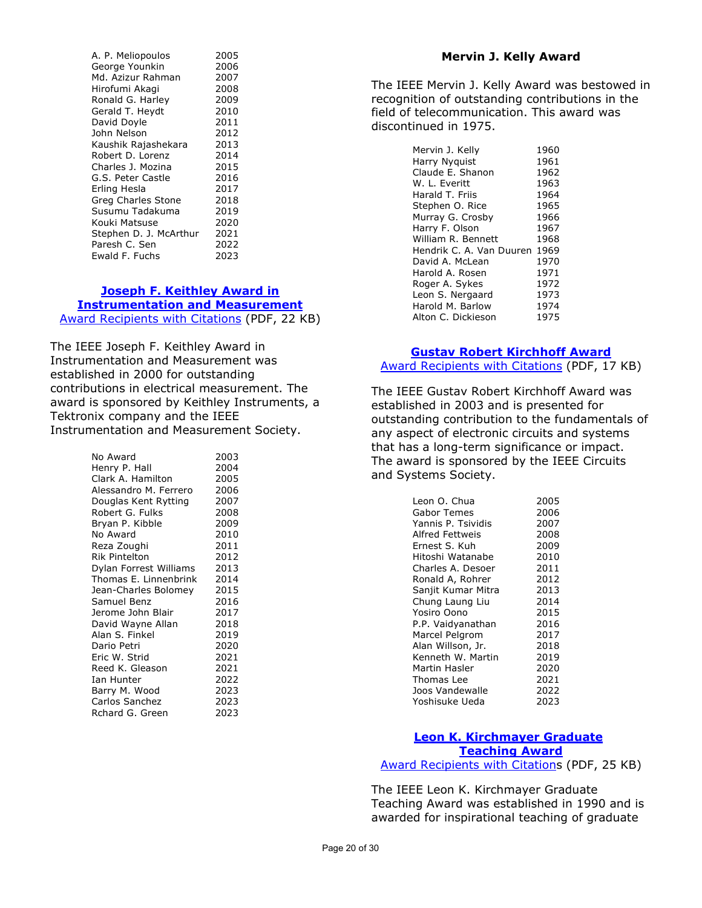| A. P. Meliopoulos      | 2005 |
|------------------------|------|
| George Younkin         | 2006 |
| Md. Azizur Rahman      | 2007 |
| Hirofumi Akagi         | 2008 |
| Ronald G. Harley       | 2009 |
| Gerald T. Heydt        | 2010 |
| David Doyle            | 2011 |
| John Nelson            | 2012 |
| Kaushik Rajashekara    | 2013 |
| Robert D. Lorenz       | 2014 |
| Charles J. Mozina      | 2015 |
| G.S. Peter Castle      | 2016 |
| Erling Hesla           | 2017 |
| Greg Charles Stone     | 2018 |
| Susumu Tadakuma        | 2019 |
| Kouki Matsuse          | 2020 |
| Stephen D. J. McArthur | 2021 |
| Paresh C. Sen          | 2022 |
| Ewald F. Fuchs         | 2023 |
|                        |      |

#### **[Joseph F. Keithley Award in](https://corporate-awards.ieee.org/corporate-awards/#field-awards)**

# **[Instrumentation and Measurement](https://corporate-awards.ieee.org/corporate-awards/#field-awards)**

[Award Recipients with](https://www.ieee.org/content/dam/ieee-org/ieee/web/org/about/awards/recipients/keithley-rl.pdf) Citations (PDF, 22 KB)

The IEEE Joseph F. Keithley Award in Instrumentation and Measurement was established in 2000 for outstanding contributions in electrical measurement. The award is sponsored by Keithley Instruments, a Tektronix company and the IEEE Instrumentation and Measurement Society.

| No Award               | 2003 |
|------------------------|------|
| Henry P. Hall          | 2004 |
| Clark A. Hamilton      | 2005 |
| Alessandro M. Ferrero  | 2006 |
| Douglas Kent Rytting   | 2007 |
| Robert G. Fulks        | 2008 |
| Bryan P. Kibble        | 2009 |
| No Award               | 2010 |
| Reza Zoughi            | 2011 |
| Rik Pintelton          | 2012 |
| Dylan Forrest Williams | 2013 |
| Thomas E. Linnenbrink  | 2014 |
| Jean-Charles Bolomey   | 2015 |
| Samuel Benz            | 2016 |
| Jerome John Blair      | 2017 |
| David Wayne Allan      | 2018 |
| Alan S. Finkel         | 2019 |
| Dario Petri            | 2020 |
| Eric W. Strid          | 2021 |
| Reed K. Gleason        | 2021 |
| Ian Hunter             | 2022 |
| Barry M. Wood          | 2023 |
| Carlos Sanchez         | 2023 |
| Rchard G. Green        | 2023 |

#### **Mervin J. Kelly Award**

The IEEE Mervin J. Kelly Award was bestowed in recognition of outstanding contributions in the field of telecommunication. This award was discontinued in 1975.

| Mervin J. Kelly          | 1960 |
|--------------------------|------|
|                          |      |
| Harry Nyguist            | 1961 |
| Claude E. Shanon         | 1962 |
| W. L. Everitt            | 1963 |
| Harald T. Friis          | 1964 |
| Stephen O. Rice          | 1965 |
| Murray G. Crosby         | 1966 |
| Harry F. Olson           | 1967 |
| William R. Bennett       | 1968 |
| Hendrik C. A. Van Duuren | 1969 |
| David A. McLean          | 1970 |
| Harold A. Rosen          | 1971 |
| Roger A. Sykes           | 1972 |
| Leon S. Nergaard         | 1973 |
| Harold M. Barlow         | 1974 |
| Alton C. Dickieson       | 1975 |

### **[Gustav Robert Kirchhoff Award](https://corporate-awards.ieee.org/corporate-awards/#field-awards)**

[Award Recipients with Citations](https://www.ieee.org/content/dam/ieee-org/ieee/web/org/about/awards/recipients/kirchhoff-rl.pdf) (PDF, 17 KB)

The IEEE Gustav Robert Kirchhoff Award was established in 2003 and is presented for outstanding contribution to the fundamentals of any aspect of electronic circuits and systems that has a long-term significance or impact. The award is sponsored by the IEEE Circuits and Systems Society.

| Leon O. Chua       | 2005 |
|--------------------|------|
| Gabor Temes        | 2006 |
| Yannis P. Tsividis | 2007 |
| Alfred Fettweis    | 2008 |
| Ernest S. Kuh      | 2009 |
| Hitoshi Watanabe   | 2010 |
| Charles A. Desoer  | 2011 |
| Ronald A, Rohrer   | 2012 |
| Sanjit Kumar Mitra | 2013 |
| Chung Laung Liu    | 2014 |
| Yosiro Oono        | 2015 |
| P.P. Vaidyanathan  | 2016 |
| Marcel Pelgrom     | 2017 |
| Alan Willson, Jr.  | 2018 |
| Kenneth W. Martin  | 2019 |
| Martin Hasler      | 2020 |
| Thomas Lee         | 2021 |
| Joos Vandewalle    | 2022 |
| Yoshisuke Ueda     | 2023 |

# **[Leon K. Kirchmayer Graduate](https://corporate-awards.ieee.org/corporate-awards/#field-awards) [Teaching Award](https://corporate-awards.ieee.org/corporate-awards/#field-awards)**

[Award Recipients with Citations](https://www.ieee.org/content/dam/ieee-org/ieee/web/org/about/awards/recipients/graduate-rl.pdf) (PDF, 25 KB)

The IEEE Leon K. Kirchmayer Graduate Teaching Award was established in 1990 and is awarded for inspirational teaching of graduate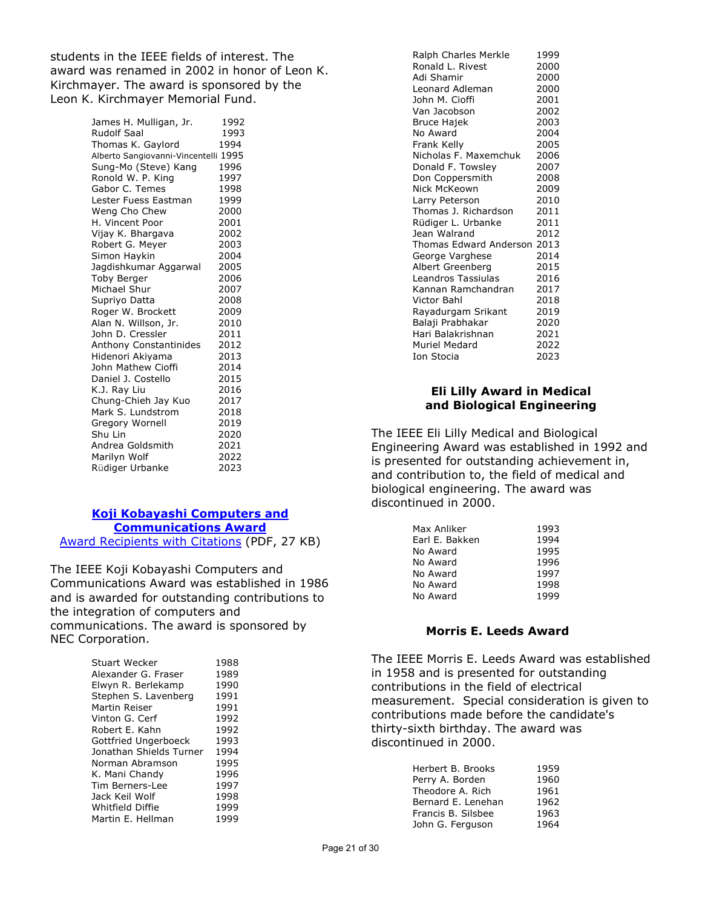students in the IEEE fields of interest. The award was renamed in 2002 in honor of Leon K. Kirchmayer. The award is sponsored by the Leon K. Kirchmayer Memorial Fund.

> James H. Mulligan, Jr. 1992<br>Rudolf Saal 1993 Rudolf Saal 1993<br>Thomas K. Gavlord 1994 Thomas K. Gaylord Alberto Sangiovanni-Vincentelli 1995 Sung-Mo (Steve) Kang 1996 Ronold W. P. King 1997<br>Gabor C. Temes 1998 Gabor C. Temes 1998<br>Lester Fuess Eastman 1999 Lester Fuess Eastman Weng Cho Chew 2000 H. Vincent Poor 19901<br>Vijay K. Bhargava 19902 Vijay K. Bhargava 2002<br>Robert G. Meyer 2003 Robert G. Meyer Simon Haykin 2004 Jagdishkumar Aggarwal 2005 Toby Berger 2006<br>Michael Shur 2007 Michael Shur Supriyo Datta 2008 Roger W. Brockett 2009 Alan N. Willson, Jr. 2010<br>John D. Cressler 2011 John D. Cressler Anthony Constantinides 2012 Hidenori Akiyama (2013)<br>John Mathew Cioffi (2014) John Mathew Cioffi 2014<br>Daniel J. Costello 2015 Daniel J. Costello K.J. Ray Liu 1992 2016<br>Chung-Chieh Jay Kuo 2017 Chung-Chieh Jay Kuo 2017 Mark S. Lundstrom Gregory Wornell 2019<br>
> Shu Lin 2020 Shu Lin Andrea Goldsmith 2021 Marilyn Wolf 2022 Rüdiger Urbanke 2023

## **[Koji Kobayashi Computers and](https://corporate-awards.ieee.org/corporate-awards/#field-awards)  [Communications Award](https://corporate-awards.ieee.org/corporate-awards/#field-awards)**

[Award Recipients with Citations](https://www.ieee.org/content/dam/ieee-org/ieee/web/org/about/awards/recipients/kobayashi-rl.pdf) (PDF, 27 KB)

The IEEE Koji Kobayashi Computers and Communications Award was established in 1986 and is awarded for outstanding contributions to the integration of computers and communications. The award is sponsored by NEC Corporation.

| Stuart Wecker           | 1988 |
|-------------------------|------|
| Alexander G. Fraser     | 1989 |
| Elwyn R. Berlekamp      | 1990 |
| Stephen S. Lavenberg    | 1991 |
| Martin Reiser           | 1991 |
| Vinton G. Cerf          | 1992 |
| Robert E. Kahn          | 1992 |
| Gottfried Ungerboeck    | 1993 |
| Jonathan Shields Turner | 1994 |
| Norman Abramson         | 1995 |
| K. Mani Chandy          | 1996 |
| Tim Berners-Lee         | 1997 |
| Jack Keil Wolf          | 1998 |
| Whitfield Diffie        | 1999 |
| Martin E. Hellman       | 1999 |

| Ralph Charles Merkle   | 1999 |
|------------------------|------|
| Ronald L. Rivest       | 2000 |
| Adi Shamir             | 2000 |
| Leonard Adleman        | 2000 |
| John M. Cioffi         | 2001 |
| Van Jacobson           | 2002 |
| Bruce Hajek            | 2003 |
| No Award               | 2004 |
| Frank Kelly            | 2005 |
| Nicholas F. Maxemchuk  | 2006 |
| Donald F. Towsley      | 2007 |
| Don Coppersmith        | 2008 |
| Nick McKeown           | 2009 |
| Larry Peterson         | 2010 |
| Thomas J. Richardson   | 2011 |
| Rüdiger L. Urbanke     | 2011 |
| Jean Walrand           | 2012 |
| Thomas Edward Anderson | 2013 |
| George Varghese        | 2014 |
| Albert Greenberg       | 2015 |
| Leandros Tassiulas     | 2016 |
| Kannan Ramchandran     | 2017 |
| Victor Bahl            | 2018 |
| Rayadurgam Srikant     | 2019 |
| Balaji Prabhakar       | 2020 |
| Hari Balakrishnan      | 2021 |
| Muriel Medard          | 2022 |
| Ion Stocia             | 2023 |
|                        |      |

## **Eli Lilly Award in Medical and Biological Engineering**

The IEEE Eli Lilly Medical and Biological Engineering Award was established in 1992 and is presented for outstanding achievement in, and contribution to, the field of medical and biological engineering. The award was discontinued in 2000.

| Max Anliker    | 1993 |
|----------------|------|
|                | 1994 |
| Earl E. Bakken |      |
| No Award       | 1995 |
| No Award       | 1996 |
| No Award       | 1997 |
| No Award       | 1998 |
| No Award       | 1999 |

## **Morris E. Leeds Award**

The IEEE Morris E. Leeds Award was established in 1958 and is presented for outstanding contributions in the field of electrical measurement. Special consideration is given to contributions made before the candidate's thirty-sixth birthday. The award was discontinued in 2000.

| 1959 |
|------|
| 1960 |
| 1961 |
| 1962 |
| 1963 |
| 1964 |
|      |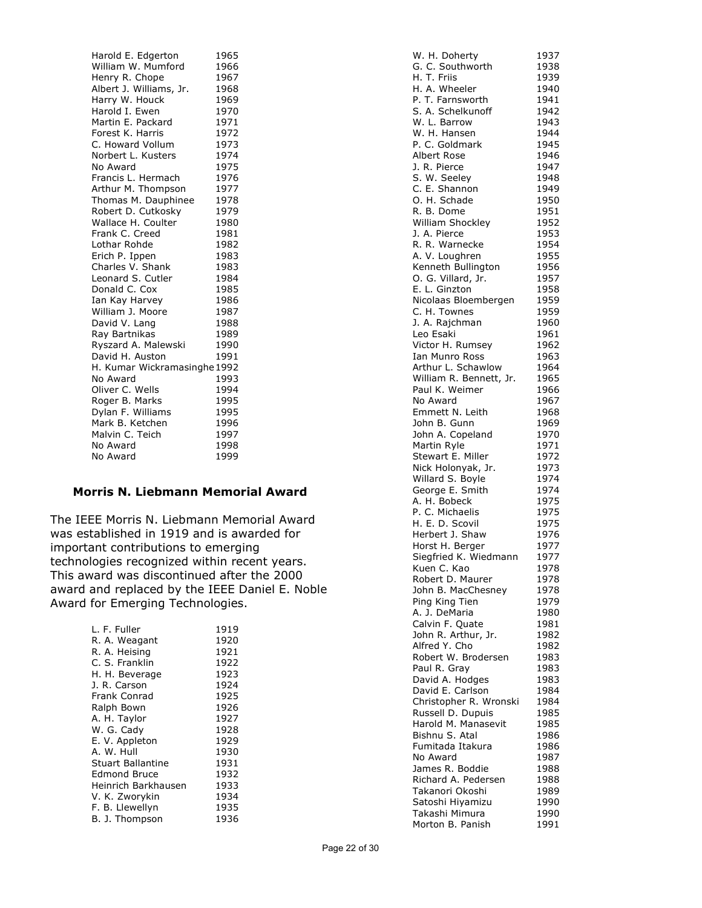Harold E. Edgerton 1965 William W. Mumford 1966 Henry R. Chope 1967<br>Albert J. Williams, Jr. 1968 Albert J. Williams, Jr. 1968<br>Harry W. Houck 1969 Harry W. Houck Harold I. Ewen 1970<br>
Martin E. Packard 1971 Martin E. Packard 1971<br>Forest K. Harris 1972 Forest K. Harris 1972<br>C. Howard Vollum 1973 C. Howard Vollum 1973<br>Norbert L. Kusters 1974 Norbert L. Kusters 1974<br>No Award 1975 No Award Francis L. Hermach 1976 Arthur M. Thompson 1977<br>Thomas M. Dauphinee 1978 Thomas M. Dauphinee Robert D. Cutkosky 1979 Wallace H. Coulter 1980<br>Frank C. Creed 1981 Frank C. Creed 1981<br>
Lothar Rohde 1982 Lothar Rohde Erich P. Ippen 1983 Charles V. Shank 1983 Leonard S. Cutler 1984<br>Donald C. Cox 1985 Donald C. Cox 1985<br>
Ian Kay Harvey 1986 Ian Kay Harvev William J. Moore 1987<br>David V. Lang 1988 David V. Lang 1988<br>Rav Bartnikas 1989 Ray Bartnikas Ryszard A. Malewski 1990 David H. Auston 1991 H. Kumar Wickramasinghe 1992<br>No Award 1993 No Award Oliver C. Wells 1994<br>Roger B. Marks 1995 Roger B. Marks 1995<br>Dylan F. Williams 1995 Dylan F. Williams Mark B. Ketchen 1996<br>Malvin C. Teich 1997 Malvin C. Teich 1997<br>No Award 1998 No Award No Award 1999

## **Morris N. Liebmann Memorial Award**

The IEEE Morris N. Liebmann Memorial Award was established in 1919 and is awarded for important contributions to emerging technologies recognized within recent years. This award was discontinued after the 2000 award and replaced by the IEEE Daniel E. Noble Award for Emerging Technologies.

| L. F. Fuller        | 1919 |
|---------------------|------|
| R. A. Weagant       | 1920 |
| R. A. Heising       | 1921 |
| C. S. Franklin      | 1922 |
| H. H. Beverage      | 1923 |
| J. R. Carson        | 1924 |
| <b>Frank Conrad</b> | 1925 |
| Ralph Bown          | 1926 |
| A. H. Taylor        | 1927 |
| W. G. Cady          | 1928 |
| E. V. Appleton      | 1929 |
| A. W. Hull          | 1930 |
| Stuart Ballantine   | 1931 |
| <b>Edmond Bruce</b> | 1932 |
| Heinrich Barkhausen | 1933 |
| V. K. Zworykin      | 1934 |
| F. B. Llewellyn     | 1935 |
| B. J. Thompson      | 1936 |

|                                          | 1937         |
|------------------------------------------|--------------|
| W. H. Doherty<br>G. C. Southworth        | 1938         |
| H. T. Friis                              | 1939         |
| H. A. Wheeler                            | 1940         |
| P. T. Farnsworth<br>S. A. Schelkunoff    | 1941         |
| W. L. Barrow                             | 1942<br>1943 |
| W. H. Hansen                             | 1944         |
| P. C. Goldmark                           | 1945         |
| Albert Rose                              | 1946         |
| J. R. Pierce                             | 1947         |
| S. W. Seeley                             | 1948         |
| C. E. Shannon                            | 1949         |
| O. H. Schade<br>R. B. Dome               | 1950         |
| William Shockley                         | 1951<br>1952 |
| J. A. Pierce                             | 1953         |
| R. R. Warnecke                           | 1954         |
| A. V. Loughren                           | 1955         |
| Kenneth Bullington                       | 1956         |
| O. G. Villard, Jr.                       | 1957         |
| E. L. Ginzton                            | 1958         |
| Nicolaas Bloembergen                     | 1959         |
| C. H. Townes                             | 1959         |
| J. A. Rajchman<br>Leo Esaki              | 1960<br>1961 |
| Victor H. Rumsey                         | 1962         |
| Ian Munro Ross                           | 1963         |
| Arthur L. Schawlow                       | 1964         |
| William R. Bennett, Jr.                  | 1965         |
| Paul K. Weimer                           | 1966         |
| No Award                                 | 1967         |
| Emmett N. Leith                          | 1968         |
| John B. Gunn                             | 1969         |
| John A. Copeland<br>Martin Ryle          | 1970         |
| Stewart E. Miller                        | 1971<br>1972 |
| Nick Holonyak, Jr.                       | 1973         |
| Willard S. Boyle                         | 1974         |
| George E. Smith                          | 1974         |
| A. H. Bobeck                             | 1975         |
| P. C. Michaelis                          | 1975         |
| H. E. D. Scovil<br>Herbert J. Shaw       | 1975         |
|                                          | 1976         |
| Horst H. Berger<br>Siegfried K. Wiedmann | 1977<br>1977 |
| Kuen C. Kao                              | 1978         |
| Robert D. Maurer                         | 1978         |
| John B. MacChesney                       | 1978         |
| Ping King Tien                           | 1979         |
| A. J. DeMaria                            | 1980         |
| Calvin F. Quate                          | 1981         |
| John R. Arthur, Jr.                      | 1982         |
| Alfred Y. Cho                            | 1982         |
| Robert W. Brodersen                      | 1983<br>1983 |
| Paul R. Gray<br>David A. Hodges          | 1983         |
| David E. Carlson                         | 1984         |
| Christopher R. Wronski                   | 1984         |
| Russell D. Dupuis                        | 1985         |
| Harold M. Manasevit                      | 1985         |
| Bishnu S. Atal                           | 1986         |
| Fumitada Itakura                         | 1986         |
| No Award<br>James R. Boddie              | 1987         |
| Richard A. Pedersen                      | 1988<br>1988 |
| Takanori Okoshi                          | 1989         |
| Satoshi Hiyamizu                         | 1990         |
| Takashi Mimura                           | 1990         |
| Morton B. Panish                         | 1991         |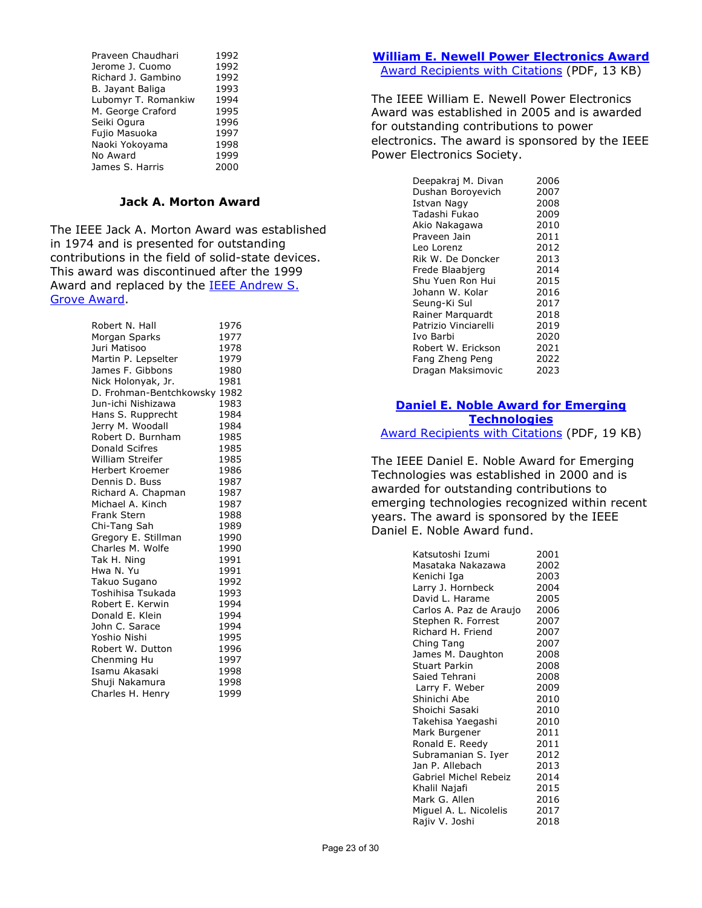| Praveen Chaudhari   | 1992 |
|---------------------|------|
|                     |      |
| Jerome J. Cuomo     | 1992 |
| Richard J. Gambino  | 1992 |
| B. Jayant Baliga    | 1993 |
| Lubomyr T. Romankiw | 1994 |
| M. George Craford   | 1995 |
| Seiki Ogura         | 1996 |
| Fujio Masuoka       | 1997 |
| Naoki Yokoyama      | 1998 |
| No Award            | 1999 |
| James S. Harris     | 2000 |

### **Jack A. Morton Award**

The IEEE Jack A. Morton Award was established in 1974 and is presented for outstanding contributions in the field of solid-state devices. This award was discontinued after the 1999 Award and replaced by the **IEEE Andrew S.** [Grove Award.](http://www.ieee.org/about/awards/tfas/grove.html)

| Robert N. Hall          | 1976 |
|-------------------------|------|
| Morgan Sparks           | 1977 |
| Juri Matisoo            | 1978 |
| Martin P. Lepselter     | 1979 |
| James F. Gibbons        | 1980 |
| Nick Holonyak, Jr.      | 1981 |
| D. Frohman-Bentchkowsky | 1982 |
| Jun-ichi Nishizawa      | 1983 |
| Hans S. Rupprecht       | 1984 |
| Jerry M. Woodall        | 1984 |
| Robert D. Burnham       | 1985 |
| <b>Donald Scifres</b>   | 1985 |
| William Streifer        | 1985 |
| <b>Herbert Kroemer</b>  | 1986 |
| Dennis D. Buss          | 1987 |
| Richard A. Chapman      | 1987 |
| Michael A. Kinch        | 1987 |
| <b>Frank Stern</b>      | 1988 |
| Chi-Tang Sah            | 1989 |
| Gregory E. Stillman     | 1990 |
| Charles M. Wolfe        | 1990 |
| Tak H. Ning             | 1991 |
| Hwa N. Yu               | 1991 |
| Takuo Sugano            | 1992 |
| Toshihisa Tsukada       | 1993 |
| Robert E. Kerwin        | 1994 |
| Donald E. Klein         | 1994 |
| John C. Sarace          | 1994 |
| Yoshio Nishi            | 1995 |
| Robert W. Dutton        | 1996 |
| Chenming Hu             | 1997 |
| Isamu Akasaki           | 1998 |
| Shuji Nakamura          | 1998 |
| Charles H. Henry        | 1999 |

## **[William E. Newell Power Electronics Award](https://corporate-awards.ieee.org/corporate-awards/#field-awards)** [Award Recipients with Citations](https://www.ieee.org/content/dam/ieee-org/ieee/web/org/about/awards/recipients/newell-rl.pdf) (PDF, 13 KB)

The IEEE William E. Newell Power Electronics Award was established in 2005 and is awarded for outstanding contributions to power electronics. The award is sponsored by the IEEE Power Electronics Society.

| Deepakraj M. Divan   | 2006 |
|----------------------|------|
| Dushan Boroyevich    | 2007 |
| Istvan Nagy          | 2008 |
| Tadashi Fukao        | 2009 |
| Akio Nakagawa        | 2010 |
| Praveen Jain         | 2011 |
| Leo Lorenz           | 2012 |
| Rik W. De Doncker    | 2013 |
| Frede Blaabjerg      | 2014 |
| Shu Yuen Ron Hui     | 2015 |
| Johann W. Kolar      | 2016 |
| Seung-Ki Sul         | 2017 |
| Rainer Marquardt     | 2018 |
| Patrizio Vinciarelli | 2019 |
| Ivo Barbi            | 2020 |
| Robert W. Erickson   | 2021 |
| Fang Zheng Peng      | 2022 |
| Dragan Maksimovic    | 2023 |

## **[Daniel E. Noble Award for Emerging](https://corporate-awards.ieee.org/corporate-awards/#field-awards)  [Technologies](https://corporate-awards.ieee.org/corporate-awards/#field-awards)**

[Award Recipients with Citations](https://www.ieee.org/content/dam/ieee-org/ieee/web/org/about/awards/recipients/noble-rl.pdf) (PDF, 19 KB)

The IEEE Daniel E. Noble Award for Emerging Technologies was established in 2000 and is awarded for outstanding contributions to emerging technologies recognized within recent years. The award is sponsored by the IEEE Daniel E. Noble Award fund.

| Katsutoshi Izumi        | 2001 |
|-------------------------|------|
| Masataka Nakazawa       | 2002 |
| Kenichi Iga             | 2003 |
| Larry J. Hornbeck       | 2004 |
| David L. Harame         | 2005 |
| Carlos A. Paz de Araujo | 2006 |
| Stephen R. Forrest      | 2007 |
| Richard H. Friend       | 2007 |
| Ching Tang              | 2007 |
| James M. Daughton       | 2008 |
| <b>Stuart Parkin</b>    | 2008 |
| Saied Tehrani           | 2008 |
| Larry F. Weber          | 2009 |
| Shinichi Abe            | 2010 |
| Shoichi Sasaki          | 2010 |
| Takehisa Yaegashi       | 2010 |
| Mark Burgener           | 2011 |
| Ronald E. Reedy         | 2011 |
| Subramanian S. Iyer     | 2012 |
| Jan P. Allebach         | 2013 |
| Gabriel Michel Rebeiz   | 2014 |
| Khalil Najafi           | 2015 |
| Mark G. Allen           | 2016 |
| Miguel A. L. Nicolelis  | 2017 |
| Rajiv V. Joshi          | 2018 |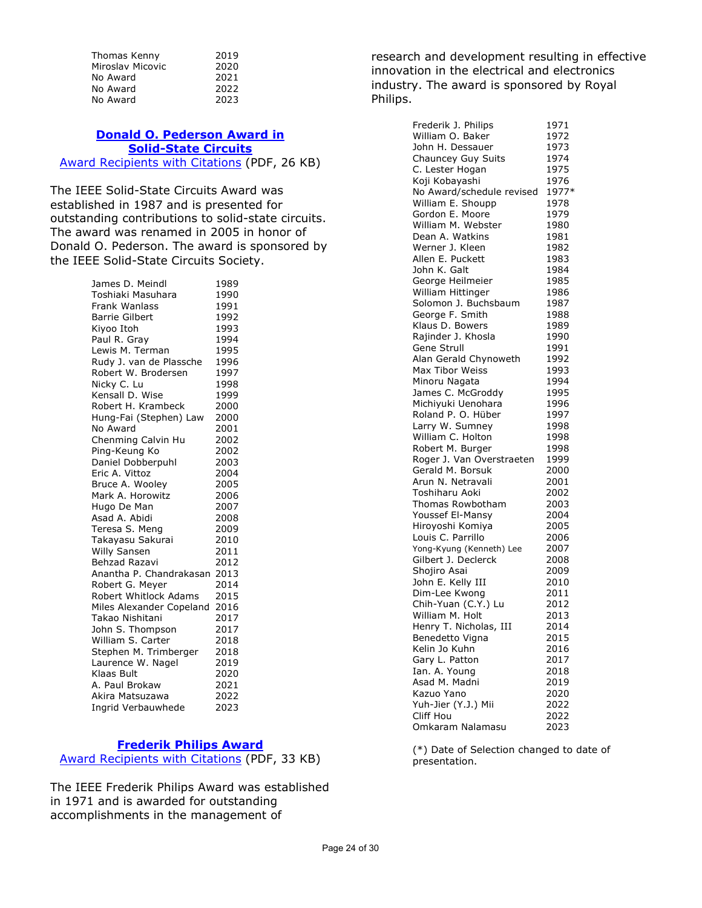| Thomas Kenny     | 2019 |
|------------------|------|
| Miroslav Micovic | 2020 |
| No Award         | 2021 |
| No Award         | 2022 |
| No Award         | 2023 |

#### **[Donald O. Pederson Award in](https://corporate-awards.ieee.org/corporate-awards/#field-awards)  [Solid-State Circuits](https://corporate-awards.ieee.org/corporate-awards/#field-awards)** [Award Recipients with Citations](https://www.ieee.org/content/dam/ieee-org/ieee/web/org/about/awards/recipients/pederson-rl.pdf) (PDF, 26 KB)

The IEEE Solid-State Circuits Award was established in 1987 and is presented for outstanding contributions to solid-state circuits. The award was renamed in 2005 in honor of Donald O. Pederson. The award is sponsored by the IEEE Solid-State Circuits Society.

> James D. Meindl<br>Toshiaki Masuhara 1990 Toshiaki Masuhara Frank Wanlass 1991 Barrie Gilbert 1992<br>Kivoo Itoh 1993 Kiyoo Itoh 1993<br>Paul R. Grav 1994 Paul R. Gray Lewis M. Terman 1995 Rudy J. van de Plassche 1996 Robert W. Brodersen 1997<br>Nicky C. Lu 1998 Nicky C. Lu 1998<br>Kensall D. Wise 1999 Kensall D. Wise 1999<br>Robert H. Krambeck 2000 Robert H. Krambeck Hung-Fai (Stephen) Law 2000 No Award 2001 Chenming Calvin Hu 2002 Ping-Keung Ko 2002 Daniel Dobberpuhl 2003<br>Eric A. Vittoz 2004 Eric A. Vittoz<br>Bruce A. Woolev 2005 Bruce A. Wooley Mark A. Horowitz 2006<br>Hugo De Man 2007 Hugo De Man 2007<br>Asad A. Abidi 2008 Asad A. Abidi Teresa S. Meng 2009 Takayasu Sakurai 2010 Willy Sansen 2011 Behzad Razavi 2012 Anantha P. Chandrakasan 2013 Robert G. Mever Robert Whitlock Adams 2015 Miles Alexander Copeland 2016<br>Takao Nishitani 2017 Takao Nishitani 1994 - 2017<br>John S. Thompson 19917 John S. Thompson William S. Carter 2018 Stephen M. Trimberger 2018 Laurence W. Nagel 2019 Klaas Bult 2020 A. Paul Brokaw 2021 Akira Matsuzawa 2022 Ingrid Verbauwhede 2023

#### **[Frederik Philips Award](https://corporate-awards.ieee.org/corporate-awards/#field-awards)**

[Award Recipients with Citations](https://www.ieee.org/content/dam/ieee-org/ieee/web/org/about/awards/recipients/philips-rl.pdf) (PDF, 33 KB)

The IEEE Frederik Philips Award was established in 1971 and is awarded for outstanding accomplishments in the management of

research and development resulting in effective innovation in the electrical and electronics industry. The award is sponsored by Royal Philips.

| Frederik J. Philips       | 1971  |
|---------------------------|-------|
| William O. Baker          | 1972  |
| John H. Dessauer          | 1973  |
| Chauncey Guy Suits        | 1974  |
| C. Lester Hogan           | 1975  |
| Koji Kobayashi            | 1976  |
|                           | 1977* |
| No Award/schedule revised |       |
| William E. Shoupp         | 1978  |
| Gordon E. Moore           | 1979  |
| William M. Webster        | 1980  |
| Dean A. Watkins           | 1981  |
| Werner J. Kleen           | 1982  |
| Allen E. Puckett          | 1983  |
| John K. Galt              | 1984  |
| George Heilmeier          | 1985  |
| William Hittinger         | 1986  |
| Solomon J. Buchsbaum      | 1987  |
| George F. Smith           | 1988  |
| Klaus D. Bowers           | 1989  |
| Rajinder J. Khosla        | 1990  |
| Gene Strull               | 1991  |
| Alan Gerald Chynoweth     | 1992  |
| Max Tibor Weiss           | 1993  |
|                           |       |
| Minoru Nagata             | 1994  |
| James C. McGroddy         | 1995  |
| Michiyuki Uenohara        | 1996  |
| Roland P. O. Hüber        | 1997  |
| Larry W. Sumney           | 1998  |
| William C. Holton         | 1998  |
| Robert M. Burger          | 1998  |
| Roger J. Van Overstraeten | 1999  |
| Gerald M. Borsuk          | 2000  |
| Arun N. Netravali         | 2001  |
| Toshiharu Aoki            | 2002  |
| Thomas Rowbotham          | 2003  |
| Youssef El-Mansy          | 2004  |
| Hiroyoshi Komiya          | 2005  |
| Louis C. Parrillo         | 2006  |
| Yong-Kyung (Kenneth) Lee  | 2007  |
| Gilbert J. Declerck       | 2008  |
| Shojiro Asai              | 2009  |
| John E. Kelly III         | 2010  |
|                           |       |
| Dim-Lee Kwong             | 2011  |
| Chih-Yuan (C.Y.) Lu       | 2012  |
| William M. Holt           | 2013  |
| Henry T. Nicholas, III    | 2014  |
| Benedetto Vigna           | 2015  |
| Kelin Jo Kuhn             | 2016  |
| Gary L. Patton            | 2017  |
| Ian. A. Young             | 2018  |
| Asad M. Madni             | 2019  |
| Kazuo Yano                | 2020  |
| Yuh-Jier (Y.J.) Mii       | 2022  |
| Cliff Hou                 | 2022  |
| Omkaram Nalamasu          | 2023  |

(\*) Date of Selection changed to date of presentation.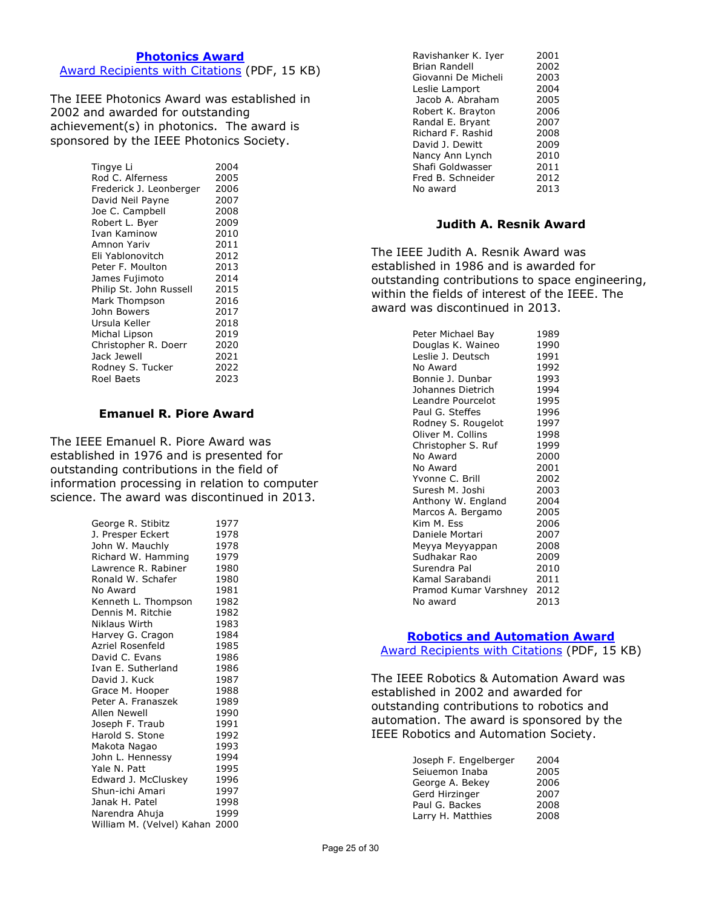#### **[Photonics Award](https://corporate-awards.ieee.org/corporate-awards/#field-awards)**

[Award Recipients with](https://www.ieee.org/content/dam/ieee-org/ieee/web/org/about/awards/recipients/photonics-rl.pdf) Citations (PDF, 15 KB)

The IEEE Photonics Award was established in 2002 and awarded for outstanding achievement(s) in photonics. The award is sponsored by the IEEE Photonics Society.

| Tingye Li               | 2004 |
|-------------------------|------|
| Rod C. Alferness        | 2005 |
| Frederick J. Leonberger | 2006 |
| David Neil Payne        | 2007 |
| Joe C. Campbell         | 2008 |
| Robert L. Byer          | 2009 |
| Ivan Kaminow            | 2010 |
| Amnon Yariv             | 2011 |
| Eli Yablonovitch        | 2012 |
| Peter F. Moulton        | 2013 |
| James Fujimoto          | 2014 |
| Philip St. John Russell | 2015 |
| Mark Thompson           | 2016 |
| John Bowers             | 2017 |
| Ursula Keller           | 2018 |
| Michal Lipson           | 2019 |
| Christopher R. Doerr    | 2020 |
| Jack Jewell             | 2021 |
| Rodney S. Tucker        | 2022 |
| Roel Baets              | 2023 |

#### **Emanuel R. Piore Award**

The IEEE Emanuel R. Piore Award was established in 1976 and is presented for outstanding contributions in the field of information processing in relation to computer science. The award was discontinued in 2013.

| George R. Stibitz              | 1977 |
|--------------------------------|------|
| J. Presper Eckert              | 1978 |
| John W. Mauchly                | 1978 |
| Richard W. Hamming             | 1979 |
| Lawrence R. Rabiner            | 1980 |
| Ronald W. Schafer              | 1980 |
| No Award                       | 1981 |
| Kenneth L. Thompson            | 1982 |
| Dennis M. Ritchie              | 1982 |
| Niklaus Wirth                  | 1983 |
| Harvey G. Cragon               | 1984 |
| Azriel Rosenfeld               | 1985 |
| David C. Evans                 | 1986 |
| Ivan E. Sutherland             | 1986 |
| David J. Kuck                  | 1987 |
| Grace M. Hooper                | 1988 |
| Peter A. Franaszek             | 1989 |
| Allen Newell                   | 1990 |
| Joseph F. Traub                | 1991 |
| Harold S. Stone                | 1992 |
| Makota Nagao                   | 1993 |
| John L. Hennessy               | 1994 |
| Yale N. Patt                   | 1995 |
| Edward J. McCluskey            | 1996 |
| Shun-ichi Amari                | 1997 |
| Janak H. Patel                 | 1998 |
| Narendra Ahuja                 | 1999 |
| William M. (Velvel) Kahan 2000 |      |

| Ravishanker K. Iyer  | 2001 |
|----------------------|------|
| <b>Brian Randell</b> | 2002 |
| Giovanni De Micheli  | 2003 |
| Leslie Lamport       | 2004 |
| Jacob A. Abraham     | 2005 |
| Robert K. Brayton    | 2006 |
| Randal E. Bryant     | 2007 |
| Richard F. Rashid    | 2008 |
| David J. Dewitt      | 2009 |
| Nancy Ann Lynch      | 2010 |
| Shafi Goldwasser     | 2011 |
| Fred B. Schneider    | 2012 |
| No award             | 2013 |
|                      |      |

#### **Judith A. Resnik Award**

The IEEE Judith A. Resnik Award was established in 1986 and is awarded for outstanding contributions to space engineering, within the fields of interest of the IEEE. The award was discontinued in 2013.

#### **[Robotics and Automation Award](https://corporate-awards.ieee.org/corporate-awards/#field-awards)**

[Award Recipients with Citations](https://www.ieee.org/content/dam/ieee-org/ieee/web/org/about/awards/recipients/robotics-rl.pdf) (PDF, 15 KB)

The IEEE Robotics & Automation Award was established in 2002 and awarded for outstanding contributions to robotics and automation. The award is sponsored by the IEEE Robotics and Automation Society.

| Joseph F. Engelberger | 2004 |
|-----------------------|------|
| Seiuemon Inaba        | 2005 |
| George A. Bekey       | 2006 |
| Gerd Hirzinger        | 2007 |
| Paul G. Backes        | 2008 |
| Larry H. Matthies     | 2008 |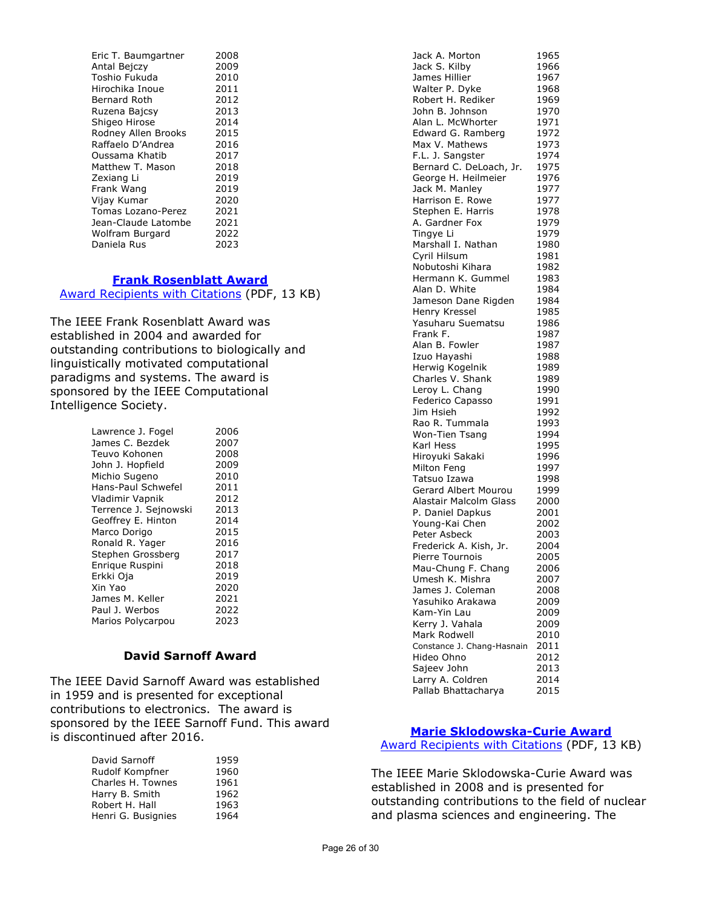| Eric T. Baumgartner       | 2008 |
|---------------------------|------|
| Antal Bejczy              | 2009 |
| Toshio Fukuda             | 2010 |
| Hirochika Inoue           | 2011 |
| Bernard Roth              | 2012 |
| Ruzena Bajcsy             | 2013 |
| Shigeo Hirose             | 2014 |
| Rodney Allen Brooks       | 2015 |
| Raffaelo D'Andrea         | 2016 |
| Oussama Khatib            | 2017 |
| Matthew T. Mason          | 2018 |
| Zexiang Li                | 2019 |
| Frank Wang                | 2019 |
| Vijay Kumar               | 2020 |
| <b>Tomas Lozano-Perez</b> | 2021 |
| Jean-Claude Latombe       | 2021 |
| Wolfram Burgard           | 2022 |
| Daniela Rus               | 2023 |

# **[Frank Rosenblatt Award](https://corporate-awards.ieee.org/corporate-awards/#field-awards)**

Award [Recipients with Citations](https://www.ieee.org/content/dam/ieee-org/ieee/web/org/about/awards/recipients/rosenblatt-rl.pdf) (PDF, 13 KB)

The IEEE Frank Rosenblatt Award was established in 2004 and awarded for outstanding contributions to biologically and linguistically motivated computational paradigms and systems. The award is sponsored by the IEEE Computational Intelligence Society.

| Lawrence J. Fogel     | 2006 |
|-----------------------|------|
| James C. Bezdek       | 2007 |
| Teuvo Kohonen         | 2008 |
| John J. Hopfield      | 2009 |
| Michio Sugeno         | 2010 |
| Hans-Paul Schwefel    | 2011 |
| Vladimir Vapnik       | 2012 |
| Terrence J. Sejnowski | 2013 |
| Geoffrey E. Hinton    | 2014 |
| Marco Dorigo          | 2015 |
| Ronald R. Yager       | 2016 |
| Stephen Grossberg     | 2017 |
| Enrigue Ruspini       | 2018 |
| Erkki Oja             | 2019 |
| Xin Yao               | 2020 |
| James M. Keller       | 2021 |
| Paul J. Werbos        | 2022 |
| Marios Polycarpou     | 2023 |

# **David Sarnoff Award**

The IEEE David Sarnoff Award was established in 1959 and is presented for exceptional contributions to electronics. The award is sponsored by the IEEE Sarnoff Fund. This award is discontinued after 2016.

| David Sarnoff      | 1959 |
|--------------------|------|
| Rudolf Kompfner    | 1960 |
| Charles H. Townes  | 1961 |
| Harry B. Smith     | 1962 |
| Robert H. Hall     | 1963 |
| Henri G. Busignies | 1964 |
|                    |      |

| Jack A. Morton             | 1965 |
|----------------------------|------|
| Jack S. Kilby              | 1966 |
| James Hillier              | 1967 |
|                            |      |
| Walter P. Dyke             | 1968 |
| Robert H. Rediker          | 1969 |
| John B. Johnson            | 1970 |
| Alan L. McWhorter          | 1971 |
| Edward G. Ramberg          | 1972 |
| Max V. Mathews             | 1973 |
| F.L. J. Sangster           | 1974 |
| Bernard C. DeLoach, Jr.    | 1975 |
| George H. Heilmeier        | 1976 |
| Jack M. Manley             | 1977 |
| Harrison E. Rowe           | 1977 |
| Stephen E. Harris          | 1978 |
|                            |      |
| A. Gardner Fox             | 1979 |
| Tingye Li                  | 1979 |
| Marshall I. Nathan         | 1980 |
| Cyril Hilsum               | 1981 |
| Nobutoshi Kihara           | 1982 |
| Hermann K. Gummel          | 1983 |
| Alan D. White              | 1984 |
| Jameson Dane Rigden        | 1984 |
| Henry Kressel              | 1985 |
| Yasuharu Suematsu          | 1986 |
| Frank F.                   |      |
|                            | 1987 |
| Alan B. Fowler             | 1987 |
| Izuo Hayashi               | 1988 |
| Herwig Kogelnik            | 1989 |
| Charles V. Shank           | 1989 |
| Leroy L. Chang             | 1990 |
| Federico Capasso           | 1991 |
| Jim Hsieh                  | 1992 |
| Rao R. Tummala             | 1993 |
| Won-Tien Tsang             | 1994 |
| Karl Hess                  | 1995 |
| Hiroyuki Sakaki            | 1996 |
|                            | 1997 |
| Milton Feng                |      |
| Tatsuo Izawa               | 1998 |
| Gerard Albert Mourou       | 1999 |
| Alastair Malcolm Glass     | 2000 |
| P. Daniel Dapkus           | 2001 |
| Young-Kai Chen             | 2002 |
| Peter Asbeck               | 2003 |
| Frederick A. Kish, Jr.     | 2004 |
| Pierre Tournois            | 2005 |
| Mau-Chung F. Chang         | 2006 |
| Umesh K. Mishra            | 2007 |
| James J. Coleman           | 2008 |
| Yasuhiko Arakawa           |      |
|                            | 2009 |
| Kam-Yin Lau                | 2009 |
| Kerry J. Vahala            | 2009 |
| Mark Rodwell               | 2010 |
| Constance J. Chang-Hasnain | 2011 |
| Hideo Ohno                 | 2012 |
| Sajeev John                | 2013 |
| Larry A. Coldren           | 2014 |
| Pallab Bhattacharya        | 2015 |

# **[Marie Sklodowska-Curie Award](https://corporate-awards.ieee.org/corporate-awards/#field-awards)**

[Award Recipients with Citations](https://www.ieee.org/content/dam/ieee-org/ieee/web/org/about/awards/recipients/curie-rl.pdf) (PDF, 13 KB)

The IEEE Marie Sklodowska-Curie Award was established in 2008 and is presented for outstanding contributions to the field of nuclear and plasma sciences and engineering. The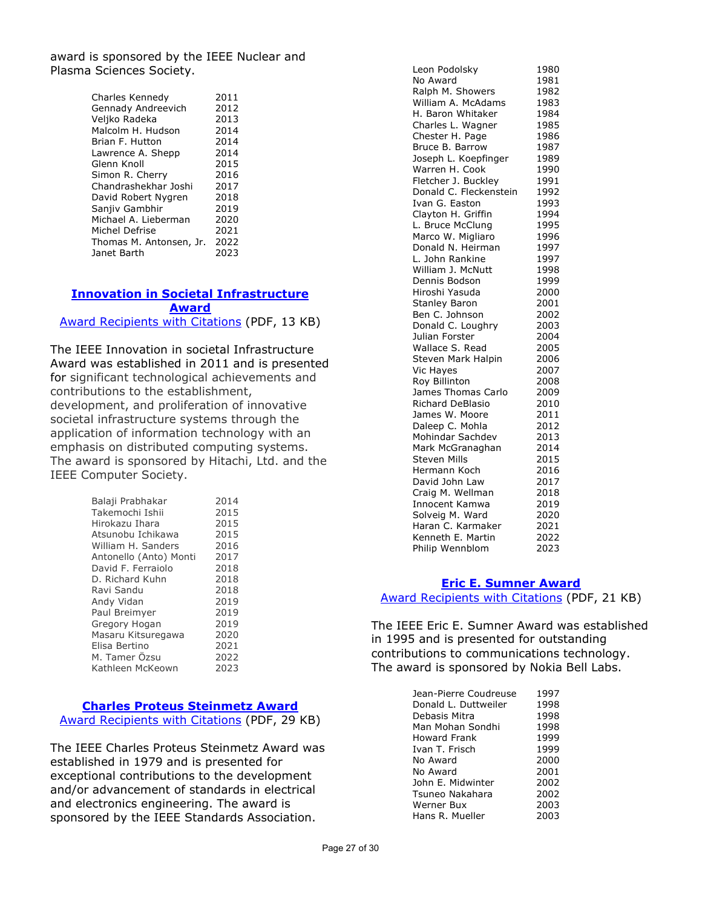award is sponsored by the IEEE Nuclear and Plasma Sciences Society.

| Charles Kennedy         | 2011 |
|-------------------------|------|
| Gennady Andreevich      | 2012 |
| Veljko Radeka           | 2013 |
| Malcolm H. Hudson       | 2014 |
| Brian F. Hutton         | 2014 |
| Lawrence A. Shepp       | 2014 |
| Glenn Knoll             | 2015 |
| Simon R. Cherry         | 2016 |
| Chandrashekhar Joshi    | 2017 |
| David Robert Nygren     | 2018 |
| Sanjiv Gambhir          | 2019 |
| Michael A. Lieberman    | 2020 |
| Michel Defrise          | 2021 |
| Thomas M. Antonsen, Jr. | 2022 |
| Janet Barth             | 2023 |

## **[Innovation in Societal Infrastructure](https://corporate-awards.ieee.org/corporate-awards/#field-awards)  [Award](https://corporate-awards.ieee.org/corporate-awards/#field-awards)**

[Award Recipients with Citations](https://www.ieee.org/content/dam/ieee-org/ieee/web/org/about/awards/recipients/societal-infrastructure-recipients.pdf) (PDF, 13 KB)

The IEEE Innovation in societal Infrastructure Award was established in 2011 and is presented for significant technological achievements and contributions to the establishment, development, and proliferation of innovative societal infrastructure systems through the application of information technology with an emphasis on distributed computing systems. The award is sponsored by Hitachi, Ltd. and the IEEE Computer Society.

| Balaji Prabhakar       | 2014 |
|------------------------|------|
| Takemochi Ishii        | 2015 |
| Hirokazu Ihara         | 2015 |
| Atsunobu Ichikawa      | 2015 |
| William H. Sanders     | 2016 |
| Antonello (Anto) Monti | 2017 |
| David F. Ferraiolo     | 2018 |
| D. Richard Kuhn        | 2018 |
| Ravi Sandu             | 2018 |
| Andy Vidan             | 2019 |
| Paul Breimyer          | 2019 |
| Gregory Hogan          | 2019 |
| Masaru Kitsuregawa     | 2020 |
| Elisa Bertino          | 2021 |
| M. Tamer Özsu          | 2022 |
| Kathleen McKeown       | 2023 |

# **[Charles Proteus Steinmetz Award](https://corporate-awards.ieee.org/corporate-awards/#field-awards)**

[Award Recipients with Citations](https://www.ieee.org/content/dam/ieee-org/ieee/web/org/about/awards/recipients/steinmetz-rl.pdf) (PDF, 29 KB)

The IEEE Charles Proteus Steinmetz Award was established in 1979 and is presented for exceptional contributions to the development and/or advancement of standards in electrical and electronics engineering. The award is sponsored by the IEEE Standards Association.

| Leon Podolsky                       | 1980         |
|-------------------------------------|--------------|
| No Award                            | 1981         |
| Ralph M. Showers                    | 1982         |
| William A. McAdams                  | 1983         |
| H. Baron Whitaker                   | 1984         |
| Charles L. Wagner                   | 1985         |
| Chester H. Page                     | 1986         |
| Bruce B. Barrow                     | 1987         |
| Joseph L. Koepfinger                | 1989         |
| Warren H. Cook                      | 1990         |
| Fletcher J. Buckley                 | 1991         |
| Donald C. Fleckenstein              | 1992         |
| Ivan G. Easton                      | 1993         |
| Clayton H. Griffin                  | 1994         |
| L. Bruce McClung                    | 1995         |
| Marco W. Migliaro                   | 1996         |
| Donald N. Heirman                   | 1997         |
| L. John Rankine                     | 1997         |
| William J. McNutt                   | 1998         |
| Dennis Bodson                       | 1999         |
| Hiroshi Yasuda                      | 2000         |
| Stanley Baron                       | 2001         |
| Ben C. Johnson                      | 2002         |
| Donald C. Loughry                   | 2003         |
| Julian Forster                      | 2004         |
| Wallace S. Read                     | 2005         |
| Steven Mark Halpin                  | 2006         |
| Vic Hayes                           | 2007         |
| Roy Billinton                       | 2008         |
| James Thomas Carlo                  | 2009         |
| Richard DeBlasio                    | 2010         |
| James W. Moore                      | 2011         |
| Daleep C. Mohla<br>Mohindar Sachdev | 2012<br>2013 |
| Mark McGranaghan                    | 2014         |
| <b>Steven Mills</b>                 | 2015         |
| Hermann Koch                        | 2016         |
| David John Law                      | 2017         |
| Craig M. Wellman                    | 2018         |
| Innocent Kamwa                      | 2019         |
| Solveig M. Ward                     | 2020         |
| Haran C. Karmaker                   | 2021         |
| Kenneth E. Martin                   | 2022         |
| Philip Wennblom                     | 2023         |
|                                     |              |

# **[Eric E. Sumner Award](https://corporate-awards.ieee.org/corporate-awards/#field-awards)**

[Award Recipients with](https://www.ieee.org/content/dam/ieee-org/ieee/web/org/about/awards/recipients/sumner-rl.pdf) Citations (PDF, 21 KB)

The IEEE Eric E. Sumner Award was established in 1995 and is presented for outstanding contributions to communications technology. The award is sponsored by Nokia Bell Labs.

| Jean-Pierre Coudreuse | 1997 |
|-----------------------|------|
| Donald L. Duttweiler  | 1998 |
| Debasis Mitra         | 1998 |
| Man Mohan Sondhi      | 1998 |
| <b>Howard Frank</b>   | 1999 |
| Ivan T. Frisch        | 1999 |
| No Award              | 2000 |
| No Award              | 2001 |
| John E. Midwinter     | 2002 |
| Tsuneo Nakahara       | 2002 |
| Werner Bux            | 2003 |
| Hans R. Mueller       | 2003 |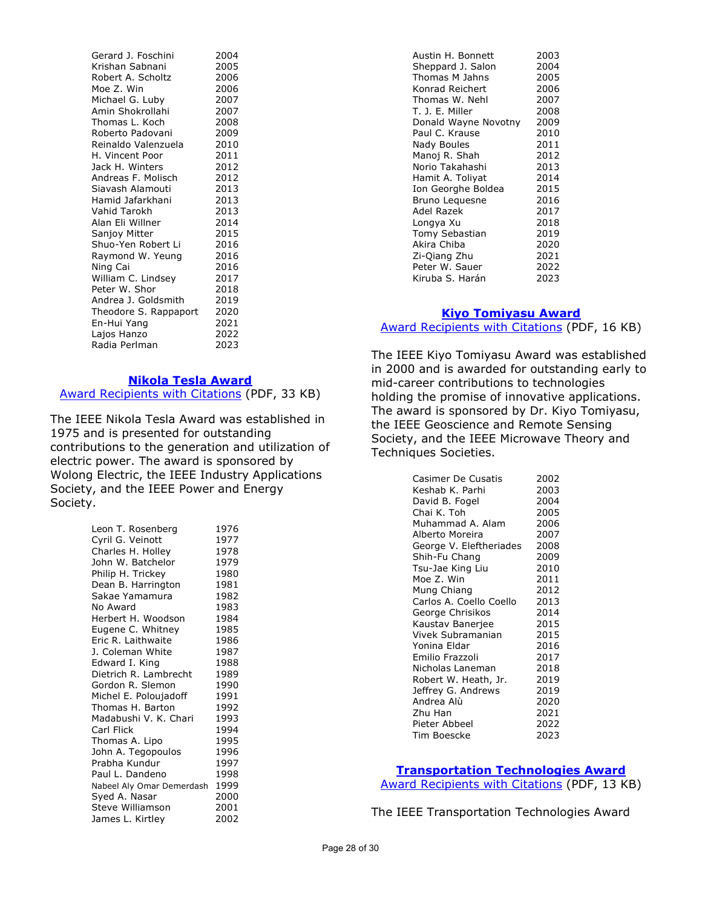Gerard J. Foschini 2004 Krishan Sabnani 2005 Robert A. Scholtz 2006<br>Moe Z. Win 2006 Moe Z. Win 2006<br>Michael G. Luby 2007 Michael G. Luby Amin Shokrollahi 2007<br>Thomas L. Koch 2008 Thomas L. Koch 2008<br>Roberto Padovani 2009 Roberto Padovani Reinaldo Valenzuela 2010 H. Vincent Poor 2011 Jack H. Winters 2012 Andreas F. Molisch 2012 Siavash Alamouti 2013<br>Hamid Jafarkhani 2013 Hamid Jafarkhani Vahid Tarokh 2013 Alan Eli Willner 1994<br>Sanjoy Mitter 19915 Sanjoy Mitter Shuo-Yen Robert Li 2016 Raymond W. Yeung 2016 Ning Cai 2016 William C. Lindsey 2017 Peter W. Shor 2018 Andrea J. Goldsmith 2019 Theodore S. Rappaport 2020 En-Hui Yang 2021 Lajos Hanzo Radia Perlman 2023

#### **[Nikola Tesla Award](https://corporate-awards.ieee.org/corporate-awards/#field-awards)**

[Award Recipients with Citations](https://www.ieee.org/content/dam/ieee-org/ieee/web/org/about/awards/recipients/tesla-rl.pdf) (PDF, 33 KB)

The IEEE Nikola Tesla Award was established in 1975 and is presented for outstanding contributions to the generation and utilization of electric power. The award is sponsored by Wolong Electric, the IEEE Industry Applications Society, and the IEEE Power and Energy Society.

| Leon T. Rosenberg         | 1976 |
|---------------------------|------|
| Cyril G. Veinott          | 1977 |
| Charles H. Holley         | 1978 |
| John W. Batchelor         | 1979 |
| Philip H. Trickey         | 1980 |
| Dean B. Harrington        | 1981 |
| Sakae Yamamura            | 1982 |
| No Award                  | 1983 |
| Herbert H. Woodson        | 1984 |
| Eugene C. Whitney         | 1985 |
| Eric R. Laithwaite        | 1986 |
| J. Coleman White          | 1987 |
| Edward I. King            | 1988 |
| Dietrich R. Lambrecht     | 1989 |
| Gordon R. Slemon          | 1990 |
| Michel E. Poloujadoff     | 1991 |
| Thomas H. Barton          | 1992 |
| Madabushi V. K. Chari     | 1993 |
| Carl Flick                | 1994 |
| Thomas A. Lipo            | 1995 |
| John A. Tegopoulos        | 1996 |
| Prabha Kundur             | 1997 |
| Paul L. Dandeno           | 1998 |
| Nabeel Aly Omar Demerdash | 1999 |
| Syed A. Nasar             | 2000 |
| Steve Williamson          | 2001 |
| James L. Kirtley          | 2002 |

| Austin H. Bonnett    | 2003 |
|----------------------|------|
| Sheppard J. Salon    | 2004 |
| Thomas M Jahns       | 2005 |
| Konrad Reichert      | 2006 |
| Thomas W. Nehl       | 2007 |
| T. J. E. Miller      | 2008 |
| Donald Wayne Novotny | 2009 |
| Paul C. Krause       | 2010 |
| Nady Boules          | 2011 |
| Manoj R. Shah        | 2012 |
| Norio Takahashi      | 2013 |
| Hamit A. Toliyat     | 2014 |
| Ion Georghe Boldea   | 2015 |
| Bruno Leguesne       | 2016 |
| Adel Razek           | 2017 |
| Longya Xu            | 2018 |
| Tomy Sebastian       | 2019 |
| Akira Chiba          | 2020 |
| Zi-Qiang Zhu         | 2021 |
| Peter W. Sauer       | 2022 |
| Kiruba S. Harán      | 2023 |
|                      |      |

# **[Kiyo Tomiyasu Award](https://corporate-awards.ieee.org/corporate-awards/#field-awards)** [Award Recipients with Citations](https://www.ieee.org/content/dam/ieee-org/ieee/web/org/about/awards/recipients/tomiyasu-rl.pdf) (PDF, 16 KB)

The IEEE Kiyo Tomiyasu Award was established in 2000 and is awarded for outstanding early to mid-career contributions to technologies holding the promise of innovative applications. The award is sponsored by Dr. Kiyo Tomiyasu, the IEEE Geoscience and Remote Sensing Society, and the IEEE Microwave Theory and Techniques Societies.

| <b>Casimer De Cusatis</b> | 2002 |
|---------------------------|------|
| Keshab K. Parhi           | 2003 |
| David B. Fogel            | 2004 |
| Chai K. Toh               | 2005 |
| Muhammad A. Alam          | 2006 |
| Alberto Moreira           | 2007 |
| George V. Eleftheriades   | 2008 |
| Shih-Fu Chang             | 2009 |
| Tsu-Jae King Liu          | 2010 |
| Moe Z. Win                | 2011 |
| Mung Chiang               | 2012 |
| Carlos A. Coello Coello   | 2013 |
| George Chrisikos          | 2014 |
| Kaustav Banerjee          | 2015 |
| Vivek Subramanian         | 2015 |
| Yonina Eldar              | 2016 |
| Emilio Frazzoli           | 2017 |
| Nicholas Laneman          | 2018 |
| Robert W. Heath, Jr.      | 2019 |
| Jeffrey G. Andrews        | 2019 |
| Andrea Alù                | 2020 |
| Zhu Han                   | 2021 |
| Pieter Abbeel             | 2022 |
| Tim Boescke               | 2023 |

## **[Transportation Technologies Award](https://corporate-awards.ieee.org/corporate-awards/#field-awards)**

[Award Recipients with Citations](https://www.ieee.org/content/dam/ieee-org/ieee/web/org/about/awards/recipients/transportation-technologies-recipients.pdf) (PDF, 13 KB)

The IEEE Transportation Technologies Award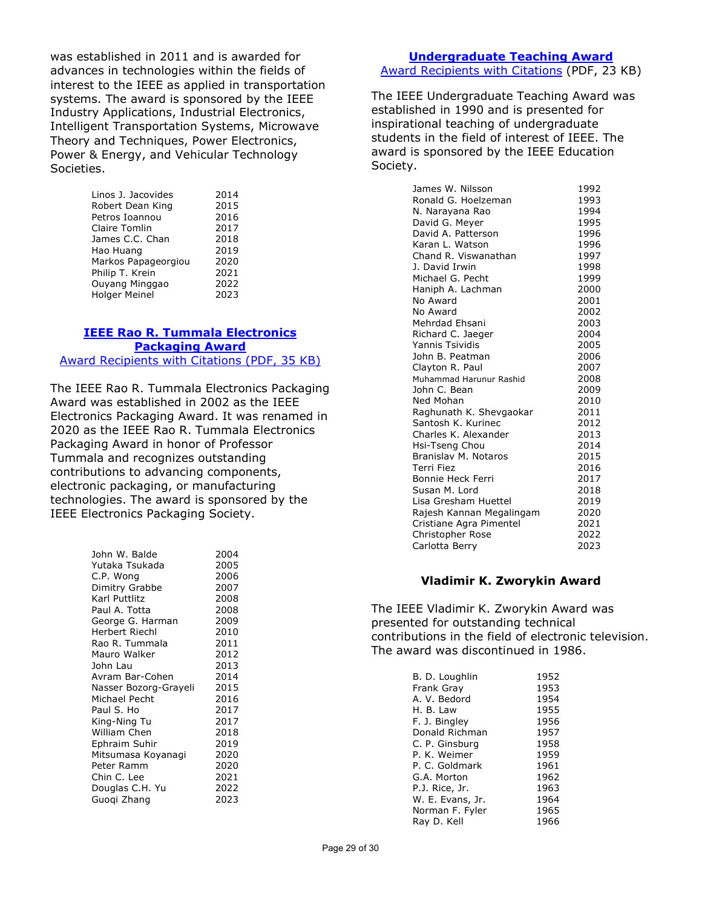was established in 2011 and is awarded for advances in technologies within the fields of interest to the IEEE as applied in transportation systems. The award is sponsored by the IEEE Industry Applications, Industrial Electronics, Intelligent Transportation Systems, Microwave Theory and Techniques, Power Electronics, Power & Energy, and Vehicular Technology Societies.

| Linos J. Jacovides   | 2014 |
|----------------------|------|
| Robert Dean King     | 2015 |
| Petros Ioannou       | 2016 |
| Claire Tomlin        | 2017 |
| James C.C. Chan      | 2018 |
| Hao Huang            | 2019 |
| Markos Papageorgiou  | 2020 |
| Philip T. Krein      | 2021 |
| Ouyang Minggao       | 2022 |
| <b>Holger Meinel</b> | 2023 |
|                      |      |

#### **IEEE Rao [R. Tummala Electronics](https://corporate-awards.ieee.org/corporate-awards/#field-awards)  [Packaging Award](https://corporate-awards.ieee.org/corporate-awards/#field-awards)** [Award Recipients with Citations](https://www.ieee.org/content/dam/ieee-org/ieee/web/org/about/awards/recipients/tummala-rl.pdf) (PDF, 35 KB)

The IEEE Rao R. Tummala Electronics Packaging Award was established in 2002 as the IEEE Electronics Packaging Award. It was renamed in 2020 as the IEEE Rao R. Tummala Electronics Packaging Award in honor of Professor Tummala and recognizes outstanding contributions to advancing components, electronic packaging, or manufacturing technologies. The award is sponsored by the IEEE Electronics Packaging Society.

| John W. Balde<br>Yutaka Tsukada<br>C.P. Wong<br>Dimitry Grabbe<br>Karl Puttlitz<br>Paul A. Totta | 2004<br>2005<br>2006<br>2007<br>2008<br>2008 |
|--------------------------------------------------------------------------------------------------|----------------------------------------------|
| George G. Harman                                                                                 | 2009                                         |
| Herbert Riechl                                                                                   | 2010                                         |
| Rao R. Tummala                                                                                   | 2011                                         |
| Mauro Walker                                                                                     | 2012                                         |
| John Lau                                                                                         | 2013                                         |
| Avram Bar-Cohen                                                                                  | 2014                                         |
| Nasser Bozorg-Grayeli                                                                            | 2015                                         |
| Michael Pecht                                                                                    | 2016                                         |
| Paul S. Ho                                                                                       | 2017                                         |
| King-Ning Tu                                                                                     | 2017                                         |
| William Chen                                                                                     | 2018                                         |
| Ephraim Suhir                                                                                    | 2019                                         |
| Mitsumasa Koyanagi                                                                               | 2020                                         |
| Peter Ramm                                                                                       | 2020                                         |
| Chin C. Lee                                                                                      | 2021                                         |
| Douglas C.H. Yu                                                                                  | 2022                                         |
| Guogi Zhang                                                                                      | 2023                                         |
|                                                                                                  |                                              |

# **[Undergraduate Teaching Award](https://corporate-awards.ieee.org/corporate-awards/#field-awards)**

[Award Recipients with Citations](https://www.ieee.org/content/dam/ieee-org/ieee/web/org/about/awards/recipients/undergraduate-rl.pdf) (PDF, 23 KB)

The IEEE Undergraduate Teaching Award was established in 1990 and is presented for inspirational teaching of undergraduate students in the field of interest of IEEE. The award is sponsored by the IEEE Education Society.

| James W. Nilsson         | 1992 |
|--------------------------|------|
| Ronald G. Hoelzeman      | 1993 |
| N. Narayana Rao          | 1994 |
| David G. Meyer           | 1995 |
| David A. Patterson       | 1996 |
| Karan L. Watson          | 1996 |
| Chand R. Viswanathan     | 1997 |
| J. David Irwin           | 1998 |
| Michael G. Pecht         | 1999 |
| Haniph A. Lachman        | 2000 |
| No Award                 | 2001 |
| No Award                 | 2002 |
| Mehrdad Ehsani           | 2003 |
| Richard C. Jaeger        | 2004 |
| Yannis Tsividis          | 2005 |
| John B. Peatman          | 2006 |
| Clayton R. Paul          | 2007 |
| Muhammad Harunur Rashid  | 2008 |
| John C. Bean             | 2009 |
| Ned Mohan                | 2010 |
| Raghunath K. Shevgaokar  | 2011 |
| Santosh K. Kurinec       | 2012 |
| Charles K. Alexander     | 2013 |
| Hsi-Tseng Chou           | 2014 |
| Branislav M. Notaros     | 2015 |
| Terri Fiez               | 2016 |
| Bonnie Heck Ferri        | 2017 |
| Susan M. Lord            | 2018 |
| Lisa Gresham Huettel     | 2019 |
| Rajesh Kannan Megalingam | 2020 |
| Cristiane Agra Pimentel  | 2021 |
| Christopher Rose         | 2022 |
| Carlotta Berry           | 2023 |

## **Vladimir K. Zworykin Award**

The IEEE Vladimir K. Zworykin Award was presented for outstanding technical contributions in the field of electronic television. The award was discontinued in 1986.

| B. D. Loughlin   | 1952 |
|------------------|------|
| Frank Gray       | 1953 |
| A. V. Bedord     | 1954 |
| H. B. Law        | 1955 |
| F. J. Bingley    | 1956 |
| Donald Richman   | 1957 |
| C. P. Ginsburg   | 1958 |
| P. K. Weimer     | 1959 |
| P. C. Goldmark   | 1961 |
| G.A. Morton      | 1962 |
| P.J. Rice, Jr.   | 1963 |
| W. E. Evans, Jr. | 1964 |
| Norman F. Fyler  | 1965 |
| Ray D. Kell      | 1966 |